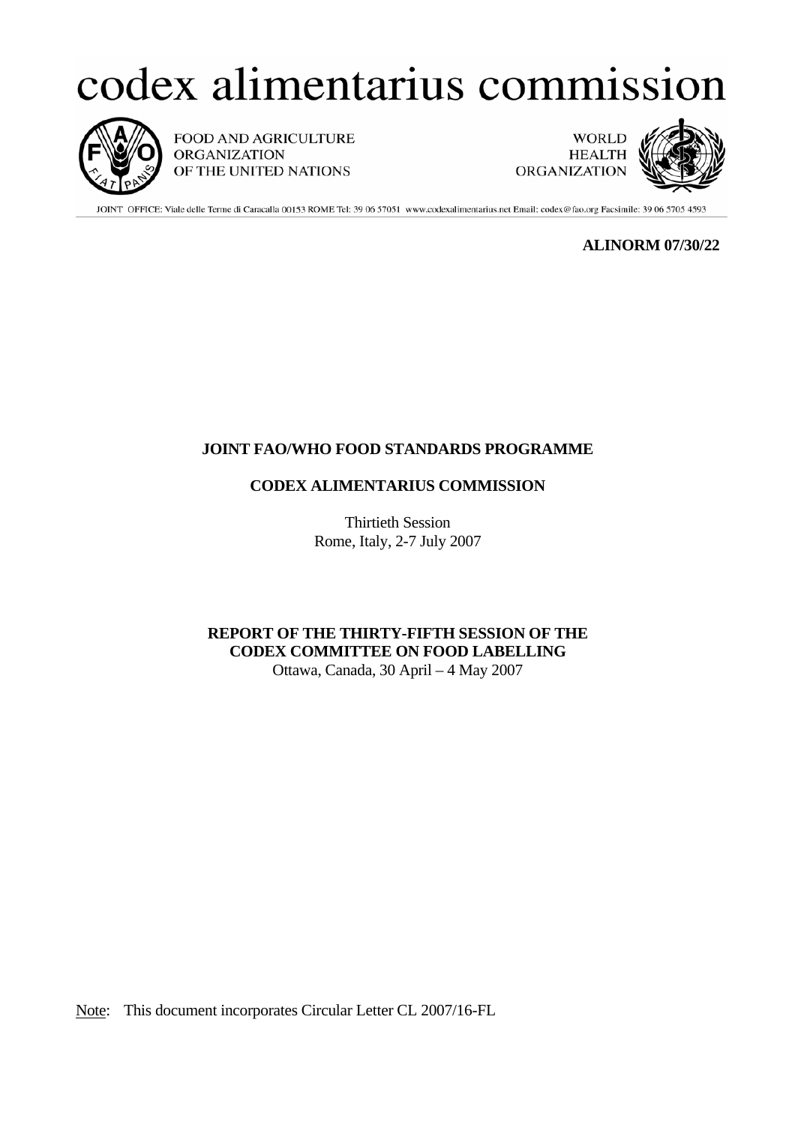# codex alimentarius commission



FOOD AND AGRICULTURE **ORGANIZATION** OF THE UNITED NATIONS

**WORLD HEALTH ORGANIZATION** 



JOINT OFFICE: Viale delle Terme di Caracalla 00153 ROME Tel: 39 06 57051 www.codexalimentarius.net Email: codex@fao.org Facsimile: 39 06 5705 4593

**ALINORM 07/30/22** 

# **JOINT FAO/WHO FOOD STANDARDS PROGRAMME**

# **CODEX ALIMENTARIUS COMMISSION**

Thirtieth Session Rome, Italy, 2-7 July 2007

 **REPORT OF THE THIRTY-FIFTH SESSION OF THE CODEX COMMITTEE ON FOOD LABELLING**  Ottawa, Canada, 30 April – 4 May 2007

Note: This document incorporates Circular Letter CL 2007/16-FL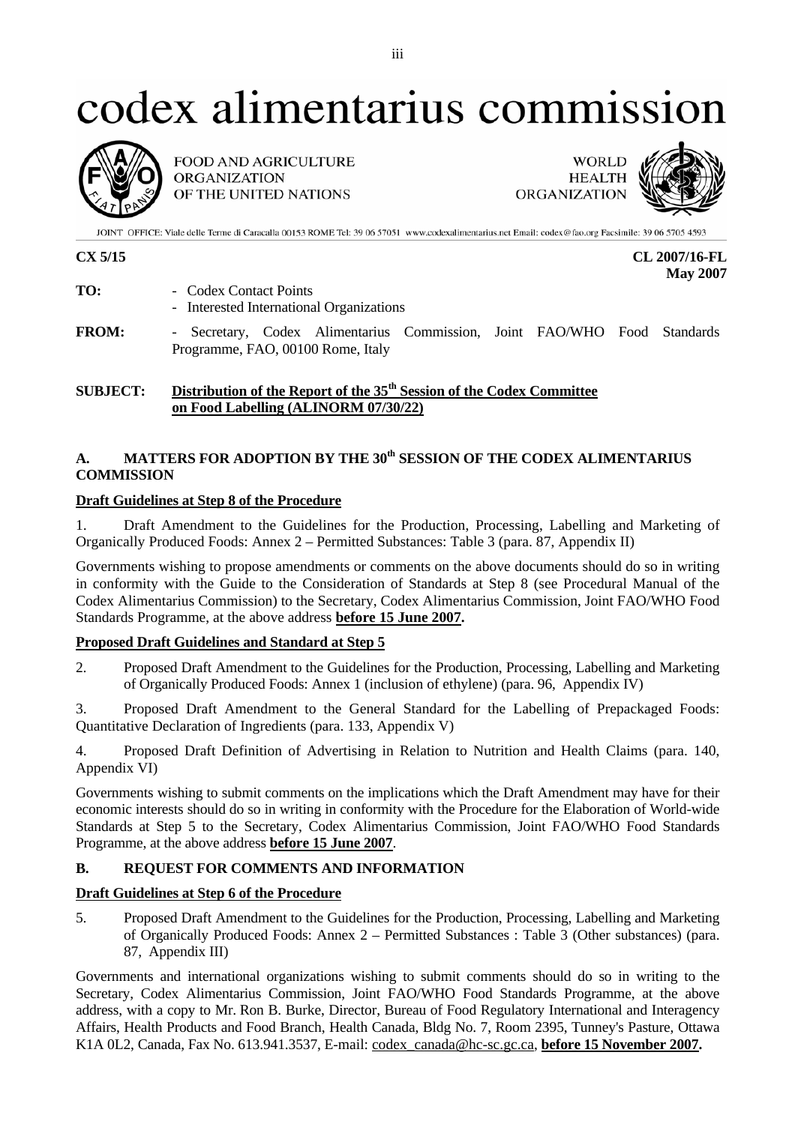# codex alimentarius commission



**FOOD AND AGRICULTURE ORGANIZATION** OF THE UNITED NATIONS

**WORLD HEALTH ORGANIZATION** 



JOINT OFFICE: Viale delle Terme di Caracalla 00153 ROME Tel: 39 06 57051 www.codexalimentarius.net Email: codex@fao.org Facsimile: 39 06 5705 4593

**CX 5/15 CL 2007/16-FL May 2007** 

- **TO:** Codex Contact Points - Interested International Organizations **FROM:** - Secretary, Codex Alimentarius Commission, Joint FAO/WHO Food Standards Programme, FAO, 00100 Rome, Italy
- 

# **SUBJECT:** Distribution of the Report of the 35<sup>th</sup> Session of the Codex Committee  **on Food Labelling (ALINORM 07/30/22)**

# A. MATTERS FOR ADOPTION BY THE 30<sup>th</sup> SESSION OF THE CODEX ALIMENTARIUS **COMMISSION**

# **Draft Guidelines at Step 8 of the Procedure**

1. Draft Amendment to the Guidelines for the Production, Processing, Labelling and Marketing of Organically Produced Foods: Annex 2 – Permitted Substances: Table 3 (para. 87, Appendix II)

Governments wishing to propose amendments or comments on the above documents should do so in writing in conformity with the Guide to the Consideration of Standards at Step 8 (see Procedural Manual of the Codex Alimentarius Commission) to the Secretary, Codex Alimentarius Commission, Joint FAO/WHO Food Standards Programme, at the above address **before 15 June 2007.** 

# **Proposed Draft Guidelines and Standard at Step 5**

2. Proposed Draft Amendment to the Guidelines for the Production, Processing, Labelling and Marketing of Organically Produced Foods: Annex 1 (inclusion of ethylene) (para. 96, Appendix IV)

3. Proposed Draft Amendment to the General Standard for the Labelling of Prepackaged Foods: Quantitative Declaration of Ingredients (para. 133, Appendix V)

4. Proposed Draft Definition of Advertising in Relation to Nutrition and Health Claims (para. 140, Appendix VI)

Governments wishing to submit comments on the implications which the Draft Amendment may have for their economic interests should do so in writing in conformity with the Procedure for the Elaboration of World-wide Standards at Step 5 to the Secretary, Codex Alimentarius Commission, Joint FAO/WHO Food Standards Programme, at the above address **before 15 June 2007**.

# **B. REQUEST FOR COMMENTS AND INFORMATION**

# **Draft Guidelines at Step 6 of the Procedure**

5. Proposed Draft Amendment to the Guidelines for the Production, Processing, Labelling and Marketing of Organically Produced Foods: Annex 2 – Permitted Substances : Table 3 (Other substances) (para. 87, Appendix III)

Governments and international organizations wishing to submit comments should do so in writing to the Secretary, Codex Alimentarius Commission, Joint FAO/WHO Food Standards Programme, at the above address, with a copy to Mr. Ron B. Burke, Director, Bureau of Food Regulatory International and Interagency Affairs, Health Products and Food Branch, Health Canada, Bldg No. 7, Room 2395, Tunney's Pasture, Ottawa K1A 0L2, Canada, Fax No. 613.941.3537, E-mail: codex\_canada@hc-sc.gc.ca, **before 15 November 2007.**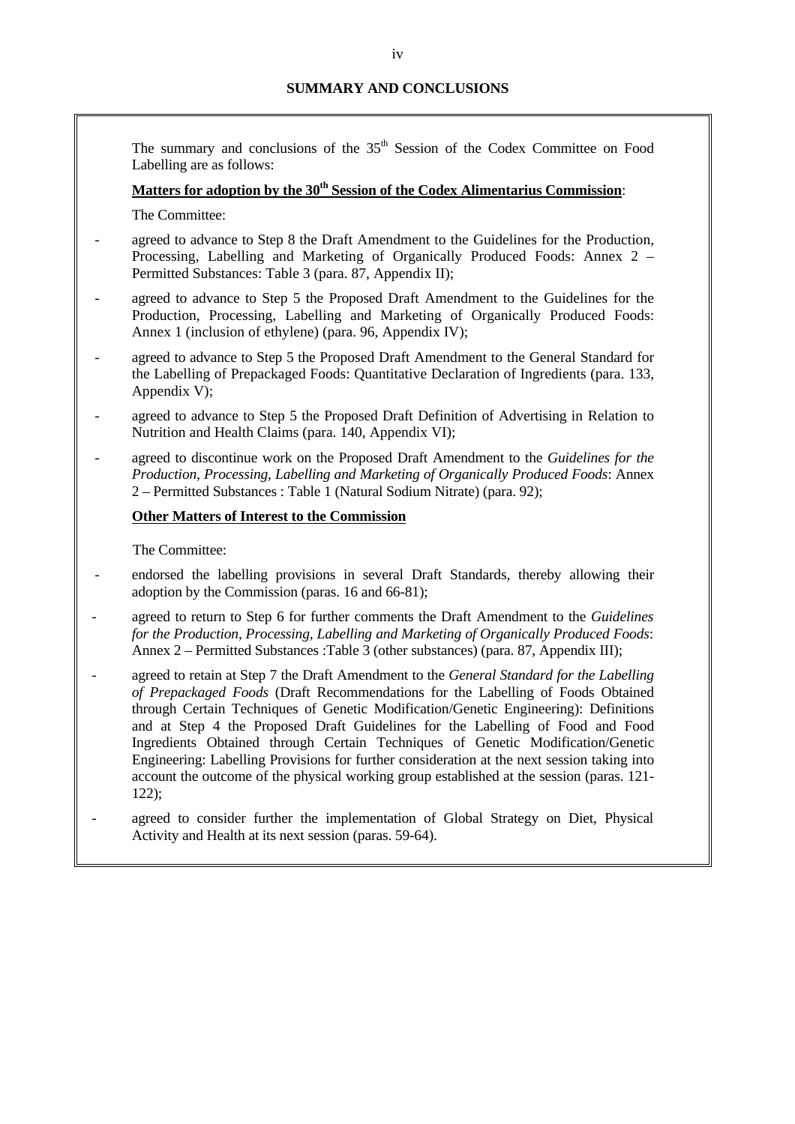The summary and conclusions of the 35<sup>th</sup> Session of the Codex Committee on Food Labelling are as follows:

# Matters for adoption by the 30<sup>th</sup> Session of the Codex Alimentarius Commission:

The Committee:

- agreed to advance to Step 8 the Draft Amendment to the Guidelines for the Production, Processing, Labelling and Marketing of Organically Produced Foods: Annex 2 – Permitted Substances: Table 3 (para. 87, Appendix II);
- agreed to advance to Step 5 the Proposed Draft Amendment to the Guidelines for the Production, Processing, Labelling and Marketing of Organically Produced Foods: Annex 1 (inclusion of ethylene) (para. 96, Appendix IV);
- agreed to advance to Step 5 the Proposed Draft Amendment to the General Standard for the Labelling of Prepackaged Foods: Quantitative Declaration of Ingredients (para. 133, Appendix V);
- agreed to advance to Step 5 the Proposed Draft Definition of Advertising in Relation to Nutrition and Health Claims (para. 140, Appendix VI);
- agreed to discontinue work on the Proposed Draft Amendment to the *Guidelines for the Production, Processing, Labelling and Marketing of Organically Produced Foods*: Annex 2 – Permitted Substances : Table 1 (Natural Sodium Nitrate) (para. 92);

# **Other Matters of Interest to the Commission**

The Committee:

- endorsed the labelling provisions in several Draft Standards, thereby allowing their adoption by the Commission (paras. 16 and 66-81);
- agreed to return to Step 6 for further comments the Draft Amendment to the *Guidelines for the Production, Processing, Labelling and Marketing of Organically Produced Foods*: Annex 2 – Permitted Substances :Table 3 (other substances) (para. 87, Appendix III);
- agreed to retain at Step 7 the Draft Amendment to the *General Standard for the Labelling of Prepackaged Foods* (Draft Recommendations for the Labelling of Foods Obtained through Certain Techniques of Genetic Modification/Genetic Engineering): Definitions and at Step 4 the Proposed Draft Guidelines for the Labelling of Food and Food Ingredients Obtained through Certain Techniques of Genetic Modification/Genetic Engineering: Labelling Provisions for further consideration at the next session taking into account the outcome of the physical working group established at the session (paras. 121- 122);
- agreed to consider further the implementation of Global Strategy on Diet, Physical Activity and Health at its next session (paras. 59-64).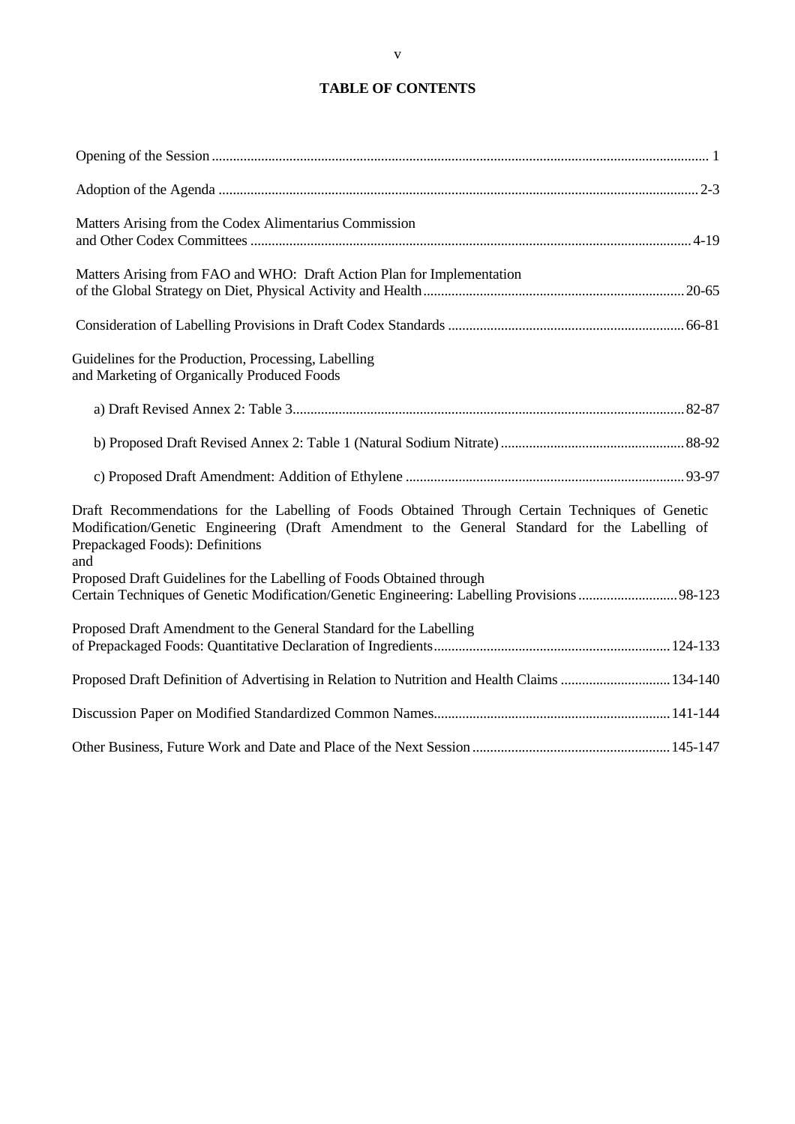# **TABLE OF CONTENTS**

| Matters Arising from the Codex Alimentarius Commission                                                                                                                                                                                      |
|---------------------------------------------------------------------------------------------------------------------------------------------------------------------------------------------------------------------------------------------|
| Matters Arising from FAO and WHO: Draft Action Plan for Implementation                                                                                                                                                                      |
|                                                                                                                                                                                                                                             |
| Guidelines for the Production, Processing, Labelling<br>and Marketing of Organically Produced Foods                                                                                                                                         |
|                                                                                                                                                                                                                                             |
|                                                                                                                                                                                                                                             |
|                                                                                                                                                                                                                                             |
| Draft Recommendations for the Labelling of Foods Obtained Through Certain Techniques of Genetic<br>Modification/Genetic Engineering (Draft Amendment to the General Standard for the Labelling of<br>Prepackaged Foods): Definitions<br>and |
| Proposed Draft Guidelines for the Labelling of Foods Obtained through<br>Certain Techniques of Genetic Modification/Genetic Engineering: Labelling Provisions98-123                                                                         |
| Proposed Draft Amendment to the General Standard for the Labelling                                                                                                                                                                          |
| Proposed Draft Definition of Advertising in Relation to Nutrition and Health Claims  134-140                                                                                                                                                |
|                                                                                                                                                                                                                                             |
|                                                                                                                                                                                                                                             |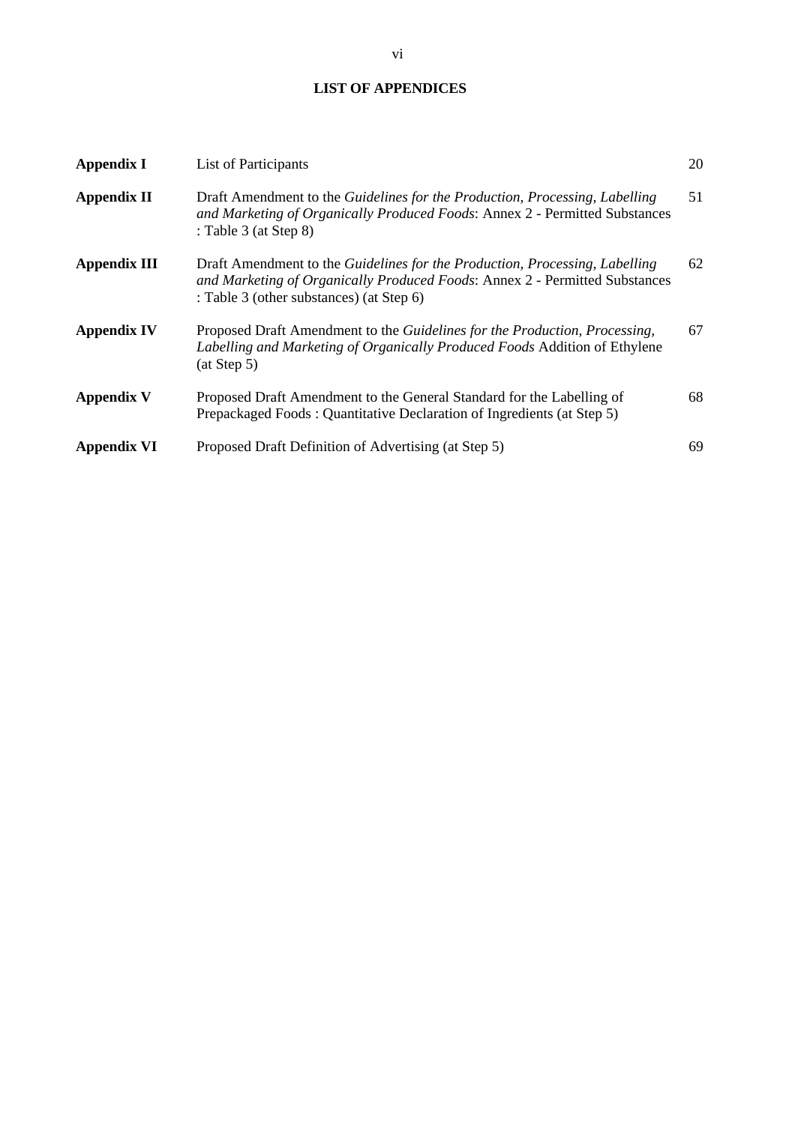# **LIST OF APPENDICES**

| <b>Appendix I</b>   | List of Participants                                                                                                                                                                                   | 20 |
|---------------------|--------------------------------------------------------------------------------------------------------------------------------------------------------------------------------------------------------|----|
| <b>Appendix II</b>  | Draft Amendment to the <i>Guidelines for the Production, Processing, Labelling</i><br>and Marketing of Organically Produced Foods: Annex 2 - Permitted Substances<br>: Table $3$ (at Step $8$ )        | 51 |
| <b>Appendix III</b> | Draft Amendment to the Guidelines for the Production, Processing, Labelling<br>and Marketing of Organically Produced Foods: Annex 2 - Permitted Substances<br>: Table 3 (other substances) (at Step 6) | 62 |
| <b>Appendix IV</b>  | Proposed Draft Amendment to the Guidelines for the Production, Processing,<br>Labelling and Marketing of Organically Produced Foods Addition of Ethylene<br>(at Step 5)                                | 67 |
| <b>Appendix V</b>   | Proposed Draft Amendment to the General Standard for the Labelling of<br>Prepackaged Foods: Quantitative Declaration of Ingredients (at Step 5)                                                        | 68 |
| <b>Appendix VI</b>  | Proposed Draft Definition of Advertising (at Step 5)                                                                                                                                                   | 69 |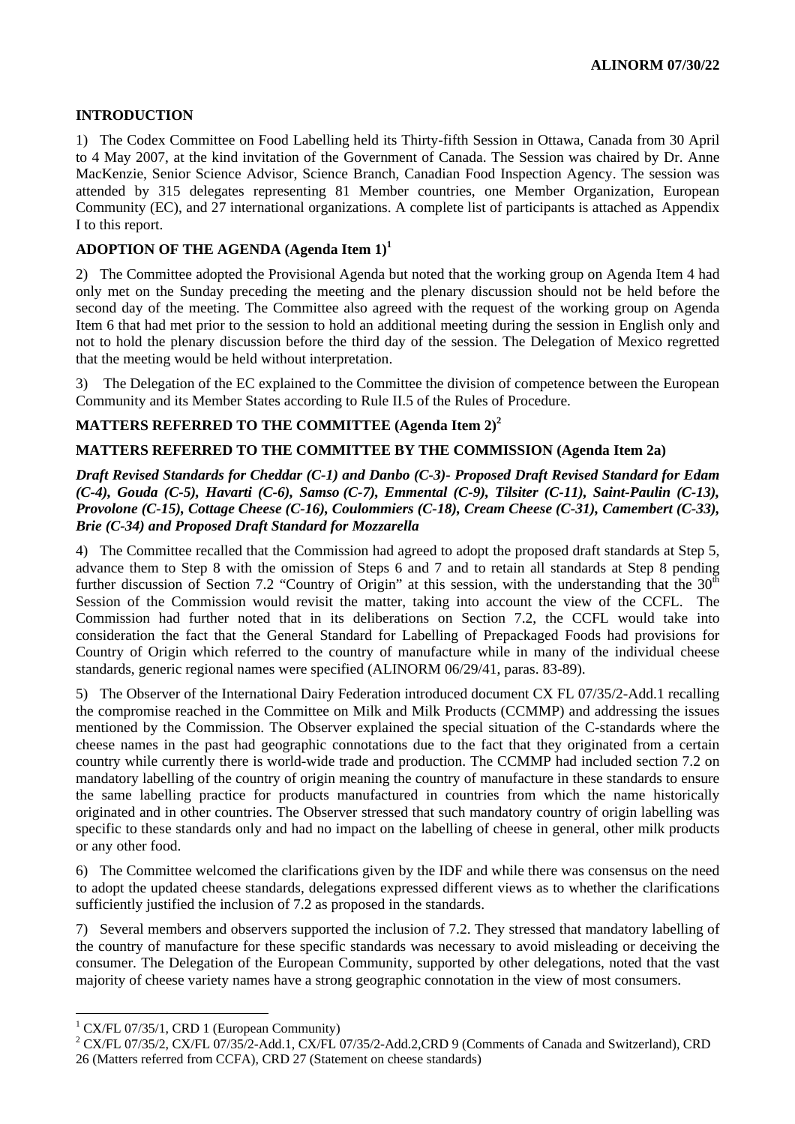# **INTRODUCTION**

1) The Codex Committee on Food Labelling held its Thirty-fifth Session in Ottawa, Canada from 30 April to 4 May 2007, at the kind invitation of the Government of Canada. The Session was chaired by Dr. Anne MacKenzie, Senior Science Advisor, Science Branch, Canadian Food Inspection Agency. The session was attended by 315 delegates representing 81 Member countries, one Member Organization, European Community (EC), and 27 international organizations. A complete list of participants is attached as Appendix I to this report.

# **ADOPTION OF THE AGENDA (Agenda Item 1)<sup>1</sup>**

2) The Committee adopted the Provisional Agenda but noted that the working group on Agenda Item 4 had only met on the Sunday preceding the meeting and the plenary discussion should not be held before the second day of the meeting. The Committee also agreed with the request of the working group on Agenda Item 6 that had met prior to the session to hold an additional meeting during the session in English only and not to hold the plenary discussion before the third day of the session. The Delegation of Mexico regretted that the meeting would be held without interpretation.

3) The Delegation of the EC explained to the Committee the division of competence between the European Community and its Member States according to Rule II.5 of the Rules of Procedure.

# **MATTERS REFERRED TO THE COMMITTEE (Agenda Item 2)<sup>2</sup>**

# **MATTERS REFERRED TO THE COMMITTEE BY THE COMMISSION (Agenda Item 2a)**

*Draft Revised Standards for Cheddar (C-1) and Danbo (C-3)- Proposed Draft Revised Standard for Edam (C-4), Gouda (C-5), Havarti (C-6), Samso (C-7), Emmental (C-9), Tilsiter (C-11), Saint-Paulin (C-13), Provolone (C-15), Cottage Cheese (C-16), Coulommiers (C-18), Cream Cheese (C-31), Camembert (C-33), Brie (C-34) and Proposed Draft Standard for Mozzarella*

4) The Committee recalled that the Commission had agreed to adopt the proposed draft standards at Step 5, advance them to Step 8 with the omission of Steps 6 and 7 and to retain all standards at Step 8 pending further discussion of Section 7.2 "Country of Origin" at this session, with the understanding that the  $30<sup>th</sup>$ Session of the Commission would revisit the matter, taking into account the view of the CCFL. The Commission had further noted that in its deliberations on Section 7.2, the CCFL would take into consideration the fact that the General Standard for Labelling of Prepackaged Foods had provisions for Country of Origin which referred to the country of manufacture while in many of the individual cheese standards, generic regional names were specified (ALINORM 06/29/41, paras. 83-89).

5) The Observer of the International Dairy Federation introduced document CX FL 07/35/2-Add.1 recalling the compromise reached in the Committee on Milk and Milk Products (CCMMP) and addressing the issues mentioned by the Commission. The Observer explained the special situation of the C-standards where the cheese names in the past had geographic connotations due to the fact that they originated from a certain country while currently there is world-wide trade and production. The CCMMP had included section 7.2 on mandatory labelling of the country of origin meaning the country of manufacture in these standards to ensure the same labelling practice for products manufactured in countries from which the name historically originated and in other countries. The Observer stressed that such mandatory country of origin labelling was specific to these standards only and had no impact on the labelling of cheese in general, other milk products or any other food.

6) The Committee welcomed the clarifications given by the IDF and while there was consensus on the need to adopt the updated cheese standards, delegations expressed different views as to whether the clarifications sufficiently justified the inclusion of 7.2 as proposed in the standards.

7) Several members and observers supported the inclusion of 7.2. They stressed that mandatory labelling of the country of manufacture for these specific standards was necessary to avoid misleading or deceiving the consumer. The Delegation of the European Community, supported by other delegations, noted that the vast majority of cheese variety names have a strong geographic connotation in the view of most consumers.

 $\overline{a}$ 

<sup>&</sup>lt;sup>1</sup> CX/FL 07/35/1, CRD 1 (European Community)

<sup>&</sup>lt;sup>2</sup> CX/FL 07/35/2, CX/FL 07/35/2-Add.1, CX/FL 07/35/2-Add.2,CRD 9 (Comments of Canada and Switzerland), CRD 26 (Matters referred from CCFA), CRD 27 (Statement on cheese standards)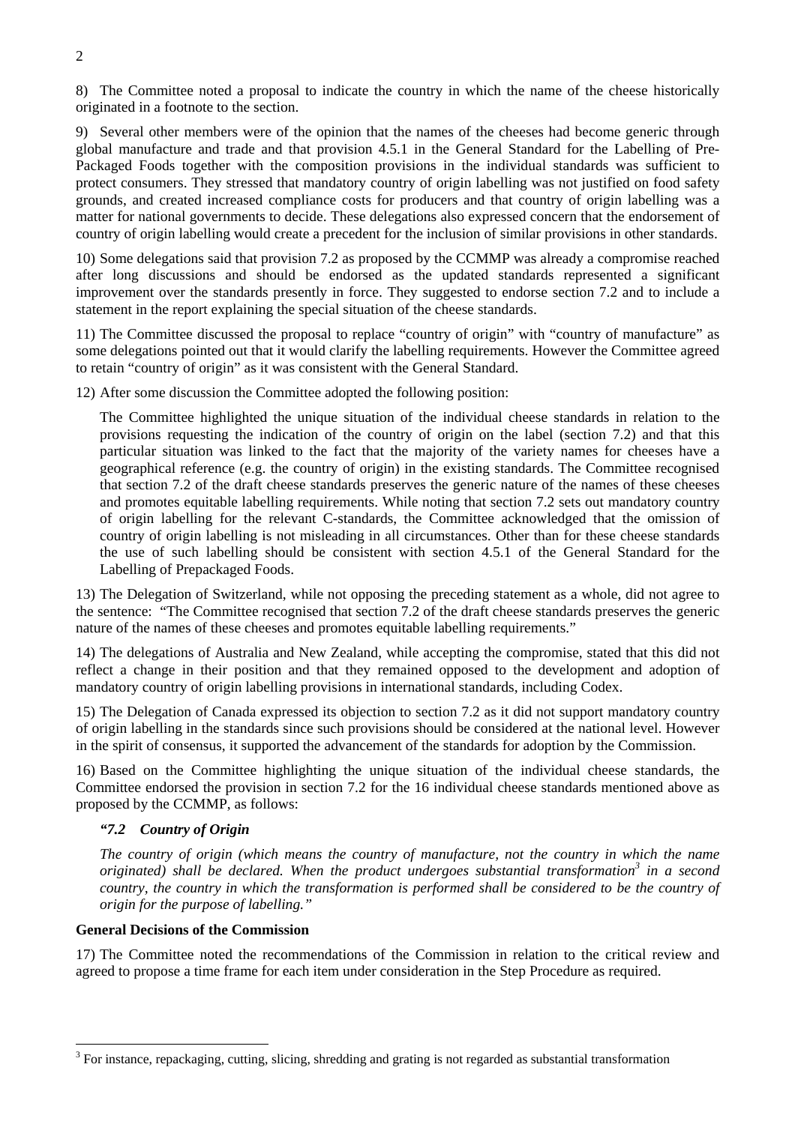8) The Committee noted a proposal to indicate the country in which the name of the cheese historically originated in a footnote to the section.

9) Several other members were of the opinion that the names of the cheeses had become generic through global manufacture and trade and that provision 4.5.1 in the General Standard for the Labelling of Pre-Packaged Foods together with the composition provisions in the individual standards was sufficient to protect consumers. They stressed that mandatory country of origin labelling was not justified on food safety grounds, and created increased compliance costs for producers and that country of origin labelling was a matter for national governments to decide. These delegations also expressed concern that the endorsement of country of origin labelling would create a precedent for the inclusion of similar provisions in other standards.

10) Some delegations said that provision 7.2 as proposed by the CCMMP was already a compromise reached after long discussions and should be endorsed as the updated standards represented a significant improvement over the standards presently in force. They suggested to endorse section 7.2 and to include a statement in the report explaining the special situation of the cheese standards.

11) The Committee discussed the proposal to replace "country of origin" with "country of manufacture" as some delegations pointed out that it would clarify the labelling requirements. However the Committee agreed to retain "country of origin" as it was consistent with the General Standard.

12) After some discussion the Committee adopted the following position:

The Committee highlighted the unique situation of the individual cheese standards in relation to the provisions requesting the indication of the country of origin on the label (section 7.2) and that this particular situation was linked to the fact that the majority of the variety names for cheeses have a geographical reference (e.g. the country of origin) in the existing standards. The Committee recognised that section 7.2 of the draft cheese standards preserves the generic nature of the names of these cheeses and promotes equitable labelling requirements. While noting that section 7.2 sets out mandatory country of origin labelling for the relevant C-standards, the Committee acknowledged that the omission of country of origin labelling is not misleading in all circumstances. Other than for these cheese standards the use of such labelling should be consistent with section 4.5.1 of the General Standard for the Labelling of Prepackaged Foods.

13) The Delegation of Switzerland, while not opposing the preceding statement as a whole, did not agree to the sentence: "The Committee recognised that section 7.2 of the draft cheese standards preserves the generic nature of the names of these cheeses and promotes equitable labelling requirements."

14) The delegations of Australia and New Zealand, while accepting the compromise, stated that this did not reflect a change in their position and that they remained opposed to the development and adoption of mandatory country of origin labelling provisions in international standards, including Codex.

15) The Delegation of Canada expressed its objection to section 7.2 as it did not support mandatory country of origin labelling in the standards since such provisions should be considered at the national level. However in the spirit of consensus, it supported the advancement of the standards for adoption by the Commission.

16) Based on the Committee highlighting the unique situation of the individual cheese standards, the Committee endorsed the provision in section 7.2 for the 16 individual cheese standards mentioned above as proposed by the CCMMP, as follows:

# *"7.2 Country of Origin*

*The country of origin (which means the country of manufacture, not the country in which the name originated) shall be declared. When the product undergoes substantial transformation3 in a second country, the country in which the transformation is performed shall be considered to be the country of origin for the purpose of labelling."*

# **General Decisions of the Commission**

 $\overline{a}$ 

17) The Committee noted the recommendations of the Commission in relation to the critical review and agreed to propose a time frame for each item under consideration in the Step Procedure as required.

 $3$  For instance, repackaging, cutting, slicing, shredding and grating is not regarded as substantial transformation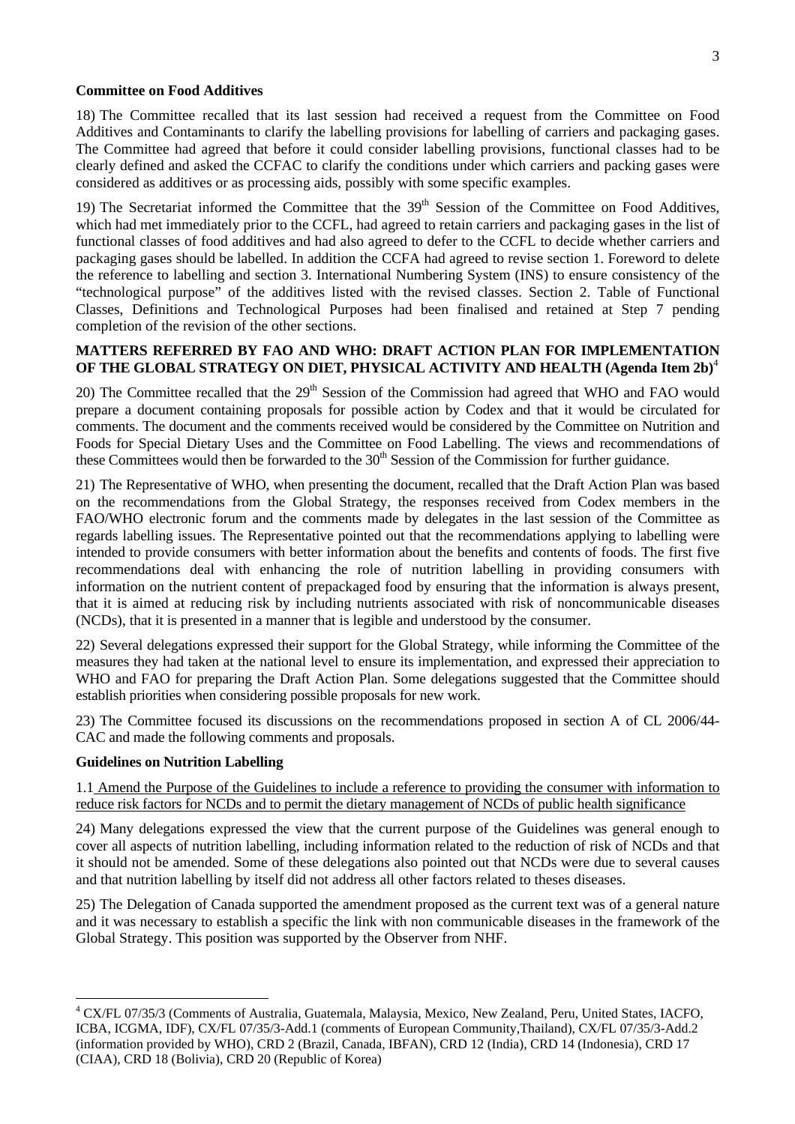#### **Committee on Food Additives**

18) The Committee recalled that its last session had received a request from the Committee on Food Additives and Contaminants to clarify the labelling provisions for labelling of carriers and packaging gases. The Committee had agreed that before it could consider labelling provisions, functional classes had to be clearly defined and asked the CCFAC to clarify the conditions under which carriers and packing gases were considered as additives or as processing aids, possibly with some specific examples.

19) The Secretariat informed the Committee that the  $39<sup>th</sup>$  Session of the Committee on Food Additives, which had met immediately prior to the CCFL, had agreed to retain carriers and packaging gases in the list of functional classes of food additives and had also agreed to defer to the CCFL to decide whether carriers and packaging gases should be labelled. In addition the CCFA had agreed to revise section 1. Foreword to delete the reference to labelling and section 3. International Numbering System (INS) to ensure consistency of the "technological purpose" of the additives listed with the revised classes. Section 2. Table of Functional Classes, Definitions and Technological Purposes had been finalised and retained at Step 7 pending completion of the revision of the other sections.

# **MATTERS REFERRED BY FAO AND WHO: DRAFT ACTION PLAN FOR IMPLEMENTATION OF THE GLOBAL STRATEGY ON DIET, PHYSICAL ACTIVITY AND HEALTH (Agenda Item 2b)**<sup>4</sup>

20) The Committee recalled that the 29<sup>th</sup> Session of the Commission had agreed that WHO and FAO would prepare a document containing proposals for possible action by Codex and that it would be circulated for comments. The document and the comments received would be considered by the Committee on Nutrition and Foods for Special Dietary Uses and the Committee on Food Labelling. The views and recommendations of these Committees would then be forwarded to the 30<sup>th</sup> Session of the Commission for further guidance.

21) The Representative of WHO, when presenting the document, recalled that the Draft Action Plan was based on the recommendations from the Global Strategy, the responses received from Codex members in the FAO/WHO electronic forum and the comments made by delegates in the last session of the Committee as regards labelling issues. The Representative pointed out that the recommendations applying to labelling were intended to provide consumers with better information about the benefits and contents of foods. The first five recommendations deal with enhancing the role of nutrition labelling in providing consumers with information on the nutrient content of prepackaged food by ensuring that the information is always present, that it is aimed at reducing risk by including nutrients associated with risk of noncommunicable diseases (NCDs), that it is presented in a manner that is legible and understood by the consumer.

22) Several delegations expressed their support for the Global Strategy, while informing the Committee of the measures they had taken at the national level to ensure its implementation, and expressed their appreciation to WHO and FAO for preparing the Draft Action Plan. Some delegations suggested that the Committee should establish priorities when considering possible proposals for new work.

23) The Committee focused its discussions on the recommendations proposed in section A of CL 2006/44- CAC and made the following comments and proposals.

# **Guidelines on Nutrition Labelling**

 $\overline{a}$ 

1.1 Amend the Purpose of the Guidelines to include a reference to providing the consumer with information to reduce risk factors for NCDs and to permit the dietary management of NCDs of public health significance

24) Many delegations expressed the view that the current purpose of the Guidelines was general enough to cover all aspects of nutrition labelling, including information related to the reduction of risk of NCDs and that it should not be amended. Some of these delegations also pointed out that NCDs were due to several causes and that nutrition labelling by itself did not address all other factors related to theses diseases.

25) The Delegation of Canada supported the amendment proposed as the current text was of a general nature and it was necessary to establish a specific the link with non communicable diseases in the framework of the Global Strategy. This position was supported by the Observer from NHF.

<sup>&</sup>lt;sup>4</sup> CX/FL 07/35/3 (Comments of Australia, Guatemala, Malaysia, Mexico, New Zealand, Peru, United States, IACFO, ICBA, ICGMA, IDF), CX/FL 07/35/3-Add.1 (comments of European Community,Thailand), CX/FL 07/35/3-Add.2 (information provided by WHO), CRD 2 (Brazil, Canada, IBFAN), CRD 12 (India), CRD 14 (Indonesia), CRD 17 (CIAA), CRD 18 (Bolivia), CRD 20 (Republic of Korea)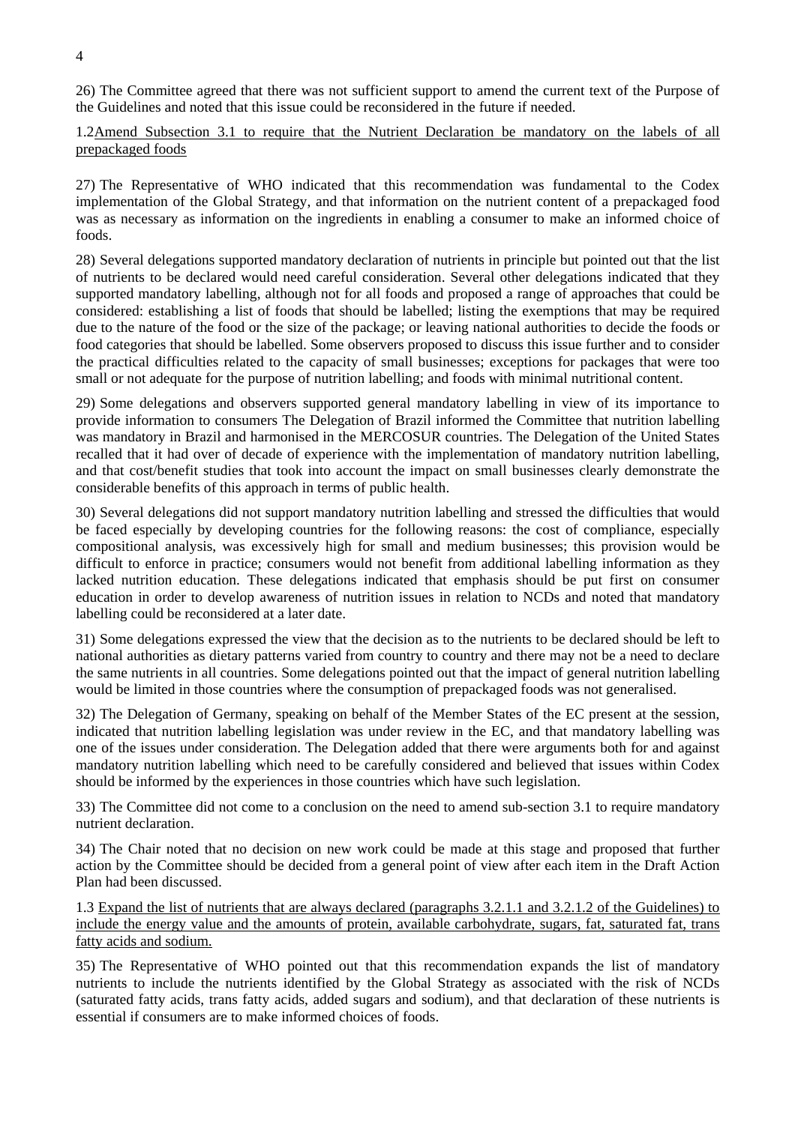26) The Committee agreed that there was not sufficient support to amend the current text of the Purpose of the Guidelines and noted that this issue could be reconsidered in the future if needed.

1.2Amend Subsection 3.1 to require that the Nutrient Declaration be mandatory on the labels of all prepackaged foods

27) The Representative of WHO indicated that this recommendation was fundamental to the Codex implementation of the Global Strategy, and that information on the nutrient content of a prepackaged food was as necessary as information on the ingredients in enabling a consumer to make an informed choice of foods.

28) Several delegations supported mandatory declaration of nutrients in principle but pointed out that the list of nutrients to be declared would need careful consideration. Several other delegations indicated that they supported mandatory labelling, although not for all foods and proposed a range of approaches that could be considered: establishing a list of foods that should be labelled; listing the exemptions that may be required due to the nature of the food or the size of the package; or leaving national authorities to decide the foods or food categories that should be labelled. Some observers proposed to discuss this issue further and to consider the practical difficulties related to the capacity of small businesses; exceptions for packages that were too small or not adequate for the purpose of nutrition labelling; and foods with minimal nutritional content.

29) Some delegations and observers supported general mandatory labelling in view of its importance to provide information to consumers The Delegation of Brazil informed the Committee that nutrition labelling was mandatory in Brazil and harmonised in the MERCOSUR countries. The Delegation of the United States recalled that it had over of decade of experience with the implementation of mandatory nutrition labelling, and that cost/benefit studies that took into account the impact on small businesses clearly demonstrate the considerable benefits of this approach in terms of public health.

30) Several delegations did not support mandatory nutrition labelling and stressed the difficulties that would be faced especially by developing countries for the following reasons: the cost of compliance, especially compositional analysis, was excessively high for small and medium businesses; this provision would be difficult to enforce in practice; consumers would not benefit from additional labelling information as they lacked nutrition education. These delegations indicated that emphasis should be put first on consumer education in order to develop awareness of nutrition issues in relation to NCDs and noted that mandatory labelling could be reconsidered at a later date.

31) Some delegations expressed the view that the decision as to the nutrients to be declared should be left to national authorities as dietary patterns varied from country to country and there may not be a need to declare the same nutrients in all countries. Some delegations pointed out that the impact of general nutrition labelling would be limited in those countries where the consumption of prepackaged foods was not generalised.

32) The Delegation of Germany, speaking on behalf of the Member States of the EC present at the session, indicated that nutrition labelling legislation was under review in the EC, and that mandatory labelling was one of the issues under consideration. The Delegation added that there were arguments both for and against mandatory nutrition labelling which need to be carefully considered and believed that issues within Codex should be informed by the experiences in those countries which have such legislation.

33) The Committee did not come to a conclusion on the need to amend sub-section 3.1 to require mandatory nutrient declaration.

34) The Chair noted that no decision on new work could be made at this stage and proposed that further action by the Committee should be decided from a general point of view after each item in the Draft Action Plan had been discussed.

1.3 Expand the list of nutrients that are always declared (paragraphs 3.2.1.1 and 3.2.1.2 of the Guidelines) to include the energy value and the amounts of protein, available carbohydrate, sugars, fat, saturated fat, trans fatty acids and sodium.

35) The Representative of WHO pointed out that this recommendation expands the list of mandatory nutrients to include the nutrients identified by the Global Strategy as associated with the risk of NCDs (saturated fatty acids, trans fatty acids, added sugars and sodium), and that declaration of these nutrients is essential if consumers are to make informed choices of foods.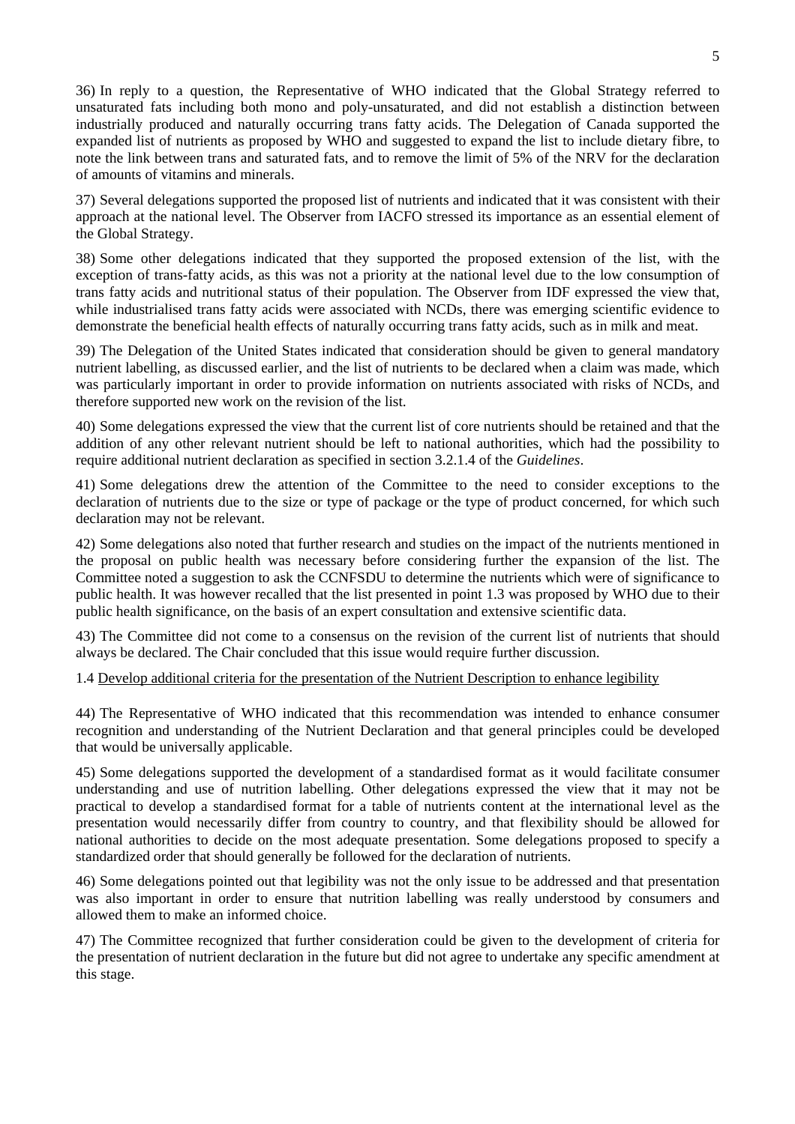36) In reply to a question, the Representative of WHO indicated that the Global Strategy referred to unsaturated fats including both mono and poly-unsaturated, and did not establish a distinction between industrially produced and naturally occurring trans fatty acids. The Delegation of Canada supported the expanded list of nutrients as proposed by WHO and suggested to expand the list to include dietary fibre, to note the link between trans and saturated fats, and to remove the limit of 5% of the NRV for the declaration of amounts of vitamins and minerals.

37) Several delegations supported the proposed list of nutrients and indicated that it was consistent with their approach at the national level. The Observer from IACFO stressed its importance as an essential element of the Global Strategy.

38) Some other delegations indicated that they supported the proposed extension of the list, with the exception of trans-fatty acids, as this was not a priority at the national level due to the low consumption of trans fatty acids and nutritional status of their population. The Observer from IDF expressed the view that, while industrialised trans fatty acids were associated with NCDs, there was emerging scientific evidence to demonstrate the beneficial health effects of naturally occurring trans fatty acids, such as in milk and meat.

39) The Delegation of the United States indicated that consideration should be given to general mandatory nutrient labelling, as discussed earlier, and the list of nutrients to be declared when a claim was made, which was particularly important in order to provide information on nutrients associated with risks of NCDs, and therefore supported new work on the revision of the list.

40) Some delegations expressed the view that the current list of core nutrients should be retained and that the addition of any other relevant nutrient should be left to national authorities, which had the possibility to require additional nutrient declaration as specified in section 3.2.1.4 of the *Guidelines*.

41) Some delegations drew the attention of the Committee to the need to consider exceptions to the declaration of nutrients due to the size or type of package or the type of product concerned, for which such declaration may not be relevant.

42) Some delegations also noted that further research and studies on the impact of the nutrients mentioned in the proposal on public health was necessary before considering further the expansion of the list. The Committee noted a suggestion to ask the CCNFSDU to determine the nutrients which were of significance to public health. It was however recalled that the list presented in point 1.3 was proposed by WHO due to their public health significance, on the basis of an expert consultation and extensive scientific data.

43) The Committee did not come to a consensus on the revision of the current list of nutrients that should always be declared. The Chair concluded that this issue would require further discussion.

1.4 Develop additional criteria for the presentation of the Nutrient Description to enhance legibility

44) The Representative of WHO indicated that this recommendation was intended to enhance consumer recognition and understanding of the Nutrient Declaration and that general principles could be developed that would be universally applicable.

45) Some delegations supported the development of a standardised format as it would facilitate consumer understanding and use of nutrition labelling. Other delegations expressed the view that it may not be practical to develop a standardised format for a table of nutrients content at the international level as the presentation would necessarily differ from country to country, and that flexibility should be allowed for national authorities to decide on the most adequate presentation. Some delegations proposed to specify a standardized order that should generally be followed for the declaration of nutrients.

46) Some delegations pointed out that legibility was not the only issue to be addressed and that presentation was also important in order to ensure that nutrition labelling was really understood by consumers and allowed them to make an informed choice.

47) The Committee recognized that further consideration could be given to the development of criteria for the presentation of nutrient declaration in the future but did not agree to undertake any specific amendment at this stage.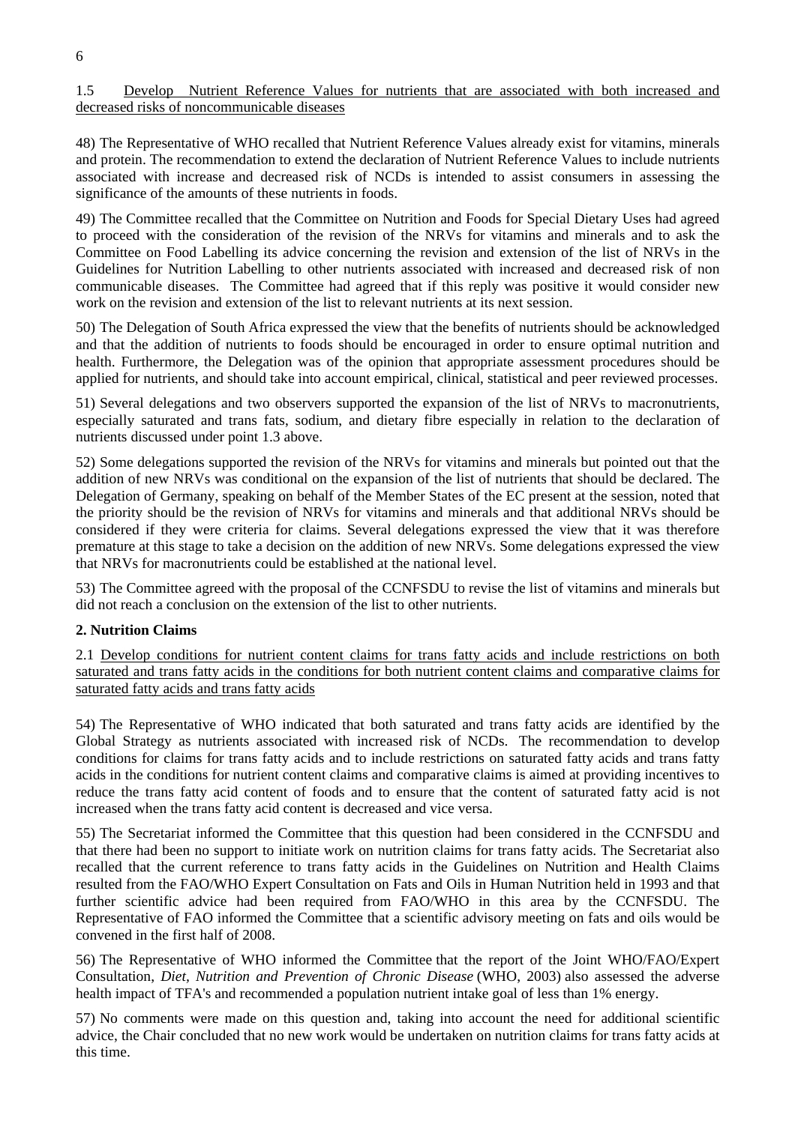# 1.5 Develop Nutrient Reference Values for nutrients that are associated with both increased and decreased risks of noncommunicable diseases

48) The Representative of WHO recalled that Nutrient Reference Values already exist for vitamins, minerals and protein. The recommendation to extend the declaration of Nutrient Reference Values to include nutrients associated with increase and decreased risk of NCDs is intended to assist consumers in assessing the significance of the amounts of these nutrients in foods.

49) The Committee recalled that the Committee on Nutrition and Foods for Special Dietary Uses had agreed to proceed with the consideration of the revision of the NRVs for vitamins and minerals and to ask the Committee on Food Labelling its advice concerning the revision and extension of the list of NRVs in the Guidelines for Nutrition Labelling to other nutrients associated with increased and decreased risk of non communicable diseases. The Committee had agreed that if this reply was positive it would consider new work on the revision and extension of the list to relevant nutrients at its next session.

50) The Delegation of South Africa expressed the view that the benefits of nutrients should be acknowledged and that the addition of nutrients to foods should be encouraged in order to ensure optimal nutrition and health. Furthermore, the Delegation was of the opinion that appropriate assessment procedures should be applied for nutrients, and should take into account empirical, clinical, statistical and peer reviewed processes.

51) Several delegations and two observers supported the expansion of the list of NRVs to macronutrients, especially saturated and trans fats, sodium, and dietary fibre especially in relation to the declaration of nutrients discussed under point 1.3 above.

52) Some delegations supported the revision of the NRVs for vitamins and minerals but pointed out that the addition of new NRVs was conditional on the expansion of the list of nutrients that should be declared. The Delegation of Germany, speaking on behalf of the Member States of the EC present at the session, noted that the priority should be the revision of NRVs for vitamins and minerals and that additional NRVs should be considered if they were criteria for claims. Several delegations expressed the view that it was therefore premature at this stage to take a decision on the addition of new NRVs. Some delegations expressed the view that NRVs for macronutrients could be established at the national level.

53) The Committee agreed with the proposal of the CCNFSDU to revise the list of vitamins and minerals but did not reach a conclusion on the extension of the list to other nutrients.

# **2. Nutrition Claims**

2.1 Develop conditions for nutrient content claims for trans fatty acids and include restrictions on both saturated and trans fatty acids in the conditions for both nutrient content claims and comparative claims for saturated fatty acids and trans fatty acids

54) The Representative of WHO indicated that both saturated and trans fatty acids are identified by the Global Strategy as nutrients associated with increased risk of NCDs. The recommendation to develop conditions for claims for trans fatty acids and to include restrictions on saturated fatty acids and trans fatty acids in the conditions for nutrient content claims and comparative claims is aimed at providing incentives to reduce the trans fatty acid content of foods and to ensure that the content of saturated fatty acid is not increased when the trans fatty acid content is decreased and vice versa.

55) The Secretariat informed the Committee that this question had been considered in the CCNFSDU and that there had been no support to initiate work on nutrition claims for trans fatty acids. The Secretariat also recalled that the current reference to trans fatty acids in the Guidelines on Nutrition and Health Claims resulted from the FAO/WHO Expert Consultation on Fats and Oils in Human Nutrition held in 1993 and that further scientific advice had been required from FAO/WHO in this area by the CCNFSDU. The Representative of FAO informed the Committee that a scientific advisory meeting on fats and oils would be convened in the first half of 2008.

56) The Representative of WHO informed the Committee that the report of the Joint WHO/FAO/Expert Consultation, *Diet, Nutrition and Prevention of Chronic Disease* (WHO, 2003) also assessed the adverse health impact of TFA's and recommended a population nutrient intake goal of less than 1% energy.

57) No comments were made on this question and, taking into account the need for additional scientific advice, the Chair concluded that no new work would be undertaken on nutrition claims for trans fatty acids at this time.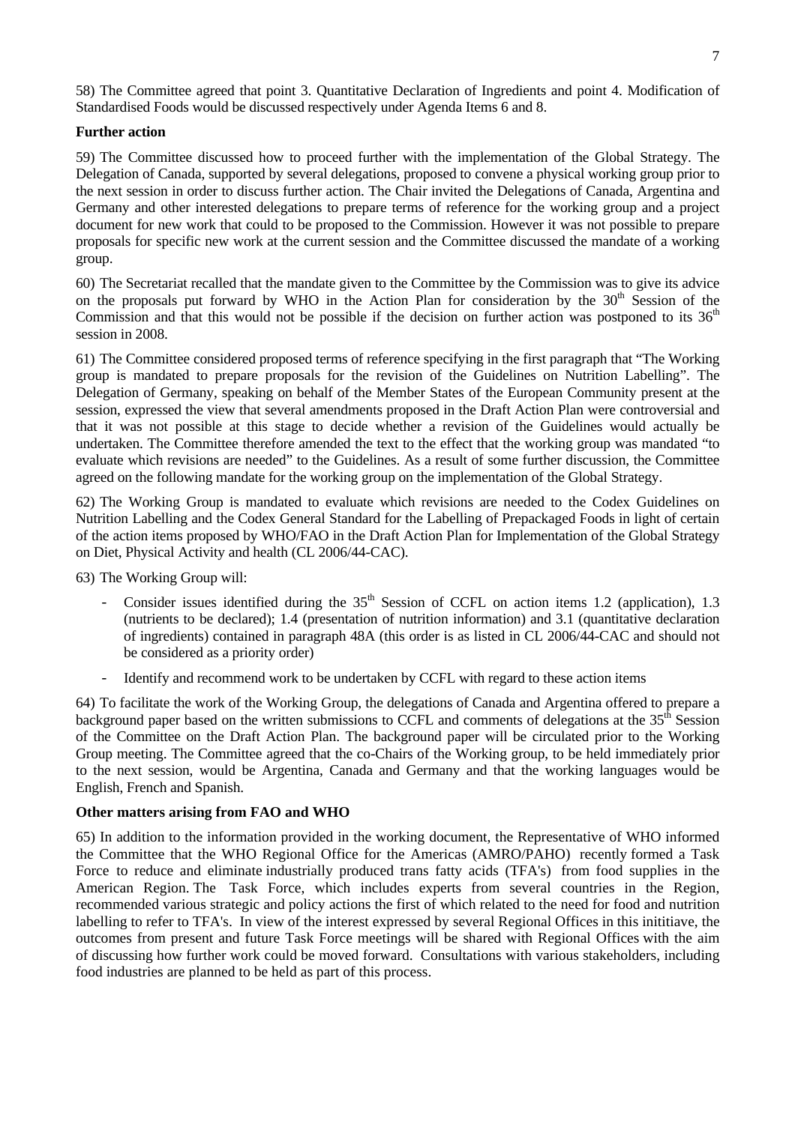58) The Committee agreed that point 3. Quantitative Declaration of Ingredients and point 4. Modification of Standardised Foods would be discussed respectively under Agenda Items 6 and 8.

### **Further action**

59) The Committee discussed how to proceed further with the implementation of the Global Strategy. The Delegation of Canada, supported by several delegations, proposed to convene a physical working group prior to the next session in order to discuss further action. The Chair invited the Delegations of Canada, Argentina and Germany and other interested delegations to prepare terms of reference for the working group and a project document for new work that could to be proposed to the Commission. However it was not possible to prepare proposals for specific new work at the current session and the Committee discussed the mandate of a working group.

60) The Secretariat recalled that the mandate given to the Committee by the Commission was to give its advice on the proposals put forward by WHO in the Action Plan for consideration by the  $30<sup>th</sup>$  Session of the Commission and that this would not be possible if the decision on further action was postponed to its  $36<sup>th</sup>$ session in 2008.

61) The Committee considered proposed terms of reference specifying in the first paragraph that "The Working group is mandated to prepare proposals for the revision of the Guidelines on Nutrition Labelling". The Delegation of Germany, speaking on behalf of the Member States of the European Community present at the session, expressed the view that several amendments proposed in the Draft Action Plan were controversial and that it was not possible at this stage to decide whether a revision of the Guidelines would actually be undertaken. The Committee therefore amended the text to the effect that the working group was mandated "to evaluate which revisions are needed" to the Guidelines. As a result of some further discussion, the Committee agreed on the following mandate for the working group on the implementation of the Global Strategy.

62) The Working Group is mandated to evaluate which revisions are needed to the Codex Guidelines on Nutrition Labelling and the Codex General Standard for the Labelling of Prepackaged Foods in light of certain of the action items proposed by WHO/FAO in the Draft Action Plan for Implementation of the Global Strategy on Diet, Physical Activity and health (CL 2006/44-CAC).

63) The Working Group will:

- Consider issues identified during the  $35<sup>th</sup>$  Session of CCFL on action items 1.2 (application), 1.3 (nutrients to be declared); 1.4 (presentation of nutrition information) and 3.1 (quantitative declaration of ingredients) contained in paragraph 48A (this order is as listed in CL 2006/44-CAC and should not be considered as a priority order)
- Identify and recommend work to be undertaken by CCFL with regard to these action items

64) To facilitate the work of the Working Group, the delegations of Canada and Argentina offered to prepare a background paper based on the written submissions to CCFL and comments of delegations at the 35<sup>th</sup> Session of the Committee on the Draft Action Plan. The background paper will be circulated prior to the Working Group meeting. The Committee agreed that the co-Chairs of the Working group, to be held immediately prior to the next session, would be Argentina, Canada and Germany and that the working languages would be English, French and Spanish.

# **Other matters arising from FAO and WHO**

65) In addition to the information provided in the working document, the Representative of WHO informed the Committee that the WHO Regional Office for the Americas (AMRO/PAHO) recently formed a Task Force to reduce and eliminate industrially produced trans fatty acids (TFA's) from food supplies in the American Region. The Task Force, which includes experts from several countries in the Region, recommended various strategic and policy actions the first of which related to the need for food and nutrition labelling to refer to TFA's. In view of the interest expressed by several Regional Offices in this inititiave, the outcomes from present and future Task Force meetings will be shared with Regional Offices with the aim of discussing how further work could be moved forward. Consultations with various stakeholders, including food industries are planned to be held as part of this process.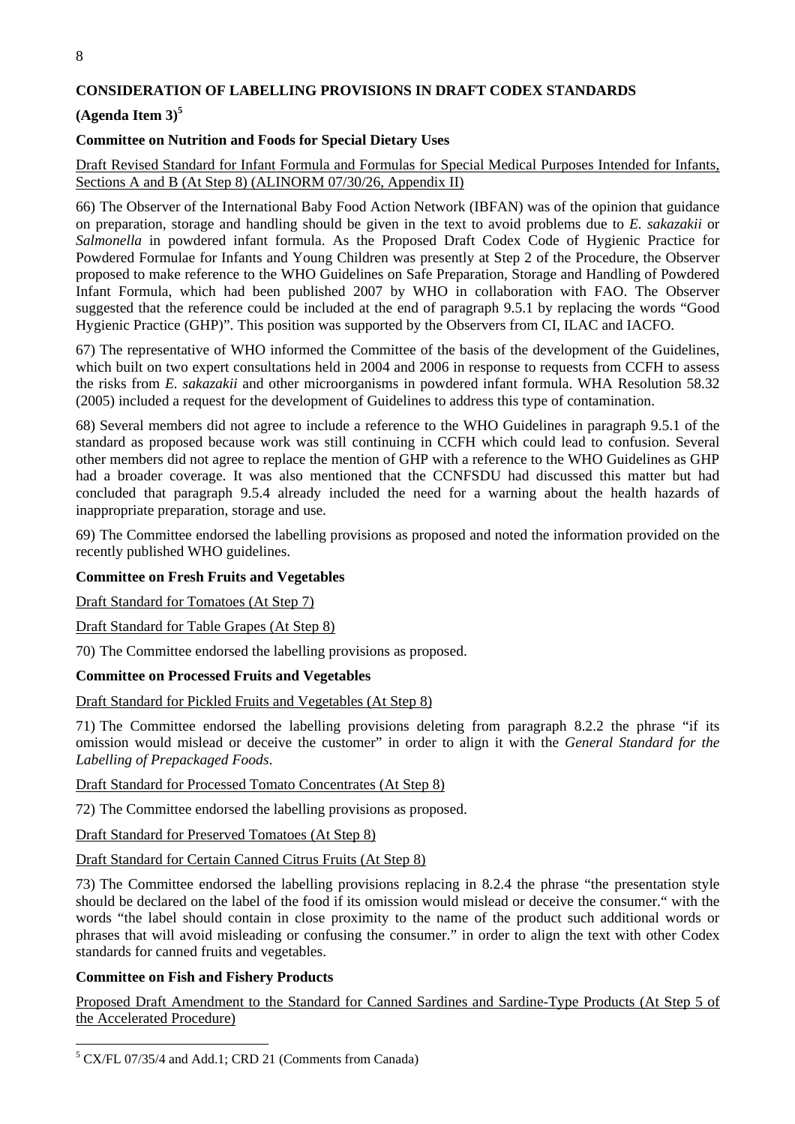# **CONSIDERATION OF LABELLING PROVISIONS IN DRAFT CODEX STANDARDS**

# **(Agenda Item 3)5**

### **Committee on Nutrition and Foods for Special Dietary Uses**

### Draft Revised Standard for Infant Formula and Formulas for Special Medical Purposes Intended for Infants, Sections A and B (At Step 8) (ALINORM 07/30/26, Appendix II)

66) The Observer of the International Baby Food Action Network (IBFAN) was of the opinion that guidance on preparation, storage and handling should be given in the text to avoid problems due to *E. sakazakii* or *Salmonella* in powdered infant formula. As the Proposed Draft Codex Code of Hygienic Practice for Powdered Formulae for Infants and Young Children was presently at Step 2 of the Procedure, the Observer proposed to make reference to the WHO Guidelines on Safe Preparation, Storage and Handling of Powdered Infant Formula, which had been published 2007 by WHO in collaboration with FAO. The Observer suggested that the reference could be included at the end of paragraph 9.5.1 by replacing the words "Good Hygienic Practice (GHP)". This position was supported by the Observers from CI, ILAC and IACFO.

67) The representative of WHO informed the Committee of the basis of the development of the Guidelines, which built on two expert consultations held in 2004 and 2006 in response to requests from CCFH to assess the risks from *E. sakazakii* and other microorganisms in powdered infant formula. WHA Resolution 58.32 (2005) included a request for the development of Guidelines to address this type of contamination.

68) Several members did not agree to include a reference to the WHO Guidelines in paragraph 9.5.1 of the standard as proposed because work was still continuing in CCFH which could lead to confusion. Several other members did not agree to replace the mention of GHP with a reference to the WHO Guidelines as GHP had a broader coverage. It was also mentioned that the CCNFSDU had discussed this matter but had concluded that paragraph 9.5.4 already included the need for a warning about the health hazards of inappropriate preparation, storage and use.

69) The Committee endorsed the labelling provisions as proposed and noted the information provided on the recently published WHO guidelines.

#### **Committee on Fresh Fruits and Vegetables**

Draft Standard for Tomatoes (At Step 7)

Draft Standard for Table Grapes (At Step 8)

70) The Committee endorsed the labelling provisions as proposed.

#### **Committee on Processed Fruits and Vegetables**

Draft Standard for Pickled Fruits and Vegetables (At Step 8)

71) The Committee endorsed the labelling provisions deleting from paragraph 8.2.2 the phrase "if its omission would mislead or deceive the customer" in order to align it with the *General Standard for the Labelling of Prepackaged Foods*.

Draft Standard for Processed Tomato Concentrates (At Step 8)

72) The Committee endorsed the labelling provisions as proposed.

Draft Standard for Preserved Tomatoes (At Step 8)

Draft Standard for Certain Canned Citrus Fruits (At Step 8)

73) The Committee endorsed the labelling provisions replacing in 8.2.4 the phrase "the presentation style should be declared on the label of the food if its omission would mislead or deceive the consumer." with the words "the label should contain in close proximity to the name of the product such additional words or phrases that will avoid misleading or confusing the consumer." in order to align the text with other Codex standards for canned fruits and vegetables.

#### **Committee on Fish and Fishery Products**

 $\overline{a}$ 

Proposed Draft Amendment to the Standard for Canned Sardines and Sardine-Type Products (At Step 5 of the Accelerated Procedure)

<sup>&</sup>lt;sup>5</sup> CX/FL 07/35/4 and Add.1; CRD 21 (Comments from Canada)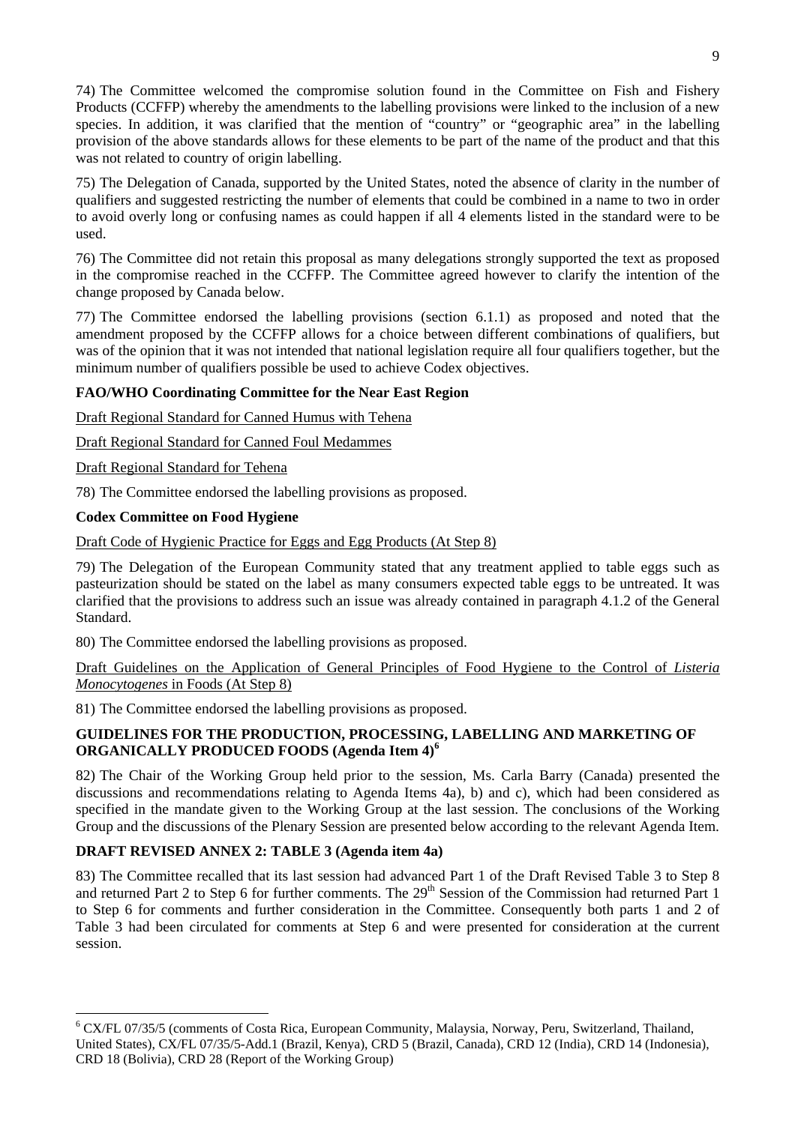74) The Committee welcomed the compromise solution found in the Committee on Fish and Fishery Products (CCFFP) whereby the amendments to the labelling provisions were linked to the inclusion of a new species. In addition, it was clarified that the mention of "country" or "geographic area" in the labelling provision of the above standards allows for these elements to be part of the name of the product and that this was not related to country of origin labelling.

75) The Delegation of Canada, supported by the United States, noted the absence of clarity in the number of qualifiers and suggested restricting the number of elements that could be combined in a name to two in order to avoid overly long or confusing names as could happen if all 4 elements listed in the standard were to be used.

76) The Committee did not retain this proposal as many delegations strongly supported the text as proposed in the compromise reached in the CCFFP. The Committee agreed however to clarify the intention of the change proposed by Canada below.

77) The Committee endorsed the labelling provisions (section 6.1.1) as proposed and noted that the amendment proposed by the CCFFP allows for a choice between different combinations of qualifiers, but was of the opinion that it was not intended that national legislation require all four qualifiers together, but the minimum number of qualifiers possible be used to achieve Codex objectives.

# **FAO/WHO Coordinating Committee for the Near East Region**

Draft Regional Standard for Canned Humus with Tehena

Draft Regional Standard for Canned Foul Medammes

Draft Regional Standard for Tehena

78) The Committee endorsed the labelling provisions as proposed.

# **Codex Committee on Food Hygiene**

 $\overline{a}$ 

Draft Code of Hygienic Practice for Eggs and Egg Products (At Step 8)

79) The Delegation of the European Community stated that any treatment applied to table eggs such as pasteurization should be stated on the label as many consumers expected table eggs to be untreated. It was clarified that the provisions to address such an issue was already contained in paragraph 4.1.2 of the General Standard.

80) The Committee endorsed the labelling provisions as proposed.

Draft Guidelines on the Application of General Principles of Food Hygiene to the Control of *Listeria Monocytogenes* in Foods (At Step 8)

81) The Committee endorsed the labelling provisions as proposed.

# **GUIDELINES FOR THE PRODUCTION, PROCESSING, LABELLING AND MARKETING OF ORGANICALLY PRODUCED FOODS (Agenda Item 4)<sup>6</sup>**

82) The Chair of the Working Group held prior to the session, Ms. Carla Barry (Canada) presented the discussions and recommendations relating to Agenda Items 4a), b) and c), which had been considered as specified in the mandate given to the Working Group at the last session. The conclusions of the Working Group and the discussions of the Plenary Session are presented below according to the relevant Agenda Item.

# **DRAFT REVISED ANNEX 2: TABLE 3 (Agenda item 4a)**

83) The Committee recalled that its last session had advanced Part 1 of the Draft Revised Table 3 to Step 8 and returned Part 2 to Step 6 for further comments. The 29<sup>th</sup> Session of the Commission had returned Part 1 to Step 6 for comments and further consideration in the Committee. Consequently both parts 1 and 2 of Table 3 had been circulated for comments at Step 6 and were presented for consideration at the current session.

<sup>&</sup>lt;sup>6</sup> CX/FL 07/35/5 (comments of Costa Rica, European Community, Malaysia, Norway, Peru, Switzerland, Thailand, United States), CX/FL 07/35/5-Add.1 (Brazil, Kenya), CRD 5 (Brazil, Canada), CRD 12 (India), CRD 14 (Indonesia), CRD 18 (Bolivia), CRD 28 (Report of the Working Group)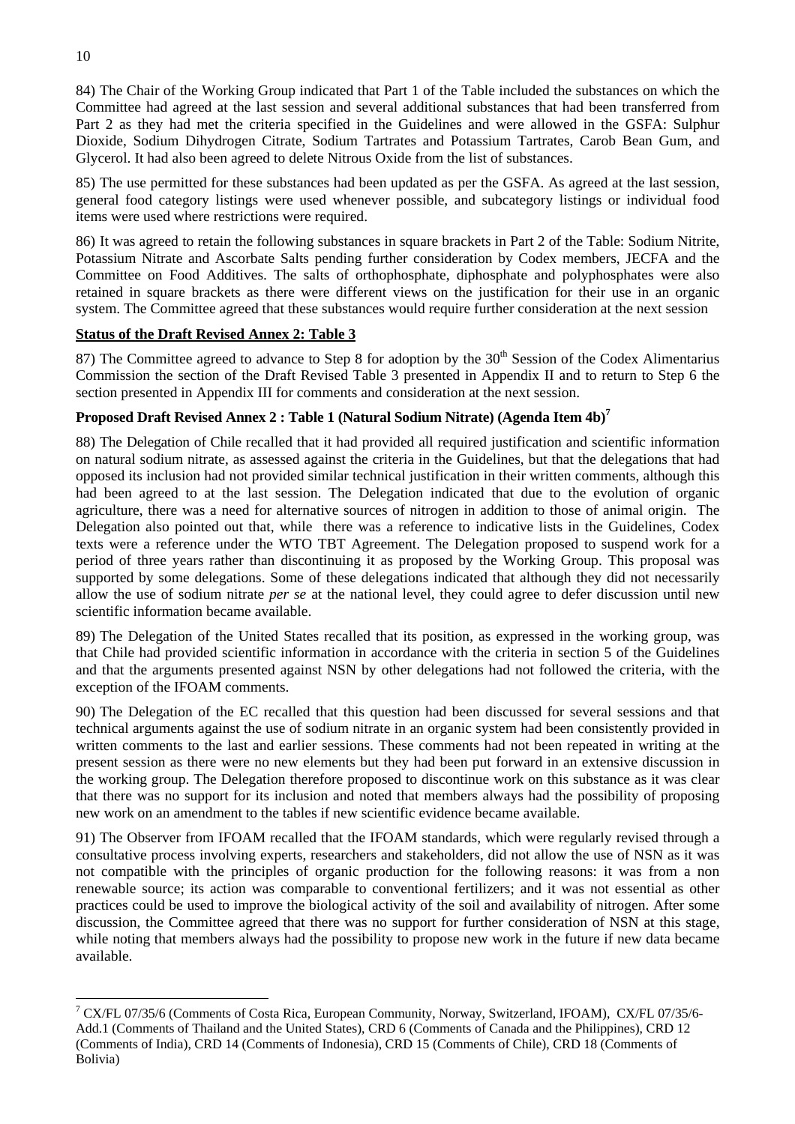84) The Chair of the Working Group indicated that Part 1 of the Table included the substances on which the Committee had agreed at the last session and several additional substances that had been transferred from Part 2 as they had met the criteria specified in the Guidelines and were allowed in the GSFA: Sulphur Dioxide, Sodium Dihydrogen Citrate, Sodium Tartrates and Potassium Tartrates, Carob Bean Gum, and Glycerol. It had also been agreed to delete Nitrous Oxide from the list of substances.

85) The use permitted for these substances had been updated as per the GSFA. As agreed at the last session, general food category listings were used whenever possible, and subcategory listings or individual food items were used where restrictions were required.

86) It was agreed to retain the following substances in square brackets in Part 2 of the Table: Sodium Nitrite, Potassium Nitrate and Ascorbate Salts pending further consideration by Codex members, JECFA and the Committee on Food Additives. The salts of orthophosphate, diphosphate and polyphosphates were also retained in square brackets as there were different views on the justification for their use in an organic system. The Committee agreed that these substances would require further consideration at the next session

# **Status of the Draft Revised Annex 2: Table 3**

87) The Committee agreed to advance to Step 8 for adoption by the  $30<sup>th</sup>$  Session of the Codex Alimentarius Commission the section of the Draft Revised Table 3 presented in Appendix II and to return to Step 6 the section presented in Appendix III for comments and consideration at the next session.

# **Proposed Draft Revised Annex 2 : Table 1 (Natural Sodium Nitrate) (Agenda Item 4b)7**

88) The Delegation of Chile recalled that it had provided all required justification and scientific information on natural sodium nitrate, as assessed against the criteria in the Guidelines, but that the delegations that had opposed its inclusion had not provided similar technical justification in their written comments, although this had been agreed to at the last session. The Delegation indicated that due to the evolution of organic agriculture, there was a need for alternative sources of nitrogen in addition to those of animal origin. The Delegation also pointed out that, while there was a reference to indicative lists in the Guidelines, Codex texts were a reference under the WTO TBT Agreement. The Delegation proposed to suspend work for a period of three years rather than discontinuing it as proposed by the Working Group. This proposal was supported by some delegations. Some of these delegations indicated that although they did not necessarily allow the use of sodium nitrate *per se* at the national level, they could agree to defer discussion until new scientific information became available.

89) The Delegation of the United States recalled that its position, as expressed in the working group, was that Chile had provided scientific information in accordance with the criteria in section 5 of the Guidelines and that the arguments presented against NSN by other delegations had not followed the criteria, with the exception of the IFOAM comments.

90) The Delegation of the EC recalled that this question had been discussed for several sessions and that technical arguments against the use of sodium nitrate in an organic system had been consistently provided in written comments to the last and earlier sessions. These comments had not been repeated in writing at the present session as there were no new elements but they had been put forward in an extensive discussion in the working group. The Delegation therefore proposed to discontinue work on this substance as it was clear that there was no support for its inclusion and noted that members always had the possibility of proposing new work on an amendment to the tables if new scientific evidence became available.

91) The Observer from IFOAM recalled that the IFOAM standards, which were regularly revised through a consultative process involving experts, researchers and stakeholders, did not allow the use of NSN as it was not compatible with the principles of organic production for the following reasons: it was from a non renewable source; its action was comparable to conventional fertilizers; and it was not essential as other practices could be used to improve the biological activity of the soil and availability of nitrogen. After some discussion, the Committee agreed that there was no support for further consideration of NSN at this stage, while noting that members always had the possibility to propose new work in the future if new data became available.

 $\overline{a}$ 

<sup>&</sup>lt;sup>7</sup> CX/FL 07/35/6 (Comments of Costa Rica, European Community, Norway, Switzerland, IFOAM), CX/FL 07/35/6-Add.1 (Comments of Thailand and the United States), CRD 6 (Comments of Canada and the Philippines), CRD 12 (Comments of India), CRD 14 (Comments of Indonesia), CRD 15 (Comments of Chile), CRD 18 (Comments of Bolivia)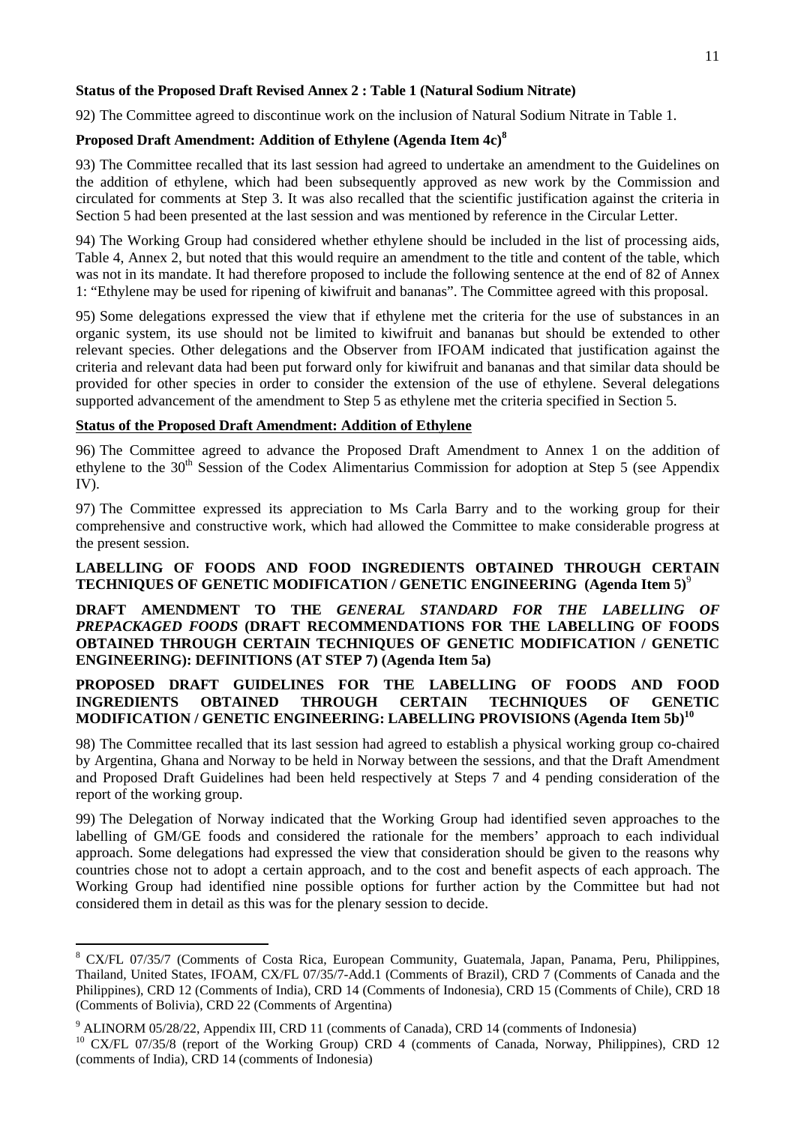# **Status of the Proposed Draft Revised Annex 2 : Table 1 (Natural Sodium Nitrate)**

92) The Committee agreed to discontinue work on the inclusion of Natural Sodium Nitrate in Table 1.

# **Proposed Draft Amendment: Addition of Ethylene (Agenda Item 4c)<sup>8</sup>**

93) The Committee recalled that its last session had agreed to undertake an amendment to the Guidelines on the addition of ethylene, which had been subsequently approved as new work by the Commission and circulated for comments at Step 3. It was also recalled that the scientific justification against the criteria in Section 5 had been presented at the last session and was mentioned by reference in the Circular Letter.

94) The Working Group had considered whether ethylene should be included in the list of processing aids, Table 4, Annex 2, but noted that this would require an amendment to the title and content of the table, which was not in its mandate. It had therefore proposed to include the following sentence at the end of 82 of Annex 1: "Ethylene may be used for ripening of kiwifruit and bananas". The Committee agreed with this proposal.

95) Some delegations expressed the view that if ethylene met the criteria for the use of substances in an organic system, its use should not be limited to kiwifruit and bananas but should be extended to other relevant species. Other delegations and the Observer from IFOAM indicated that justification against the criteria and relevant data had been put forward only for kiwifruit and bananas and that similar data should be provided for other species in order to consider the extension of the use of ethylene. Several delegations supported advancement of the amendment to Step 5 as ethylene met the criteria specified in Section 5.

# **Status of the Proposed Draft Amendment: Addition of Ethylene**

96) The Committee agreed to advance the Proposed Draft Amendment to Annex 1 on the addition of ethylene to the  $30<sup>th</sup>$  Session of the Codex Alimentarius Commission for adoption at Step 5 (see Appendix IV).

97) The Committee expressed its appreciation to Ms Carla Barry and to the working group for their comprehensive and constructive work, which had allowed the Committee to make considerable progress at the present session.

# **LABELLING OF FOODS AND FOOD INGREDIENTS OBTAINED THROUGH CERTAIN TECHNIQUES OF GENETIC MODIFICATION / GENETIC ENGINEERING (Agenda Item 5)**<sup>9</sup>

**DRAFT AMENDMENT TO THE** *GENERAL STANDARD FOR THE LABELLING OF PREPACKAGED FOODS* **(DRAFT RECOMMENDATIONS FOR THE LABELLING OF FOODS OBTAINED THROUGH CERTAIN TECHNIQUES OF GENETIC MODIFICATION / GENETIC ENGINEERING): DEFINITIONS (AT STEP 7) (Agenda Item 5a)** 

# **PROPOSED DRAFT GUIDELINES FOR THE LABELLING OF FOODS AND FOOD INGREDIENTS OBTAINED THROUGH CERTAIN TECHNIQUES OF GENETIC MODIFICATION / GENETIC ENGINEERING: LABELLING PROVISIONS (Agenda Item 5b)<sup>10</sup>**

98) The Committee recalled that its last session had agreed to establish a physical working group co-chaired by Argentina, Ghana and Norway to be held in Norway between the sessions, and that the Draft Amendment and Proposed Draft Guidelines had been held respectively at Steps 7 and 4 pending consideration of the report of the working group.

99) The Delegation of Norway indicated that the Working Group had identified seven approaches to the labelling of GM/GE foods and considered the rationale for the members' approach to each individual approach. Some delegations had expressed the view that consideration should be given to the reasons why countries chose not to adopt a certain approach, and to the cost and benefit aspects of each approach. The Working Group had identified nine possible options for further action by the Committee but had not considered them in detail as this was for the plenary session to decide.

 $\overline{a}$ 

<sup>&</sup>lt;sup>8</sup> CX/FL 07/35/7 (Comments of Costa Rica, European Community, Guatemala, Japan, Panama, Peru, Philippines, Thailand, United States, IFOAM, CX/FL 07/35/7-Add.1 (Comments of Brazil), CRD 7 (Comments of Canada and the Philippines), CRD 12 (Comments of India), CRD 14 (Comments of Indonesia), CRD 15 (Comments of Chile), CRD 18 (Comments of Bolivia), CRD 22 (Comments of Argentina)

<sup>&</sup>lt;sup>9</sup> ALINORM 05/28/22, Appendix III, CRD 11 (comments of Canada), CRD 14 (comments of Indonesia)

<sup>&</sup>lt;sup>10</sup> CX/FL 07/35/8 (report of the Working Group) CRD 4 (comments of Canada, Norway, Philippines), CRD 12 (comments of India), CRD 14 (comments of Indonesia)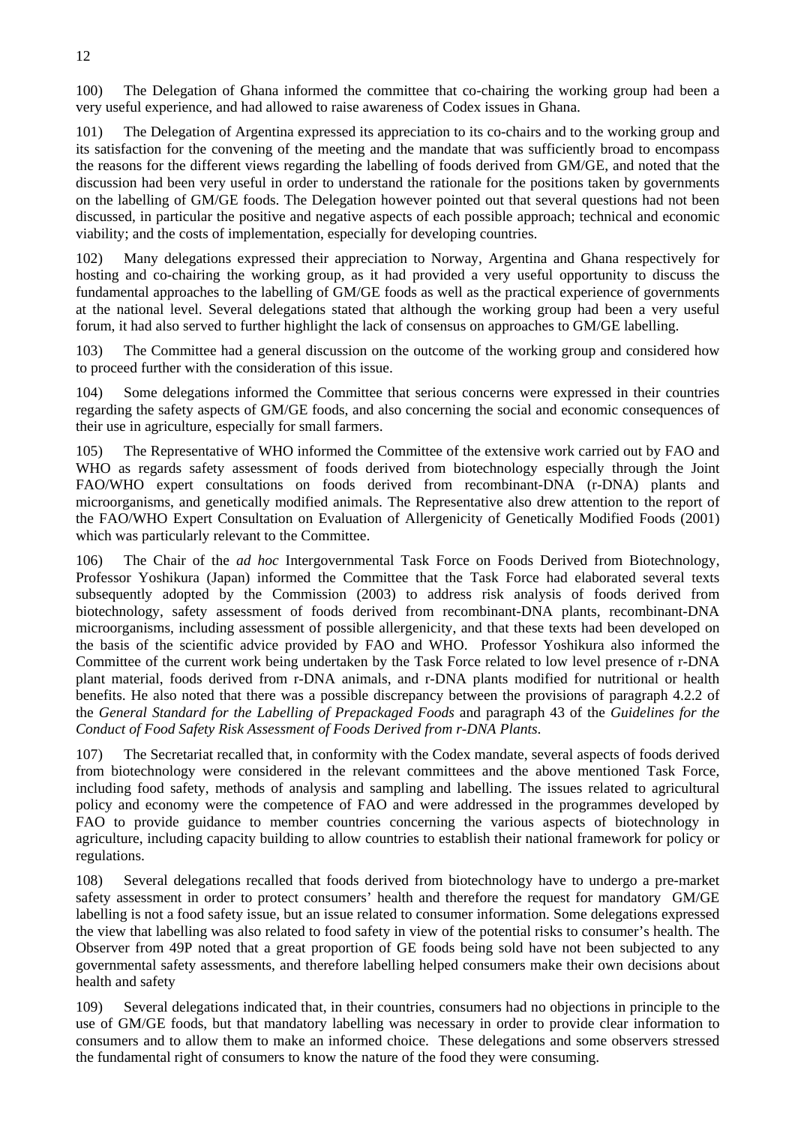100) The Delegation of Ghana informed the committee that co-chairing the working group had been a very useful experience, and had allowed to raise awareness of Codex issues in Ghana.

101) The Delegation of Argentina expressed its appreciation to its co-chairs and to the working group and its satisfaction for the convening of the meeting and the mandate that was sufficiently broad to encompass the reasons for the different views regarding the labelling of foods derived from GM/GE, and noted that the discussion had been very useful in order to understand the rationale for the positions taken by governments on the labelling of GM/GE foods. The Delegation however pointed out that several questions had not been discussed, in particular the positive and negative aspects of each possible approach; technical and economic viability; and the costs of implementation, especially for developing countries.

Many delegations expressed their appreciation to Norway, Argentina and Ghana respectively for hosting and co-chairing the working group, as it had provided a very useful opportunity to discuss the fundamental approaches to the labelling of GM/GE foods as well as the practical experience of governments at the national level. Several delegations stated that although the working group had been a very useful forum, it had also served to further highlight the lack of consensus on approaches to GM/GE labelling.

103) The Committee had a general discussion on the outcome of the working group and considered how to proceed further with the consideration of this issue.

104) Some delegations informed the Committee that serious concerns were expressed in their countries regarding the safety aspects of GM/GE foods, and also concerning the social and economic consequences of their use in agriculture, especially for small farmers.

105) The Representative of WHO informed the Committee of the extensive work carried out by FAO and WHO as regards safety assessment of foods derived from biotechnology especially through the Joint FAO/WHO expert consultations on foods derived from recombinant-DNA (r-DNA) plants and microorganisms, and genetically modified animals. The Representative also drew attention to the report of the FAO/WHO Expert Consultation on Evaluation of Allergenicity of Genetically Modified Foods (2001) which was particularly relevant to the Committee.

106) The Chair of the *ad hoc* Intergovernmental Task Force on Foods Derived from Biotechnology, Professor Yoshikura (Japan) informed the Committee that the Task Force had elaborated several texts subsequently adopted by the Commission (2003) to address risk analysis of foods derived from biotechnology, safety assessment of foods derived from recombinant-DNA plants, recombinant-DNA microorganisms, including assessment of possible allergenicity, and that these texts had been developed on the basis of the scientific advice provided by FAO and WHO. Professor Yoshikura also informed the Committee of the current work being undertaken by the Task Force related to low level presence of r-DNA plant material, foods derived from r-DNA animals, and r-DNA plants modified for nutritional or health benefits. He also noted that there was a possible discrepancy between the provisions of paragraph 4.2.2 of the *General Standard for the Labelling of Prepackaged Foods* and paragraph 43 of the *Guidelines for the Conduct of Food Safety Risk Assessment of Foods Derived from r-DNA Plants*.

107) The Secretariat recalled that, in conformity with the Codex mandate, several aspects of foods derived from biotechnology were considered in the relevant committees and the above mentioned Task Force, including food safety, methods of analysis and sampling and labelling. The issues related to agricultural policy and economy were the competence of FAO and were addressed in the programmes developed by FAO to provide guidance to member countries concerning the various aspects of biotechnology in agriculture, including capacity building to allow countries to establish their national framework for policy or regulations.

108) Several delegations recalled that foods derived from biotechnology have to undergo a pre-market safety assessment in order to protect consumers' health and therefore the request for mandatory GM/GE labelling is not a food safety issue, but an issue related to consumer information. Some delegations expressed the view that labelling was also related to food safety in view of the potential risks to consumer's health. The Observer from 49P noted that a great proportion of GE foods being sold have not been subjected to any governmental safety assessments, and therefore labelling helped consumers make their own decisions about health and safety

109) Several delegations indicated that, in their countries, consumers had no objections in principle to the use of GM/GE foods, but that mandatory labelling was necessary in order to provide clear information to consumers and to allow them to make an informed choice. These delegations and some observers stressed the fundamental right of consumers to know the nature of the food they were consuming.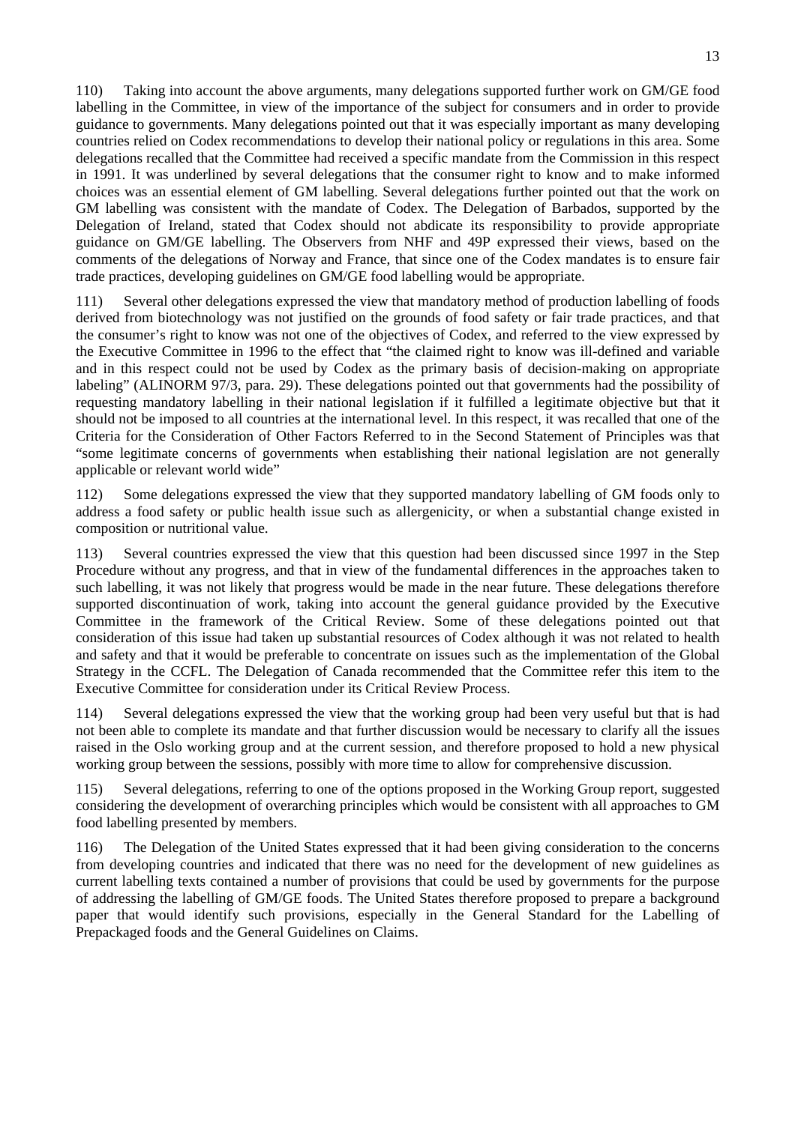110) Taking into account the above arguments, many delegations supported further work on GM/GE food labelling in the Committee, in view of the importance of the subject for consumers and in order to provide guidance to governments. Many delegations pointed out that it was especially important as many developing countries relied on Codex recommendations to develop their national policy or regulations in this area. Some delegations recalled that the Committee had received a specific mandate from the Commission in this respect in 1991. It was underlined by several delegations that the consumer right to know and to make informed choices was an essential element of GM labelling. Several delegations further pointed out that the work on GM labelling was consistent with the mandate of Codex. The Delegation of Barbados, supported by the Delegation of Ireland, stated that Codex should not abdicate its responsibility to provide appropriate guidance on GM/GE labelling. The Observers from NHF and 49P expressed their views, based on the comments of the delegations of Norway and France, that since one of the Codex mandates is to ensure fair trade practices, developing guidelines on GM/GE food labelling would be appropriate.

111) Several other delegations expressed the view that mandatory method of production labelling of foods derived from biotechnology was not justified on the grounds of food safety or fair trade practices, and that the consumer's right to know was not one of the objectives of Codex, and referred to the view expressed by the Executive Committee in 1996 to the effect that "the claimed right to know was ill-defined and variable and in this respect could not be used by Codex as the primary basis of decision-making on appropriate labeling" (ALINORM 97/3, para. 29). These delegations pointed out that governments had the possibility of requesting mandatory labelling in their national legislation if it fulfilled a legitimate objective but that it should not be imposed to all countries at the international level. In this respect, it was recalled that one of the Criteria for the Consideration of Other Factors Referred to in the Second Statement of Principles was that "some legitimate concerns of governments when establishing their national legislation are not generally applicable or relevant world wide"

112) Some delegations expressed the view that they supported mandatory labelling of GM foods only to address a food safety or public health issue such as allergenicity, or when a substantial change existed in composition or nutritional value.

113) Several countries expressed the view that this question had been discussed since 1997 in the Step Procedure without any progress, and that in view of the fundamental differences in the approaches taken to such labelling, it was not likely that progress would be made in the near future. These delegations therefore supported discontinuation of work, taking into account the general guidance provided by the Executive Committee in the framework of the Critical Review. Some of these delegations pointed out that consideration of this issue had taken up substantial resources of Codex although it was not related to health and safety and that it would be preferable to concentrate on issues such as the implementation of the Global Strategy in the CCFL. The Delegation of Canada recommended that the Committee refer this item to the Executive Committee for consideration under its Critical Review Process.

114) Several delegations expressed the view that the working group had been very useful but that is had not been able to complete its mandate and that further discussion would be necessary to clarify all the issues raised in the Oslo working group and at the current session, and therefore proposed to hold a new physical working group between the sessions, possibly with more time to allow for comprehensive discussion.

115) Several delegations, referring to one of the options proposed in the Working Group report, suggested considering the development of overarching principles which would be consistent with all approaches to GM food labelling presented by members.

116) The Delegation of the United States expressed that it had been giving consideration to the concerns from developing countries and indicated that there was no need for the development of new guidelines as current labelling texts contained a number of provisions that could be used by governments for the purpose of addressing the labelling of GM/GE foods. The United States therefore proposed to prepare a background paper that would identify such provisions, especially in the General Standard for the Labelling of Prepackaged foods and the General Guidelines on Claims.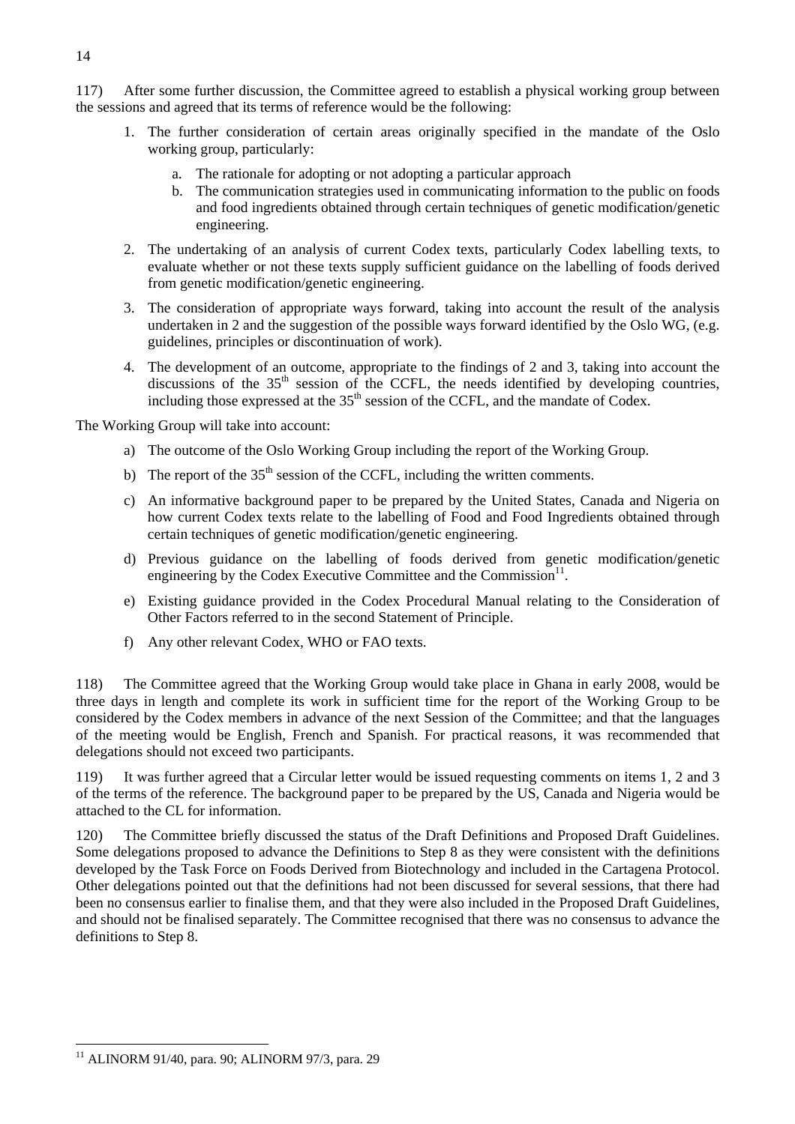117) After some further discussion, the Committee agreed to establish a physical working group between the sessions and agreed that its terms of reference would be the following:

- 1. The further consideration of certain areas originally specified in the mandate of the Oslo working group, particularly:
	- a. The rationale for adopting or not adopting a particular approach
	- b. The communication strategies used in communicating information to the public on foods and food ingredients obtained through certain techniques of genetic modification/genetic engineering.
- 2. The undertaking of an analysis of current Codex texts, particularly Codex labelling texts, to evaluate whether or not these texts supply sufficient guidance on the labelling of foods derived from genetic modification/genetic engineering.
- 3. The consideration of appropriate ways forward, taking into account the result of the analysis undertaken in 2 and the suggestion of the possible ways forward identified by the Oslo WG, (e.g. guidelines, principles or discontinuation of work).
- 4. The development of an outcome, appropriate to the findings of 2 and 3, taking into account the discussions of the  $35<sup>th</sup>$  session of the CCFL, the needs identified by developing countries, including those expressed at the  $35<sup>th</sup>$  session of the CCFL, and the mandate of Codex.

The Working Group will take into account:

- a) The outcome of the Oslo Working Group including the report of the Working Group.
- b) The report of the  $35<sup>th</sup>$  session of the CCFL, including the written comments.
- c) An informative background paper to be prepared by the United States, Canada and Nigeria on how current Codex texts relate to the labelling of Food and Food Ingredients obtained through certain techniques of genetic modification/genetic engineering.
- d) Previous guidance on the labelling of foods derived from genetic modification/genetic engineering by the Codex Executive Committee and the Commission $^{11}$ .
- e) Existing guidance provided in the Codex Procedural Manual relating to the Consideration of Other Factors referred to in the second Statement of Principle.
- f) Any other relevant Codex, WHO or FAO texts.

118) The Committee agreed that the Working Group would take place in Ghana in early 2008, would be three days in length and complete its work in sufficient time for the report of the Working Group to be considered by the Codex members in advance of the next Session of the Committee; and that the languages of the meeting would be English, French and Spanish. For practical reasons, it was recommended that delegations should not exceed two participants.

119) It was further agreed that a Circular letter would be issued requesting comments on items 1, 2 and 3 of the terms of the reference. The background paper to be prepared by the US, Canada and Nigeria would be attached to the CL for information.

120) The Committee briefly discussed the status of the Draft Definitions and Proposed Draft Guidelines. Some delegations proposed to advance the Definitions to Step 8 as they were consistent with the definitions developed by the Task Force on Foods Derived from Biotechnology and included in the Cartagena Protocol. Other delegations pointed out that the definitions had not been discussed for several sessions, that there had been no consensus earlier to finalise them, and that they were also included in the Proposed Draft Guidelines, and should not be finalised separately. The Committee recognised that there was no consensus to advance the definitions to Step 8.

 $\overline{a}$ <sup>11</sup> ALINORM 91/40, para. 90; ALINORM 97/3, para. 29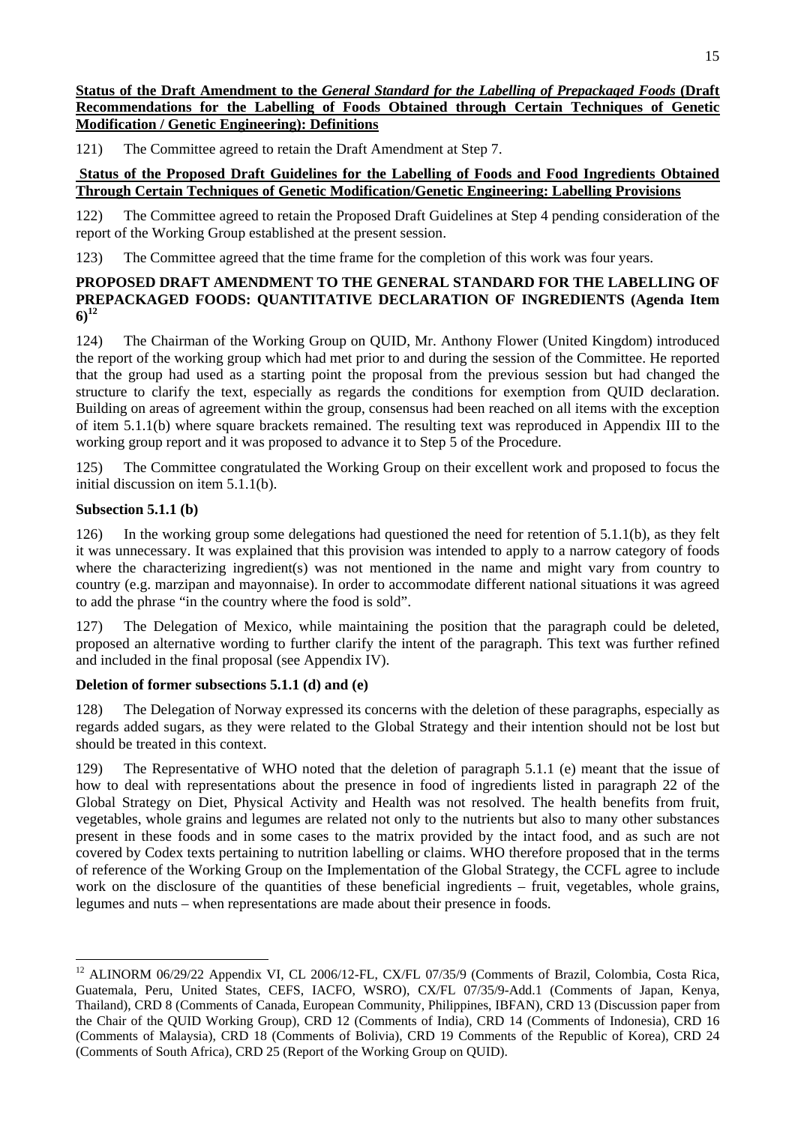# **Status of the Draft Amendment to the** *General Standard for the Labelling of Prepackaged Foods* **(Draft Recommendations for the Labelling of Foods Obtained through Certain Techniques of Genetic Modification / Genetic Engineering): Definitions**

121) The Committee agreed to retain the Draft Amendment at Step 7.

# **Status of the Proposed Draft Guidelines for the Labelling of Foods and Food Ingredients Obtained Through Certain Techniques of Genetic Modification/Genetic Engineering: Labelling Provisions**

122) The Committee agreed to retain the Proposed Draft Guidelines at Step 4 pending consideration of the report of the Working Group established at the present session.

123) The Committee agreed that the time frame for the completion of this work was four years.

# **PROPOSED DRAFT AMENDMENT TO THE GENERAL STANDARD FOR THE LABELLING OF PREPACKAGED FOODS: QUANTITATIVE DECLARATION OF INGREDIENTS (Agenda Item 6)<sup>12</sup>**

124) The Chairman of the Working Group on QUID, Mr. Anthony Flower (United Kingdom) introduced the report of the working group which had met prior to and during the session of the Committee. He reported that the group had used as a starting point the proposal from the previous session but had changed the structure to clarify the text, especially as regards the conditions for exemption from QUID declaration. Building on areas of agreement within the group, consensus had been reached on all items with the exception of item 5.1.1(b) where square brackets remained. The resulting text was reproduced in Appendix III to the working group report and it was proposed to advance it to Step 5 of the Procedure.

125) The Committee congratulated the Working Group on their excellent work and proposed to focus the initial discussion on item 5.1.1(b).

# **Subsection 5.1.1 (b)**

 $\overline{a}$ 

126) In the working group some delegations had questioned the need for retention of 5.1.1(b), as they felt it was unnecessary. It was explained that this provision was intended to apply to a narrow category of foods where the characterizing ingredients) was not mentioned in the name and might vary from country to country (e.g. marzipan and mayonnaise). In order to accommodate different national situations it was agreed to add the phrase "in the country where the food is sold".

127) The Delegation of Mexico, while maintaining the position that the paragraph could be deleted, proposed an alternative wording to further clarify the intent of the paragraph. This text was further refined and included in the final proposal (see Appendix IV).

# **Deletion of former subsections 5.1.1 (d) and (e)**

128) The Delegation of Norway expressed its concerns with the deletion of these paragraphs, especially as regards added sugars, as they were related to the Global Strategy and their intention should not be lost but should be treated in this context.

129) The Representative of WHO noted that the deletion of paragraph 5.1.1 (e) meant that the issue of how to deal with representations about the presence in food of ingredients listed in paragraph 22 of the Global Strategy on Diet, Physical Activity and Health was not resolved. The health benefits from fruit, vegetables, whole grains and legumes are related not only to the nutrients but also to many other substances present in these foods and in some cases to the matrix provided by the intact food, and as such are not covered by Codex texts pertaining to nutrition labelling or claims. WHO therefore proposed that in the terms of reference of the Working Group on the Implementation of the Global Strategy, the CCFL agree to include work on the disclosure of the quantities of these beneficial ingredients – fruit, vegetables, whole grains, legumes and nuts – when representations are made about their presence in foods.

<sup>&</sup>lt;sup>12</sup> ALINORM 06/29/22 Appendix VI, CL 2006/12-FL, CX/FL 07/35/9 (Comments of Brazil, Colombia, Costa Rica, Guatemala, Peru, United States, CEFS, IACFO, WSRO), CX/FL 07/35/9-Add.1 (Comments of Japan, Kenya, Thailand), CRD 8 (Comments of Canada, European Community, Philippines, IBFAN), CRD 13 (Discussion paper from the Chair of the QUID Working Group), CRD 12 (Comments of India), CRD 14 (Comments of Indonesia), CRD 16 (Comments of Malaysia), CRD 18 (Comments of Bolivia), CRD 19 Comments of the Republic of Korea), CRD 24 (Comments of South Africa), CRD 25 (Report of the Working Group on QUID).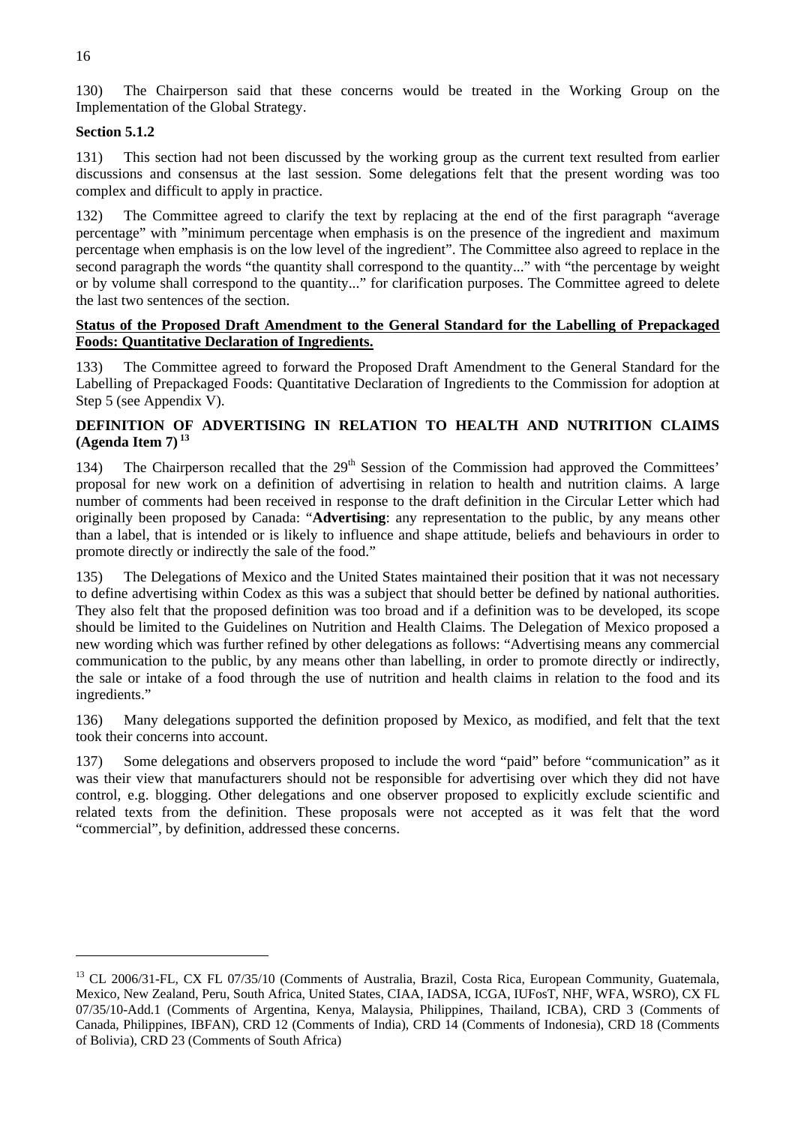130) The Chairperson said that these concerns would be treated in the Working Group on the Implementation of the Global Strategy.

# **Section 5.1.2**

131) This section had not been discussed by the working group as the current text resulted from earlier discussions and consensus at the last session. Some delegations felt that the present wording was too complex and difficult to apply in practice.

132) The Committee agreed to clarify the text by replacing at the end of the first paragraph "average percentage" with "minimum percentage when emphasis is on the presence of the ingredient and maximum percentage when emphasis is on the low level of the ingredient". The Committee also agreed to replace in the second paragraph the words "the quantity shall correspond to the quantity..." with "the percentage by weight or by volume shall correspond to the quantity..." for clarification purposes. The Committee agreed to delete the last two sentences of the section.

# **Status of the Proposed Draft Amendment to the General Standard for the Labelling of Prepackaged Foods: Quantitative Declaration of Ingredients.**

133) The Committee agreed to forward the Proposed Draft Amendment to the General Standard for the Labelling of Prepackaged Foods: Quantitative Declaration of Ingredients to the Commission for adoption at Step 5 (see Appendix V).

# **DEFINITION OF ADVERTISING IN RELATION TO HEALTH AND NUTRITION CLAIMS (Agenda Item 7) 13**

134) The Chairperson recalled that the 29<sup>th</sup> Session of the Commission had approved the Committees' proposal for new work on a definition of advertising in relation to health and nutrition claims. A large number of comments had been received in response to the draft definition in the Circular Letter which had originally been proposed by Canada: "**Advertising**: any representation to the public, by any means other than a label, that is intended or is likely to influence and shape attitude, beliefs and behaviours in order to promote directly or indirectly the sale of the food."

135) The Delegations of Mexico and the United States maintained their position that it was not necessary to define advertising within Codex as this was a subject that should better be defined by national authorities. They also felt that the proposed definition was too broad and if a definition was to be developed, its scope should be limited to the Guidelines on Nutrition and Health Claims. The Delegation of Mexico proposed a new wording which was further refined by other delegations as follows: "Advertising means any commercial communication to the public, by any means other than labelling, in order to promote directly or indirectly, the sale or intake of a food through the use of nutrition and health claims in relation to the food and its ingredients."

136) Many delegations supported the definition proposed by Mexico, as modified, and felt that the text took their concerns into account.

137) Some delegations and observers proposed to include the word "paid" before "communication" as it was their view that manufacturers should not be responsible for advertising over which they did not have control, e.g. blogging. Other delegations and one observer proposed to explicitly exclude scientific and related texts from the definition. These proposals were not accepted as it was felt that the word "commercial", by definition, addressed these concerns.

 $\overline{a}$ 

<sup>&</sup>lt;sup>13</sup> CL 2006/31-FL, CX FL 07/35/10 (Comments of Australia, Brazil, Costa Rica, European Community, Guatemala, Mexico, New Zealand, Peru, South Africa, United States, CIAA, IADSA, ICGA, IUFosT, NHF, WFA, WSRO), CX FL 07/35/10-Add.1 (Comments of Argentina, Kenya, Malaysia, Philippines, Thailand, ICBA), CRD 3 (Comments of Canada, Philippines, IBFAN), CRD 12 (Comments of India), CRD 14 (Comments of Indonesia), CRD 18 (Comments of Bolivia), CRD 23 (Comments of South Africa)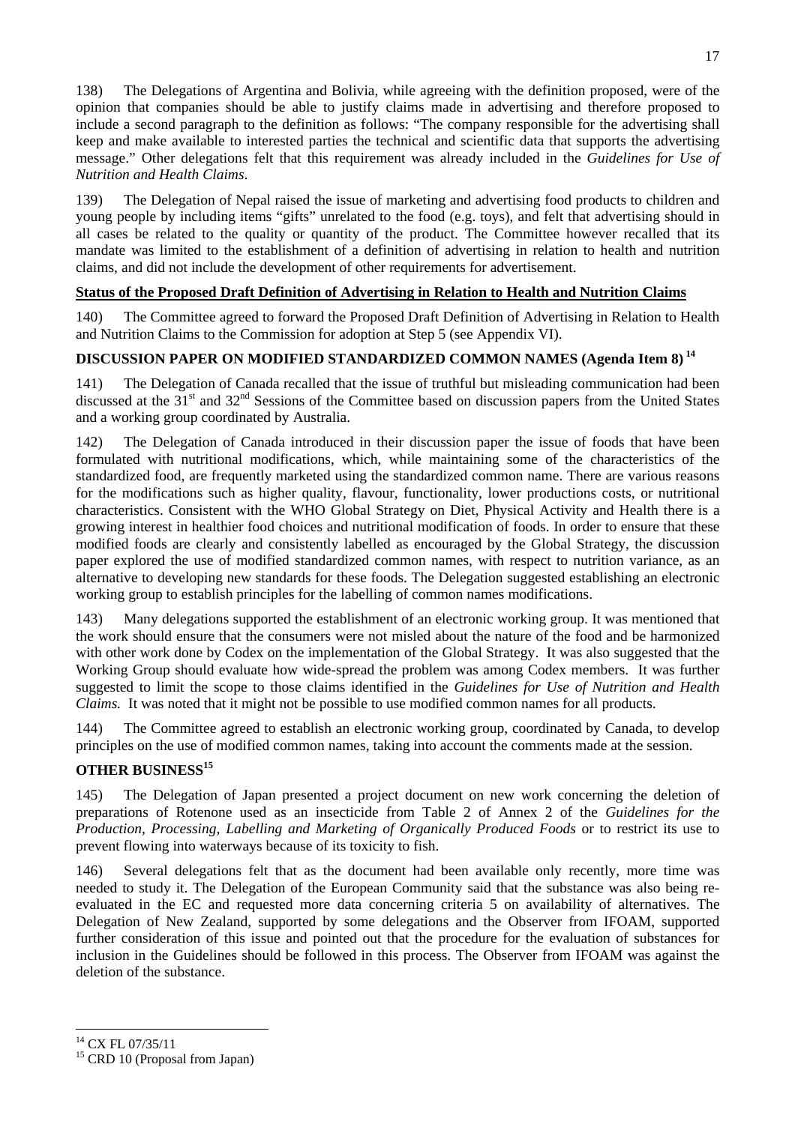138) The Delegations of Argentina and Bolivia, while agreeing with the definition proposed, were of the opinion that companies should be able to justify claims made in advertising and therefore proposed to include a second paragraph to the definition as follows: "The company responsible for the advertising shall keep and make available to interested parties the technical and scientific data that supports the advertising message." Other delegations felt that this requirement was already included in the *Guidelines for Use of Nutrition and Health Claims*.

The Delegation of Nepal raised the issue of marketing and advertising food products to children and young people by including items "gifts" unrelated to the food (e.g. toys), and felt that advertising should in all cases be related to the quality or quantity of the product. The Committee however recalled that its mandate was limited to the establishment of a definition of advertising in relation to health and nutrition claims, and did not include the development of other requirements for advertisement.

# **Status of the Proposed Draft Definition of Advertising in Relation to Health and Nutrition Claims**

140) The Committee agreed to forward the Proposed Draft Definition of Advertising in Relation to Health and Nutrition Claims to the Commission for adoption at Step 5 (see Appendix VI).

# **DISCUSSION PAPER ON MODIFIED STANDARDIZED COMMON NAMES (Agenda Item 8)<sup>14</sup>**

141) The Delegation of Canada recalled that the issue of truthful but misleading communication had been discussed at the 31<sup>st</sup> and 32<sup>nd</sup> Sessions of the Committee based on discussion papers from the United States and a working group coordinated by Australia.

142) The Delegation of Canada introduced in their discussion paper the issue of foods that have been formulated with nutritional modifications, which, while maintaining some of the characteristics of the standardized food, are frequently marketed using the standardized common name. There are various reasons for the modifications such as higher quality, flavour, functionality, lower productions costs, or nutritional characteristics. Consistent with the WHO Global Strategy on Diet, Physical Activity and Health there is a growing interest in healthier food choices and nutritional modification of foods. In order to ensure that these modified foods are clearly and consistently labelled as encouraged by the Global Strategy, the discussion paper explored the use of modified standardized common names, with respect to nutrition variance, as an alternative to developing new standards for these foods. The Delegation suggested establishing an electronic working group to establish principles for the labelling of common names modifications.

143) Many delegations supported the establishment of an electronic working group. It was mentioned that the work should ensure that the consumers were not misled about the nature of the food and be harmonized with other work done by Codex on the implementation of the Global Strategy. It was also suggested that the Working Group should evaluate how wide-spread the problem was among Codex members. It was further suggested to limit the scope to those claims identified in the *Guidelines for Use of Nutrition and Health Claims.* It was noted that it might not be possible to use modified common names for all products.

144) The Committee agreed to establish an electronic working group, coordinated by Canada, to develop principles on the use of modified common names, taking into account the comments made at the session.

# **OTHER BUSINESS<sup>15</sup>**

145) The Delegation of Japan presented a project document on new work concerning the deletion of preparations of Rotenone used as an insecticide from Table 2 of Annex 2 of the *Guidelines for the Production, Processing, Labelling and Marketing of Organically Produced Foods* or to restrict its use to prevent flowing into waterways because of its toxicity to fish.

146) Several delegations felt that as the document had been available only recently, more time was needed to study it. The Delegation of the European Community said that the substance was also being reevaluated in the EC and requested more data concerning criteria 5 on availability of alternatives. The Delegation of New Zealand, supported by some delegations and the Observer from IFOAM, supported further consideration of this issue and pointed out that the procedure for the evaluation of substances for inclusion in the Guidelines should be followed in this process. The Observer from IFOAM was against the deletion of the substance.

 $\overline{a}$ 

<sup>&</sup>lt;sup>14</sup> CX FL 07/35/11

<sup>15</sup> CRD 10 (Proposal from Japan)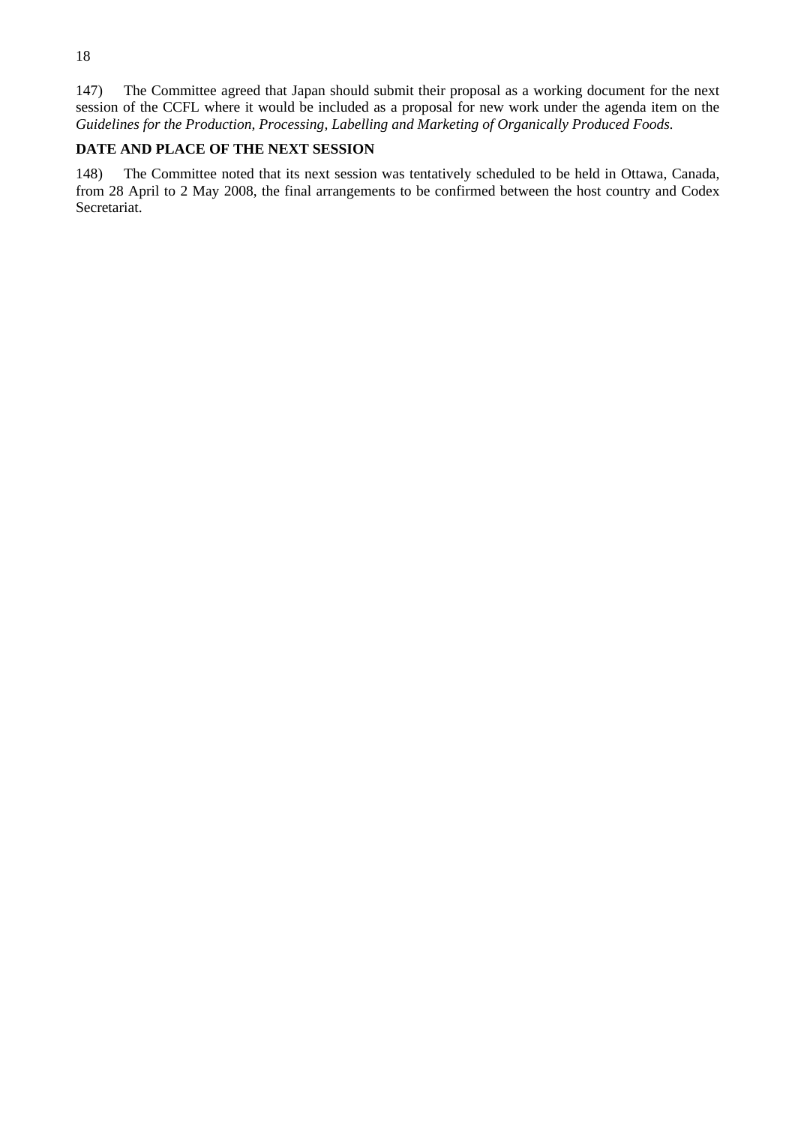147) The Committee agreed that Japan should submit their proposal as a working document for the next session of the CCFL where it would be included as a proposal for new work under the agenda item on the *Guidelines for the Production, Processing, Labelling and Marketing of Organically Produced Foods.*

# **DATE AND PLACE OF THE NEXT SESSION**

148) The Committee noted that its next session was tentatively scheduled to be held in Ottawa, Canada, from 28 April to 2 May 2008, the final arrangements to be confirmed between the host country and Codex Secretariat.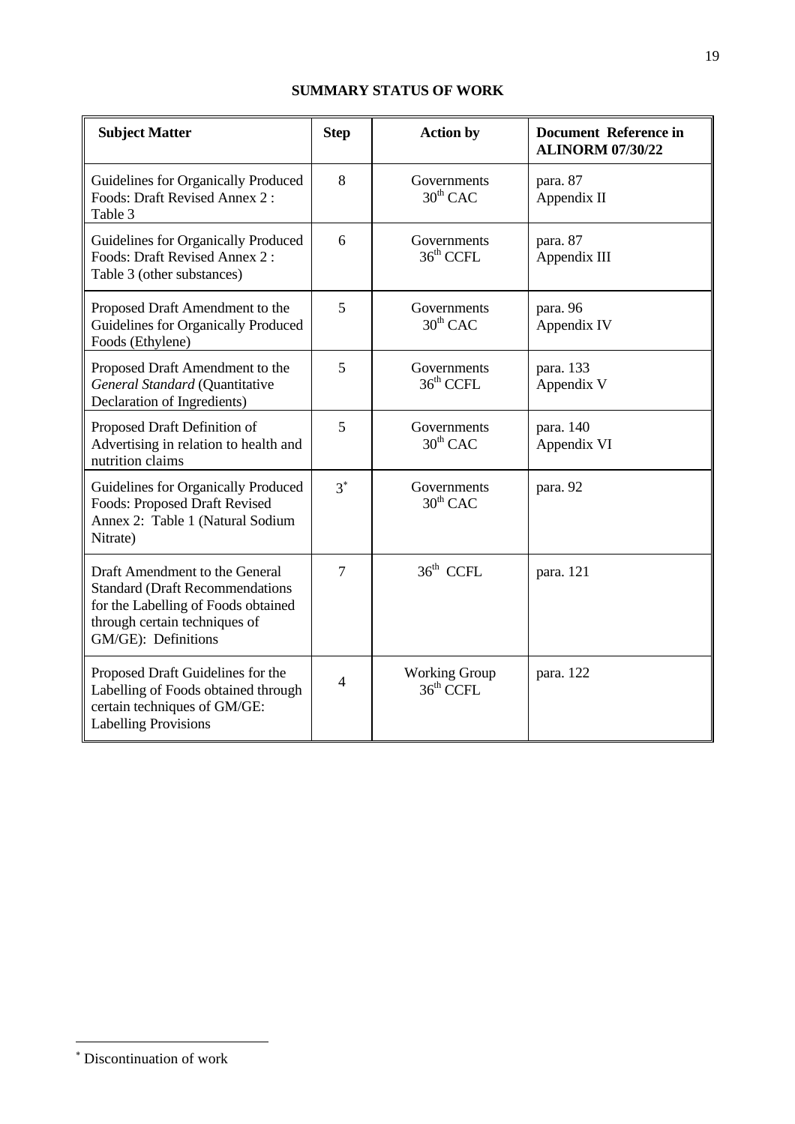# **SUMMARY STATUS OF WORK**

| <b>Subject Matter</b>                                                                                                                                                   | <b>Step</b>    | <b>Action by</b>                     | <b>Document Reference in</b><br><b>ALINORM 07/30/22</b> |
|-------------------------------------------------------------------------------------------------------------------------------------------------------------------------|----------------|--------------------------------------|---------------------------------------------------------|
| Guidelines for Organically Produced<br>Foods: Draft Revised Annex 2:<br>Table 3                                                                                         | 8              | Governments<br>$30^{th}$ CAC         | para. 87<br>Appendix II                                 |
| Guidelines for Organically Produced<br>Foods: Draft Revised Annex 2:<br>Table 3 (other substances)                                                                      | 6              | Governments<br>$36th$ CCFL           | para. 87<br>Appendix III                                |
| Proposed Draft Amendment to the<br>Guidelines for Organically Produced<br>Foods (Ethylene)                                                                              | 5              | Governments<br>$30th$ CAC            | para. 96<br>Appendix IV                                 |
| Proposed Draft Amendment to the<br>General Standard (Quantitative<br>Declaration of Ingredients)                                                                        | 5              | Governments<br>36 <sup>th</sup> CCFL | para. 133<br>Appendix V                                 |
| Proposed Draft Definition of<br>Advertising in relation to health and<br>nutrition claims                                                                               | 5              | Governments<br>$30th$ CAC            | para. 140<br>Appendix VI                                |
| Guidelines for Organically Produced<br><b>Foods: Proposed Draft Revised</b><br>Annex 2: Table 1 (Natural Sodium<br>Nitrate)                                             | $3^*$          | Governments<br>$30^{th}$ CAC         | para. 92                                                |
| Draft Amendment to the General<br><b>Standard (Draft Recommendations</b><br>for the Labelling of Foods obtained<br>through certain techniques of<br>GM/GE): Definitions | $\overline{7}$ | $36th$ CCFL                          | para. 121                                               |
| Proposed Draft Guidelines for the<br>Labelling of Foods obtained through<br>certain techniques of GM/GE:<br><b>Labelling Provisions</b>                                 | $\overline{4}$ | <b>Working Group</b><br>$36th$ CCFL  | para. 122                                               |

 ∗ Discontinuation of work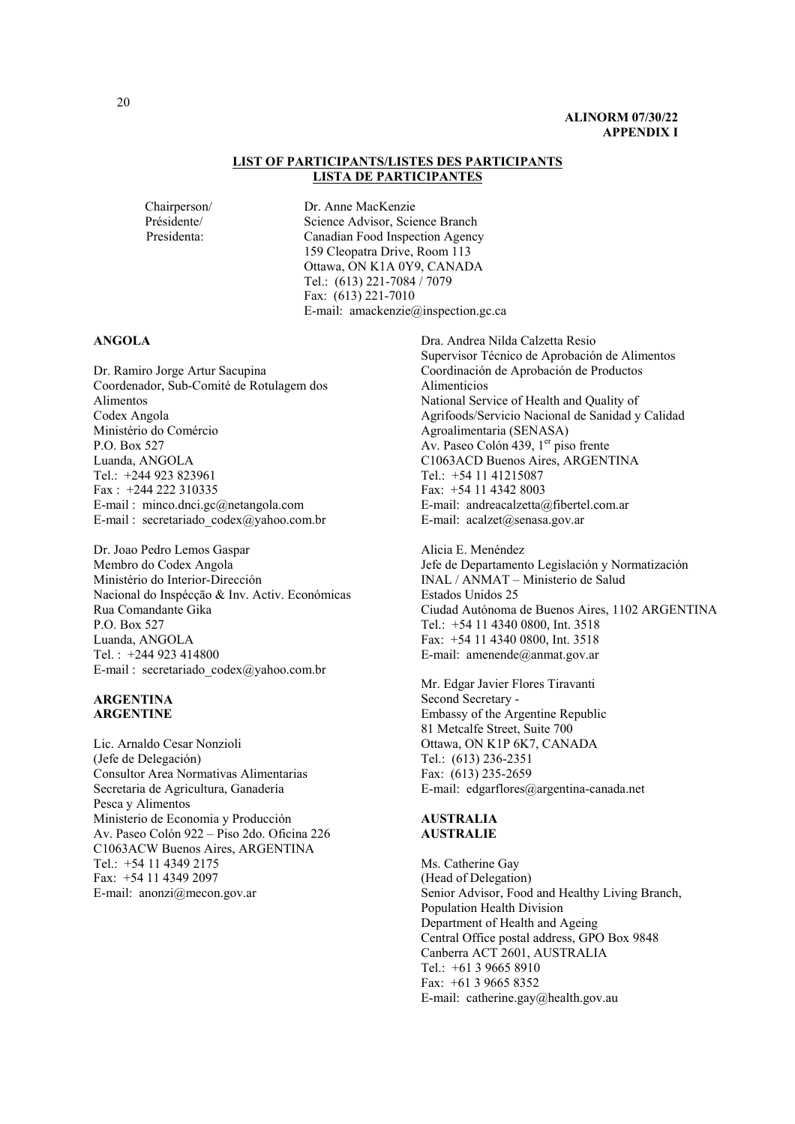#### **LIST OF PARTICIPANTS/LISTES DES PARTICIPANTS LISTA DE PARTICIPANTES**

Chairperson/ Dr. Anne MacKenzie Présidente/ Science Advisor, Science Branch Presidenta: Canadian Food Inspection Agency 159 Cleopatra Drive, Room 113 Ottawa, ON K1A 0Y9, CANADA Tel.: (613) 221-7084 / 7079 Fax: (613) 221-7010 E-mail: amackenzie@inspection.gc.ca

#### **ANGOLA**

Dr. Ramiro Jorge Artur Sacupina Coordenador, Sub-Comité de Rotulagem dos Alimentos Codex Angola Ministério do Comércio P.O. Box 527 Luanda, ANGOLA Tel.: +244 923 823961 Fax : +244 222 310335 E-mail : minco.dnci.gc@netangola.com E-mail : secretariado  $\text{codex}(a)$ yahoo.com.br

Dr. Joao Pedro Lemos Gaspar Membro do Codex Angola Ministério do Interior-Dirección Nacional do Inspécçāo & Inv. Activ. Económicas Rua Comandante Gika P.O. Box 527 Luanda, ANGOLA Tel. : +244 923 414800 E-mail : secretariado\_codex@yahoo.com.br

#### **ARGENTINA ARGENTINE**

Lic. Arnaldo Cesar Nonzioli (Jefe de Delegación) Consultor Area Normativas Alimentarias Secretaria de Agricultura, Ganadería Pesca y Alimentos Ministerio de Economia y Producción Av. Paseo Colón 922 – Piso 2do. Oficina 226 C1063ACW Buenos Aires, ARGENTINA Tel.: +54 11 4349 2175 Fax: +54 11 4349 2097 E-mail: anonzi@mecon.gov.ar

Dra. Andrea Nilda Calzetta Resio Supervisor Técnico de Aprobación de Alimentos Coordinación de Aprobación de Productos Alimenticios National Service of Health and Quality of Agrifoods/Servicio Nacional de Sanidad y Calidad Agroalimentaria (SENASA) Av. Paseo Colón 439, 1<sup>er</sup> piso frente C1063ACD Buenos Aires, ARGENTINA Tel.: +54 11 41215087 Fax: +54 11 4342 8003 E-mail: andreacalzetta@fibertel.com.ar E-mail: acalzet@senasa.gov.ar

Alicia E. Menéndez Jefe de Departamento Legislación y Normatización INAL / ANMAT – Ministerio de Salud Estados Unidos 25 Ciudad Autónoma de Buenos Aires, 1102 ARGENTINA Tel.: +54 11 4340 0800, Int. 3518 Fax: +54 11 4340 0800, Int. 3518 E-mail: amenende@anmat.gov.ar

Mr. Edgar Javier Flores Tiravanti Second Secretary - Embassy of the Argentine Republic 81 Metcalfe Street, Suite 700 Ottawa, ON K1P 6K7, CANADA Tel.: (613) 236-2351 Fax: (613) 235-2659 E-mail: edgarflores@argentina-canada.net

#### **AUSTRALIA AUSTRALIE**

Ms. Catherine Gay (Head of Delegation) Senior Advisor, Food and Healthy Living Branch, Population Health Division Department of Health and Ageing Central Office postal address, GPO Box 9848 Canberra ACT 2601, AUSTRALIA Tel.: +61 3 9665 8910 Fax: +61 3 9665 8352 E-mail: catherine.gay@health.gov.au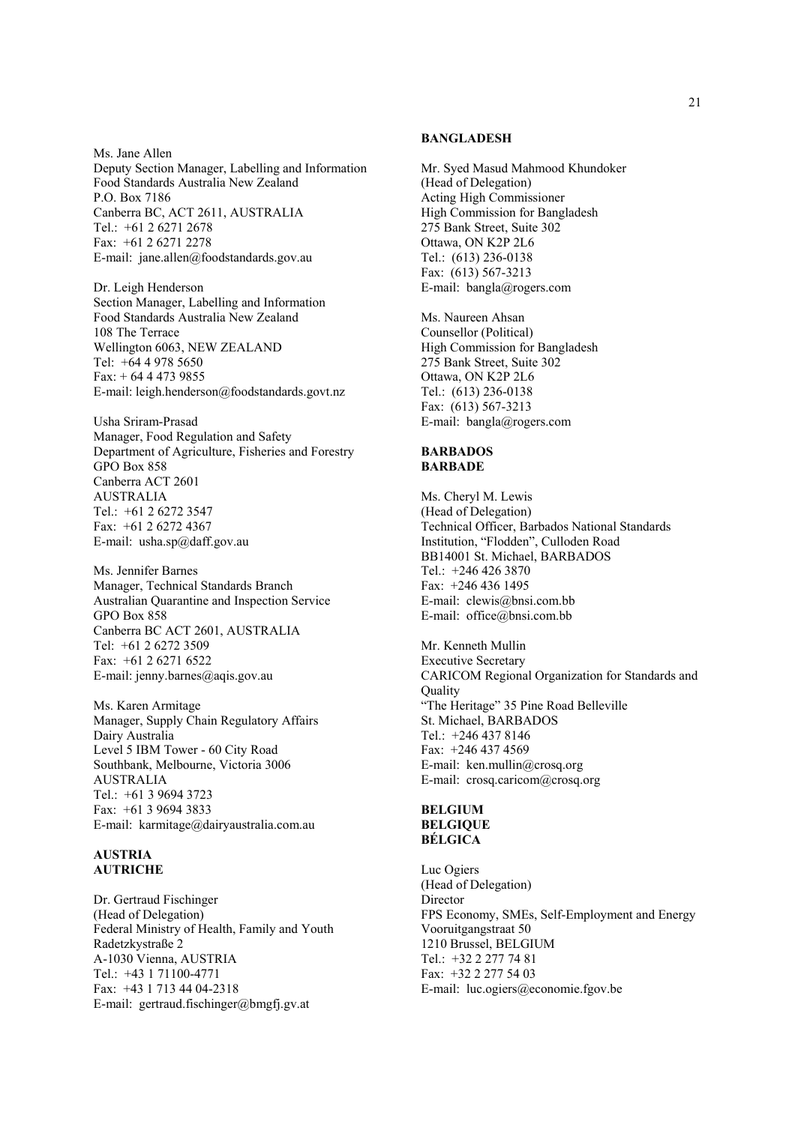Ms. Jane Allen Deputy Section Manager, Labelling and Information Food Standards Australia New Zealand P.O. Box 7186 Canberra BC, ACT 2611, AUSTRALIA Tel.: +61 2 6271 2678 Fax: +61 2 6271 2278 E-mail: jane.allen@foodstandards.gov.au

Dr. Leigh Henderson Section Manager, Labelling and Information Food Standards Australia New Zealand 108 The Terrace Wellington 6063, NEW ZEALAND Tel: +64 4 978 5650 Fax: + 64 4 473 9855 E-mail: leigh.henderson@foodstandards.govt.nz

Usha Sriram-Prasad Manager, Food Regulation and Safety Department of Agriculture, Fisheries and Forestry GPO Box 858 Canberra ACT 2601 AUSTRALIA Tel.: +61 2 6272 3547 Fax: +61 2 6272 4367 E-mail: usha.sp@daff.gov.au

Ms. Jennifer Barnes Manager, Technical Standards Branch Australian Quarantine and Inspection Service GPO Box 858 Canberra BC ACT 2601, AUSTRALIA Tel: +61 2 6272 3509 Fax: +61 2 6271 6522 E-mail: jenny.barnes@aqis.gov.au

Ms. Karen Armitage Manager, Supply Chain Regulatory Affairs Dairy Australia Level 5 IBM Tower - 60 City Road Southbank, Melbourne, Victoria 3006 AUSTRALIA Tel.: +61 3 9694 3723 Fax: +61 3 9694 3833 E-mail: karmitage@dairyaustralia.com.au

#### **AUSTRIA AUTRICHE**

Dr. Gertraud Fischinger (Head of Delegation) Federal Ministry of Health, Family and Youth Radetzkystraße 2 A-1030 Vienna, AUSTRIA Tel.: +43 1 71100-4771 Fax: +43 1 713 44 04-2318 E-mail: gertraud.fischinger@bmgfj.gv.at

#### **BANGLADESH**

Mr. Syed Masud Mahmood Khundoker (Head of Delegation) Acting High Commissioner High Commission for Bangladesh 275 Bank Street, Suite 302 Ottawa, ON K2P 2L6 Tel.: (613) 236-0138 Fax: (613) 567-3213 E-mail: bangla@rogers.com

Ms. Naureen Ahsan Counsellor (Political) High Commission for Bangladesh 275 Bank Street, Suite 302 Ottawa, ON K2P 2L6 Tel.: (613) 236-0138 Fax: (613) 567-3213 E-mail: bangla@rogers.com

#### **BARBADOS BARBADE**

Ms. Cheryl M. Lewis (Head of Delegation) Technical Officer, Barbados National Standards Institution, "Flodden", Culloden Road BB14001 St. Michael, BARBADOS Tel.: +246 426 3870 Fax: +246 436 1495 E-mail: clewis@bnsi.com.bb E-mail: office@bnsi.com.bb

Mr. Kenneth Mullin Executive Secretary CARICOM Regional Organization for Standards and **Quality** "The Heritage" 35 Pine Road Belleville St. Michael, BARBADOS Tel.: +246 437 8146 Fax: +246 437 4569 E-mail: ken.mullin@crosq.org E-mail: crosq.caricom@crosq.org

#### **BELGIUM BELGIQUE BÉLGICA**

Luc Ogiers (Head of Delegation) Director FPS Economy, SMEs, Self-Employment and Energy Vooruitgangstraat 50 1210 Brussel, BELGIUM Tel.: +32 2 277 74 81 Fax: +32 2 277 54 03 E-mail: luc.ogiers@economie.fgov.be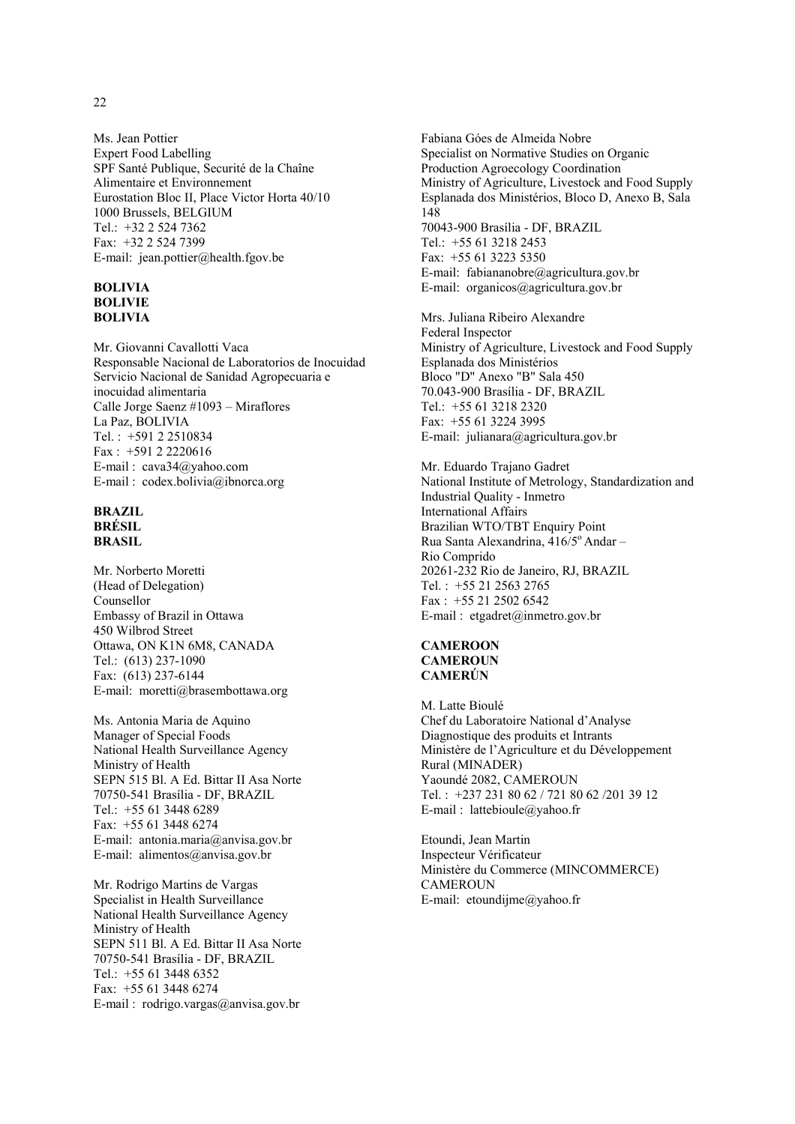Ms. Jean Pottier Expert Food Labelling SPF Santé Publique, Securité de la Chaîne Alimentaire et Environnement Eurostation Bloc II, Place Victor Horta 40/10 1000 Brussels, BELGIUM Tel.: +32 2 524 7362 Fax: +32 2 524 7399 E-mail: jean.pottier@health.fgov.be

#### **BOLIVIA BOLIVIE BOLIVIA**

Mr. Giovanni Cavallotti Vaca Responsable Nacional de Laboratorios de Inocuidad Servicio Nacional de Sanidad Agropecuaria e inocuidad alimentaria Calle Jorge Saenz #1093 – Miraflores La Paz, BOLIVIA Tel. : +591 2 2510834 Fax : +591 2 2220616 E-mail : cava34@yahoo.com E-mail : codex.bolivia@ibnorca.org

#### **BRAZIL BRÉSIL BRASIL**

Mr. Norberto Moretti (Head of Delegation) Counsellor Embassy of Brazil in Ottawa 450 Wilbrod Street Ottawa, ON K1N 6M8, CANADA Tel.: (613) 237-1090 Fax: (613) 237-6144 E-mail: moretti@brasembottawa.org

Ms. Antonia Maria de Aquino Manager of Special Foods National Health Surveillance Agency Ministry of Health SEPN 515 Bl. A Ed. Bittar II Asa Norte 70750-541 Brasília - DF, BRAZIL Tel.: +55 61 3448 6289 Fax: +55 61 3448 6274 E-mail: antonia.maria@anvisa.gov.br E-mail: alimentos@anvisa.gov.br

Mr. Rodrigo Martins de Vargas Specialist in Health Surveillance National Health Surveillance Agency Ministry of Health SEPN 511 Bl. A Ed. Bittar II Asa Norte 70750-541 Brasília - DF, BRAZIL Tel.: +55 61 3448 6352 Fax: +55 61 3448 6274 E-mail : rodrigo.vargas@anvisa.gov.br

Fabiana Góes de Almeida Nobre Specialist on Normative Studies on Organic Production Agroecology Coordination Ministry of Agriculture, Livestock and Food Supply Esplanada dos Ministérios, Bloco D, Anexo B, Sala 148 70043-900 Brasília - DF, BRAZIL Tel.: +55 61 3218 2453 Fax: +55 61 3223 5350 E-mail: fabiananobre@agricultura.gov.br E-mail: organicos@agricultura.gov.br

Mrs. Juliana Ribeiro Alexandre Federal Inspector Ministry of Agriculture, Livestock and Food Supply Esplanada dos Ministérios Bloco "D" Anexo "B" Sala 450 70.043-900 Brasília - DF, BRAZIL Tel.: +55 61 3218 2320 Fax: +55 61 3224 3995 E-mail: julianara@agricultura.gov.br

Mr. Eduardo Trajano Gadret National Institute of Metrology, Standardization and Industrial Quality - Inmetro International Affairs Brazilian WTO/TBT Enquiry Point Rua Santa Alexandrina, 416/5° Andar -Rio Comprido 20261-232 Rio de Janeiro, RJ, BRAZIL Tel. : +55 21 2563 2765 Fax : +55 21 2502 6542 E-mail : etgadret@inmetro.gov.br

#### **CAMEROON CAMEROUN CAMERÚN**

M. Latte Bioulé Chef du Laboratoire National d'Analyse Diagnostique des produits et Intrants Ministère de l'Agriculture et du Développement Rural (MINADER) Yaoundé 2082, CAMEROUN Tel. : +237 231 80 62 / 721 80 62 /201 39 12 E-mail : lattebioule@yahoo.fr

Etoundi, Jean Martin Inspecteur Vérificateur Ministère du Commerce (MINCOMMERCE) **CAMEROUN** E-mail: etoundijme@yahoo.fr

22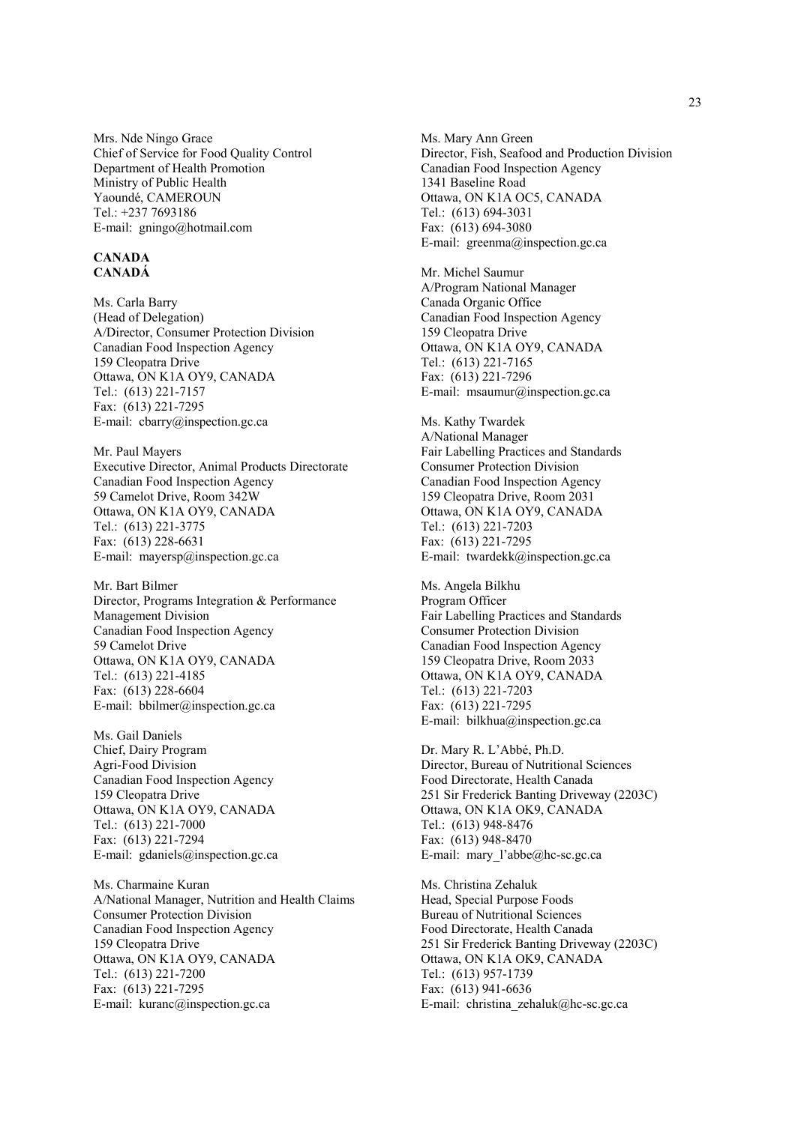Mrs. Nde Ningo Grace Chief of Service for Food Quality Control Department of Health Promotion Ministry of Public Health Yaoundé, CAMEROUN Tel.: +237 7693186 E-mail: gningo@hotmail.com

#### **CANADA CANADÁ**

Ms. Carla Barry (Head of Delegation) A/Director, Consumer Protection Division Canadian Food Inspection Agency 159 Cleopatra Drive Ottawa, ON K1A OY9, CANADA Tel.: (613) 221-7157 Fax: (613) 221-7295 E-mail: cbarry@inspection.gc.ca

Mr. Paul Mayers Executive Director, Animal Products Directorate Canadian Food Inspection Agency 59 Camelot Drive, Room 342W Ottawa, ON K1A OY9, CANADA Tel.: (613) 221-3775 Fax: (613) 228-6631 E-mail: mayersp@inspection.gc.ca

Mr. Bart Bilmer Director, Programs Integration & Performance Management Division Canadian Food Inspection Agency 59 Camelot Drive Ottawa, ON K1A OY9, CANADA Tel.: (613) 221-4185 Fax: (613) 228-6604 E-mail: bbilmer@inspection.gc.ca

Ms. Gail Daniels Chief, Dairy Program Agri-Food Division Canadian Food Inspection Agency 159 Cleopatra Drive Ottawa, ON K1A OY9, CANADA Tel.: (613) 221-7000 Fax: (613) 221-7294 E-mail: gdaniels@inspection.gc.ca

Ms. Charmaine Kuran A/National Manager, Nutrition and Health Claims Consumer Protection Division Canadian Food Inspection Agency 159 Cleopatra Drive Ottawa, ON K1A OY9, CANADA Tel.: (613) 221-7200 Fax: (613) 221-7295 E-mail: kuranc@inspection.gc.ca

Ms. Mary Ann Green Director, Fish, Seafood and Production Division Canadian Food Inspection Agency 1341 Baseline Road Ottawa, ON K1A OC5, CANADA Tel.: (613) 694-3031 Fax: (613) 694-3080 E-mail: greenma@inspection.gc.ca

Mr. Michel Saumur A/Program National Manager Canada Organic Office Canadian Food Inspection Agency 159 Cleopatra Drive Ottawa, ON K1A OY9, CANADA Tel.: (613) 221-7165 Fax: (613) 221-7296 E-mail: msaumur@inspection.gc.ca

Ms. Kathy Twardek A/National Manager Fair Labelling Practices and Standards Consumer Protection Division Canadian Food Inspection Agency 159 Cleopatra Drive, Room 2031 Ottawa, ON K1A OY9, CANADA Tel.: (613) 221-7203 Fax: (613) 221-7295 E-mail: twardekk@inspection.gc.ca

Ms. Angela Bilkhu Program Officer Fair Labelling Practices and Standards Consumer Protection Division Canadian Food Inspection Agency 159 Cleopatra Drive, Room 2033 Ottawa, ON K1A OY9, CANADA Tel.: (613) 221-7203 Fax: (613) 221-7295 E-mail: bilkhua@inspection.gc.ca

Dr. Mary R. L'Abbé, Ph.D. Director, Bureau of Nutritional Sciences Food Directorate, Health Canada 251 Sir Frederick Banting Driveway (2203C) Ottawa, ON K1A OK9, CANADA Tel.: (613) 948-8476 Fax: (613) 948-8470 E-mail: mary l'abbe@hc-sc.gc.ca

Ms. Christina Zehaluk Head, Special Purpose Foods Bureau of Nutritional Sciences Food Directorate, Health Canada 251 Sir Frederick Banting Driveway (2203C) Ottawa, ON K1A OK9, CANADA Tel.: (613) 957-1739 Fax: (613) 941-6636 E-mail: christina\_zehaluk@hc-sc.gc.ca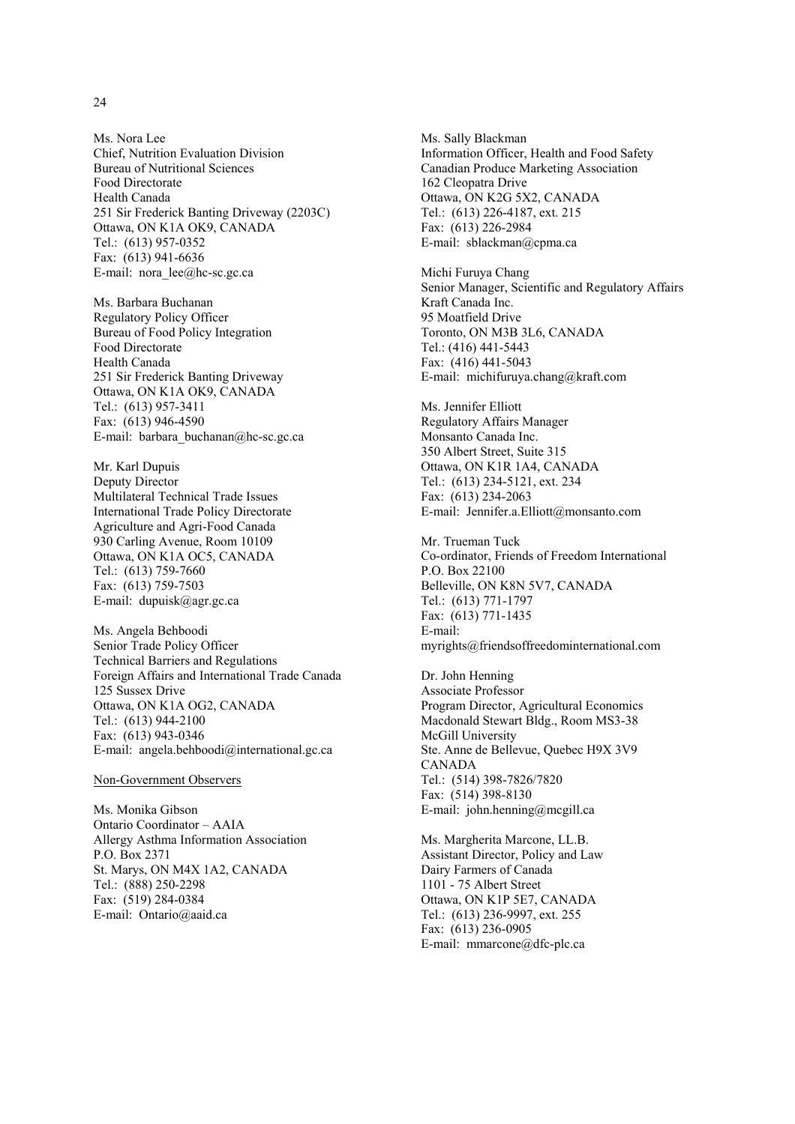Ms. Nora Lee Chief, Nutrition Evaluation Division Bureau of Nutritional Sciences Food Directorate Health Canada 251 Sir Frederick Banting Driveway (2203C) Ottawa, ON K1A OK9, CANADA Tel.: (613) 957-0352 Fax: (613) 941-6636 E-mail: nora  $\text{lee}(\widehat{\omega})$ hc-sc.gc.ca

Ms. Barbara Buchanan Regulatory Policy Officer Bureau of Food Policy Integration Food Directorate Health Canada 251 Sir Frederick Banting Driveway Ottawa, ON K1A OK9, CANADA Tel.: (613) 957-3411 Fax: (613) 946-4590 E-mail: barbara\_buchanan@hc-sc.gc.ca

Mr. Karl Dupuis Deputy Director Multilateral Technical Trade Issues International Trade Policy Directorate Agriculture and Agri-Food Canada 930 Carling Avenue, Room 10109 Ottawa, ON K1A OC5, CANADA Tel.: (613) 759-7660 Fax: (613) 759-7503 E-mail: dupuisk@agr.gc.ca

Ms. Angela Behboodi Senior Trade Policy Officer Technical Barriers and Regulations Foreign Affairs and International Trade Canada 125 Sussex Drive Ottawa, ON K1A OG2, CANADA Tel.: (613) 944-2100 Fax: (613) 943-0346 E-mail: angela.behboodi@international.gc.ca

#### Non-Government Observers

Ms. Monika Gibson Ontario Coordinator – AAIA Allergy Asthma Information Association P.O. Box 2371 St. Marys, ON M4X 1A2, CANADA Tel.: (888) 250-2298 Fax: (519) 284-0384 E-mail: Ontario@aaid.ca

Ms. Sally Blackman Information Officer, Health and Food Safety Canadian Produce Marketing Association 162 Cleopatra Drive Ottawa, ON K2G 5X2, CANADA Tel.: (613) 226-4187, ext. 215 Fax: (613) 226-2984 E-mail: sblackman@cpma.ca

Michi Furuya Chang Senior Manager, Scientific and Regulatory Affairs Kraft Canada Inc. 95 Moatfield Drive Toronto, ON M3B 3L6, CANADA Tel.: (416) 441-5443 Fax: (416) 441-5043 E-mail: michifuruya.chang@kraft.com

Ms. Jennifer Elliott Regulatory Affairs Manager Monsanto Canada Inc. 350 Albert Street, Suite 315 Ottawa, ON K1R 1A4, CANADA Tel.: (613) 234-5121, ext. 234 Fax: (613) 234-2063 E-mail: Jennifer.a.Elliott@monsanto.com

Mr. Trueman Tuck Co-ordinator, Friends of Freedom International P.O. Box 22100 Belleville, ON K8N 5V7, CANADA Tel.: (613) 771-1797 Fax: (613) 771-1435 E-mail: myrights@friendsoffreedominternational.com

Dr. John Henning Associate Professor Program Director, Agricultural Economics Macdonald Stewart Bldg., Room MS3-38 McGill University Ste. Anne de Bellevue, Quebec H9X 3V9 CANADA Tel.: (514) 398-7826/7820 Fax: (514) 398-8130 E-mail: john.henning@mcgill.ca

Ms. Margherita Marcone, LL.B. Assistant Director, Policy and Law Dairy Farmers of Canada 1101 - 75 Albert Street Ottawa, ON K1P 5E7, CANADA Tel.: (613) 236-9997, ext. 255 Fax: (613) 236-0905 E-mail: mmarcone@dfc-plc.ca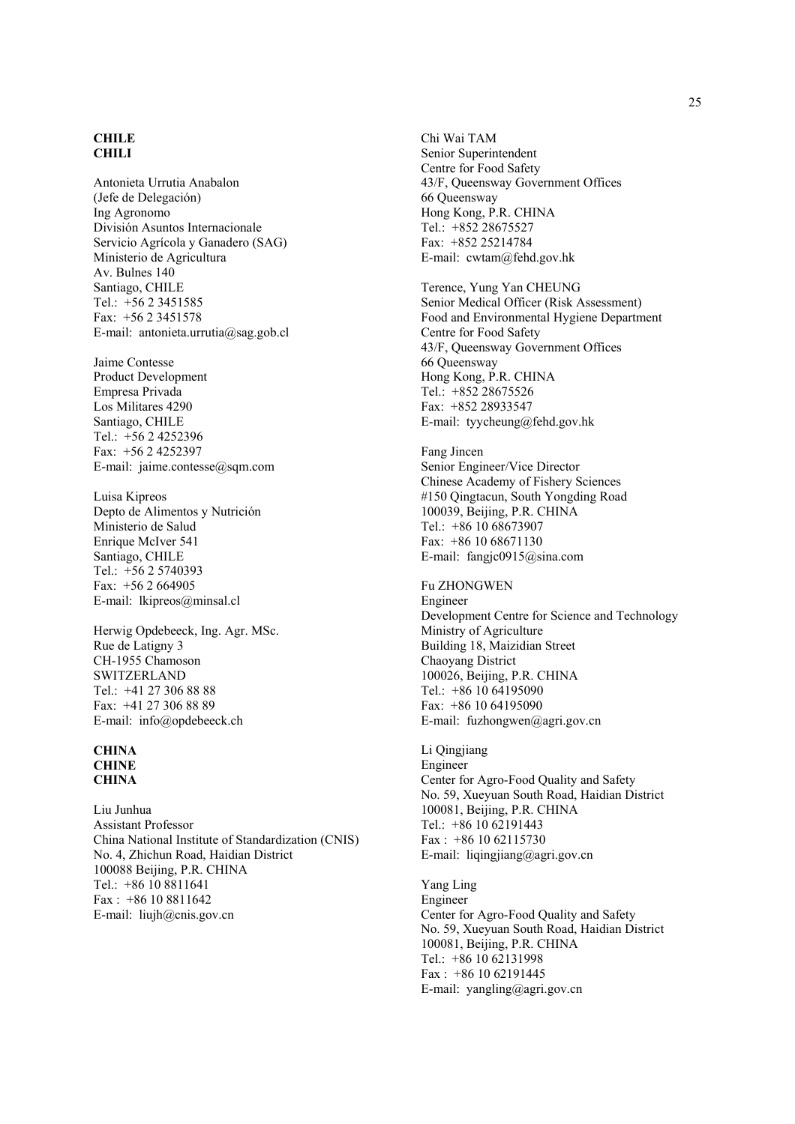#### **CHILE CHILI**

Antonieta Urrutia Anabalon (Jefe de Delegación) Ing Agronomo División Asuntos Internacionale Servicio Agrícola y Ganadero (SAG) Ministerio de Agricultura Av. Bulnes 140 Santiago, CHILE Tel.: +56 2 3451585 Fax: +56 2 3451578 E-mail: antonieta.urrutia@sag.gob.cl

Jaime Contesse Product Development Empresa Privada Los Militares 4290 Santiago, CHILE Tel.: +56 2 4252396 Fax: +56 2 4252397 E-mail: jaime.contesse@sqm.com

Luisa Kipreos Depto de Alimentos y Nutrición Ministerio de Salud Enrique McIver 541 Santiago, CHILE Tel.: +56 2 5740393 Fax: +56 2 664905 E-mail: lkipreos@minsal.cl

Herwig Opdebeeck, Ing. Agr. MSc. Rue de Latigny 3 CH-1955 Chamoson **SWITZERLAND** Tel.: +41 27 306 88 88 Fax: +41 27 306 88 89 E-mail: info@opdebeeck.ch

#### **CHINA CHINE CHINA**

Liu Junhua Assistant Professor China National Institute of Standardization (CNIS) No. 4, Zhichun Road, Haidian District 100088 Beijing, P.R. CHINA Tel.: +86 10 8811641 Fax : +86 10 8811642 E-mail: liujh@cnis.gov.cn

Chi Wai TAM Senior Superintendent Centre for Food Safety 43/F, Queensway Government Offices 66 Queensway Hong Kong, P.R. CHINA Tel.: +852 28675527 Fax: +852 25214784 E-mail: cwtam@fehd.gov.hk

Terence, Yung Yan CHEUNG Senior Medical Officer (Risk Assessment) Food and Environmental Hygiene Department Centre for Food Safety 43/F, Queensway Government Offices 66 Queensway Hong Kong, P.R. CHINA Tel.: +852 28675526 Fax: +852 28933547 E-mail: tyycheung@fehd.gov.hk

Fang Jincen Senior Engineer/Vice Director Chinese Academy of Fishery Sciences #150 Qingtacun, South Yongding Road 100039, Beijing, P.R. CHINA Tel.: +86 10 68673907 Fax: +86 10 68671130 E-mail: fangjc0915@sina.com

#### Fu ZHONGWEN Engineer Development Centre for Science and Technology Ministry of Agriculture Building 18, Maizidian Street Chaoyang District 100026, Beijing, P.R. CHINA Tel.:  $+861064195090$ Fax: +86 10 64195090 E-mail: fuzhongwen@agri.gov.cn

Li Qingjiang Engineer Center for Agro-Food Quality and Safety No. 59, Xueyuan South Road, Haidian District 100081, Beijing, P.R. CHINA Tel.: +86 10 62191443  $Fax: +86 10 62115730$ E-mail: liqingjiang@agri.gov.cn

Yang Ling Engineer Center for Agro-Food Quality and Safety No. 59, Xueyuan South Road, Haidian District 100081, Beijing, P.R. CHINA Tel.: +86 10 62131998 Fax : +86 10 62191445 E-mail: yangling@agri.gov.cn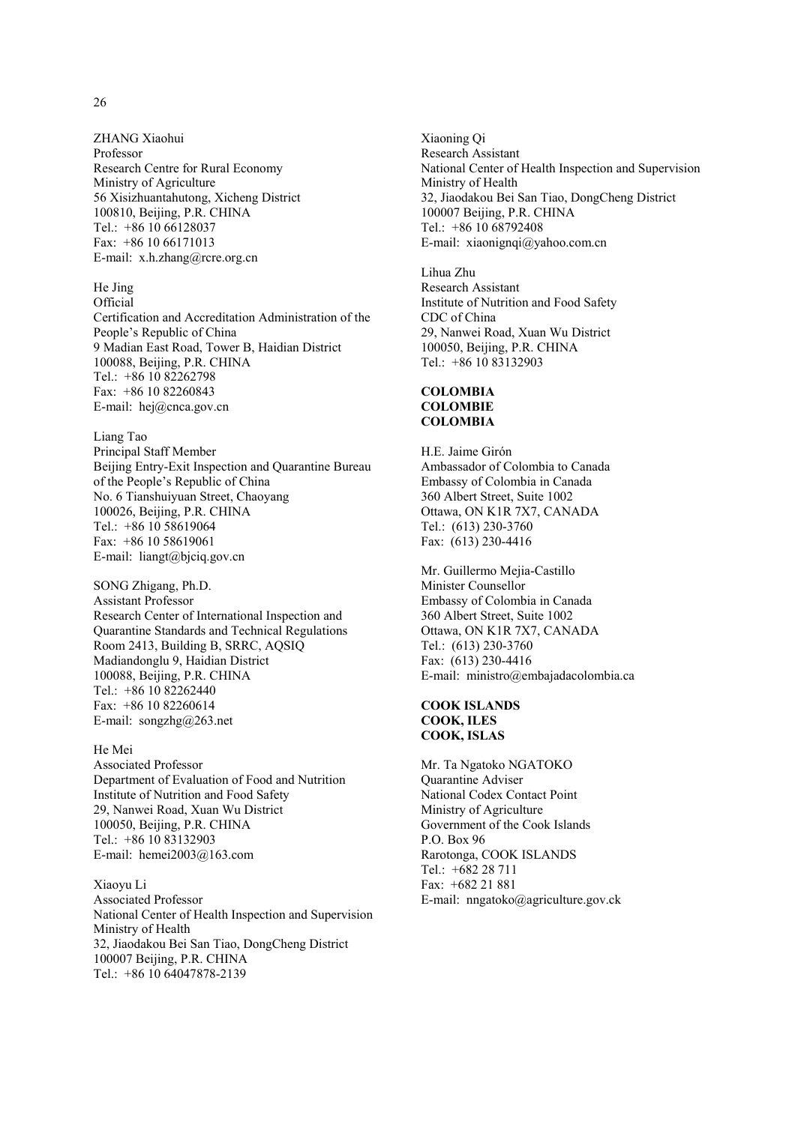ZHANG Xiaohui Professor Research Centre for Rural Economy Ministry of Agriculture 56 Xisizhuantahutong, Xicheng District 100810, Beijing, P.R. CHINA Tel.: +86 10 66128037 Fax: +86 10 66171013 E-mail: x.h.zhang@rcre.org.cn

# He Jing

**Official** Certification and Accreditation Administration of the People's Republic of China 9 Madian East Road, Tower B, Haidian District 100088, Beijing, P.R. CHINA Tel.: +86 10 82262798 Fax: +86 10 82260843 E-mail: hej@cnca.gov.cn

#### Liang Tao

Principal Staff Member Beijing Entry-Exit Inspection and Quarantine Bureau of the People's Republic of China No. 6 Tianshuiyuan Street, Chaoyang 100026, Beijing, P.R. CHINA Tel.: +86 10 58619064 Fax: +86 10 58619061 E-mail: liangt@bjciq.gov.cn

SONG Zhigang, Ph.D. Assistant Professor Research Center of International Inspection and Quarantine Standards and Technical Regulations Room 2413, Building B, SRRC, AQSIQ Madiandonglu 9, Haidian District 100088, Beijing, P.R. CHINA Tel.:  $+86$  10 82262440 Fax: +86 10 82260614 E-mail: songzhg@263.net

#### He Mei

Associated Professor Department of Evaluation of Food and Nutrition Institute of Nutrition and Food Safety 29, Nanwei Road, Xuan Wu District 100050, Beijing, P.R. CHINA Tel.: +86 10 83132903 E-mail: hemei2003@163.com

#### Xiaoyu Li

Associated Professor National Center of Health Inspection and Supervision Ministry of Health 32, Jiaodakou Bei San Tiao, DongCheng District 100007 Beijing, P.R. CHINA Tel.: +86 10 64047878-2139

Xiaoning Qi Research Assistant National Center of Health Inspection and Supervision Ministry of Health 32, Jiaodakou Bei San Tiao, DongCheng District 100007 Beijing, P.R. CHINA Tel.: +86 10 68792408 E-mail: xiaonignqi@yahoo.com.cn

Lihua Zhu Research Assistant Institute of Nutrition and Food Safety CDC of China 29, Nanwei Road, Xuan Wu District 100050, Beijing, P.R. CHINA Tel.: +86 10 83132903

#### **COLOMBIA COLOMBIE COLOMBIA**

H.E. Jaime Girón Ambassador of Colombia to Canada Embassy of Colombia in Canada 360 Albert Street, Suite 1002 Ottawa, ON K1R 7X7, CANADA Tel.: (613) 230-3760 Fax: (613) 230-4416

Mr. Guillermo Mejia-Castillo Minister Counsellor Embassy of Colombia in Canada 360 Albert Street, Suite 1002 Ottawa, ON K1R 7X7, CANADA Tel.: (613) 230-3760 Fax: (613) 230-4416 E-mail: ministro@embajadacolombia.ca

#### **COOK ISLANDS COOK, ILES COOK, ISLAS**

Mr. Ta Ngatoko NGATOKO Quarantine Adviser National Codex Contact Point Ministry of Agriculture Government of the Cook Islands P.O. Box 96 Rarotonga, COOK ISLANDS Tel.: +682 28 711 Fax: +682 21 881 E-mail: nngatoko@agriculture.gov.ck

26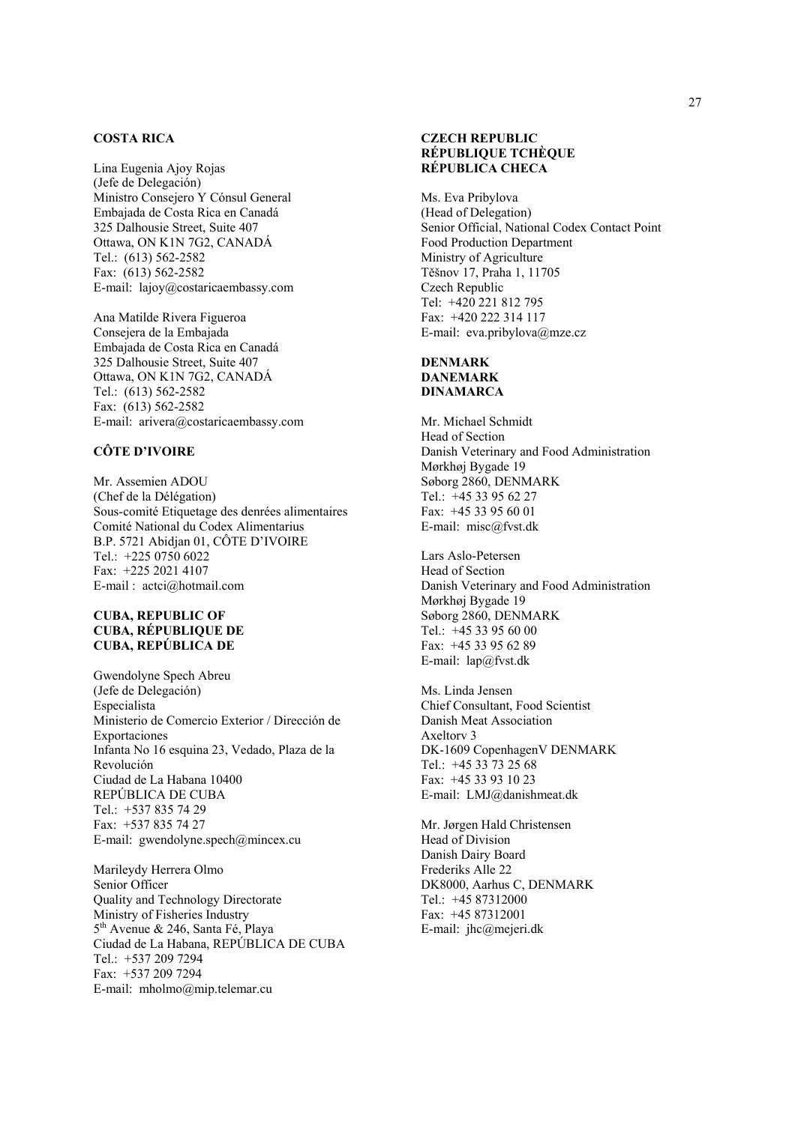#### **COSTA RICA**

Lina Eugenia Ajoy Rojas (Jefe de Delegación) Ministro Consejero Y Cónsul General Embajada de Costa Rica en Canadá 325 Dalhousie Street, Suite 407 Ottawa, ON K1N 7G2, CANADÁ Tel.: (613) 562-2582 Fax: (613) 562-2582 E-mail: lajoy@costaricaembassy.com

Ana Matilde Rivera Figueroa Consejera de la Embajada Embajada de Costa Rica en Canadá 325 Dalhousie Street, Suite 407 Ottawa, ON K1N 7G2, CANADÁ Tel.: (613) 562-2582 Fax: (613) 562-2582 E-mail: arivera@costaricaembassy.com

#### **CÔTE D'IVOIRE**

Mr. Assemien ADOU (Chef de la Délégation) Sous-comité Etiquetage des denrées alimentaires Comité National du Codex Alimentarius B.P. 5721 Abidjan 01, CÔTE D'IVOIRE Tel.: +225 0750 6022 Fax: +225 2021 4107 E-mail : actci@hotmail.com

#### **CUBA, REPUBLIC OF CUBA, RÉPUBLIQUE DE CUBA, REPÚBLICA DE**

Gwendolyne Spech Abreu (Jefe de Delegación) Especialista Ministerio de Comercio Exterior / Dirección de Exportaciones Infanta No 16 esquina 23, Vedado, Plaza de la Revolución Ciudad de La Habana 10400 REPÚBLICA DE CUBA Tel.: +537 835 74 29 Fax: +537 835 74 27 E-mail: gwendolyne.spech@mincex.cu

Marileydy Herrera Olmo Senior Officer Quality and Technology Directorate Ministry of Fisheries Industry 5<sup>th</sup> Avenue & 246, Santa Fé, Playa Ciudad de La Habana, REPÚBLICA DE CUBA Tel.: +537 209 7294 Fax: +537 209 7294 E-mail: mholmo@mip.telemar.cu

#### **CZECH REPUBLIC RÉPUBLIQUE TCHÈQUE RÉPUBLICA CHECA**

Ms. Eva Pribylova (Head of Delegation) Senior Official, National Codex Contact Point Food Production Department Ministry of Agriculture Těšnov 17, Praha 1, 11705 Czech Republic Tel: +420 221 812 795 Fax: +420 222 314 117 E-mail: eva.pribylova@mze.cz

# **DENMARK**

**DANEMARK DINAMARCA**

Mr. Michael Schmidt Head of Section Danish Veterinary and Food Administration Mørkhøj Bygade 19 Søborg 2860, DENMARK Tel.: +45 33 95 62 27 Fax: +45 33 95 60 01 E-mail: misc@fvst.dk

Lars Aslo-Petersen Head of Section Danish Veterinary and Food Administration Mørkhøj Bygade 19 Søborg 2860, DENMARK Tel.: +45 33 95 60 00 Fax: +45 33 95 62 89 E-mail: lap@fvst.dk

Ms. Linda Jensen Chief Consultant, Food Scientist Danish Meat Association Axeltorv 3 DK-1609 CopenhagenV DENMARK Tel.: +45 33 73 25 68 Fax: +45 33 93 10 23 E-mail: LMJ@danishmeat.dk

Mr. Jørgen Hald Christensen Head of Division Danish Dairy Board Frederiks Alle 22 DK8000, Aarhus C, DENMARK Tel.: +45 87312000 Fax: +45 87312001 E-mail: jhc@mejeri.dk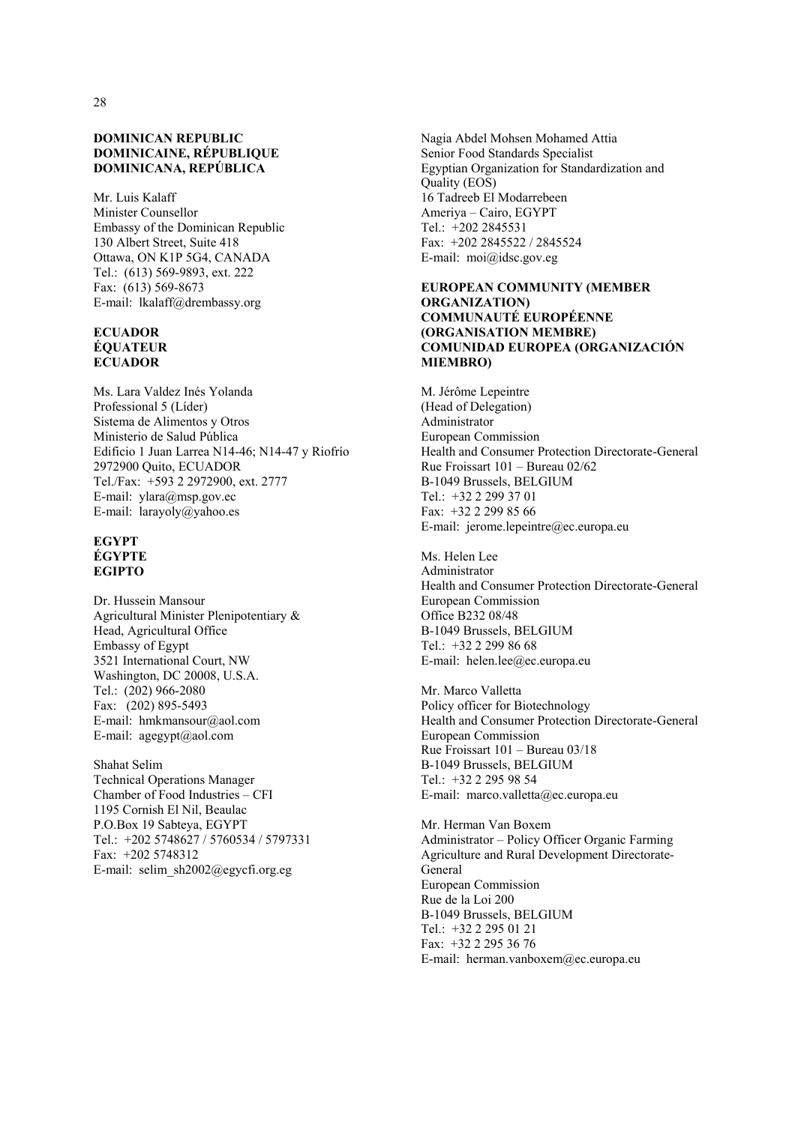#### **DOMINICAN REPUBLIC DOMINICAINE, RÉPUBLIQUE DOMINICANA, REPÚBLICA**

Mr. Luis Kalaff Minister Counsellor Embassy of the Dominican Republic 130 Albert Street, Suite 418 Ottawa, ON K1P 5G4, CANADA Tel.: (613) 569-9893, ext. 222 Fax: (613) 569-8673 E-mail: lkalaff@drembassy.org

#### **ECUADOR ÉQUATEUR ECUADOR**

Ms. Lara Valdez Inés Yolanda Professional 5 (Líder) Sistema de Alimentos y Otros Ministerio de Salud Pública Edificio 1 Juan Larrea N14-46; N14-47 y Riofrío 2972900 Quito, ECUADOR Tel./Fax: +593 2 2972900, ext. 2777 E-mail: ylara@msp.gov.ec E-mail: larayoly@yahoo.es

#### **EGYPT ÉGYPTE EGIPTO**

Dr. Hussein Mansour Agricultural Minister Plenipotentiary & Head, Agricultural Office Embassy of Egypt 3521 International Court, NW Washington, DC 20008, U.S.A. Tel.: (202) 966-2080 Fax: (202) 895-5493 E-mail: hmkmansour@aol.com E-mail: agegypt@aol.com

Shahat Selim Technical Operations Manager Chamber of Food Industries – CFI 1195 Cornish El Nil, Beaulac P.O.Box 19 Sabteya, EGYPT Tel.: +202 5748627 / 5760534 / 5797331 Fax: +202 5748312 E-mail: selim\_sh2002@egycfi.org.eg

Nagia Abdel Mohsen Mohamed Attia Senior Food Standards Specialist Egyptian Organization for Standardization and Quality (EOS) 16 Tadreeb El Modarrebeen Ameriya – Cairo, EGYPT Tel.: +202 2845531 Fax: +202 2845522 / 2845524 E-mail: moi@idsc.gov.eg

#### **EUROPEAN COMMUNITY (MEMBER ORGANIZATION) COMMUNAUTÉ EUROPÉENNE (ORGANISATION MEMBRE) COMUNIDAD EUROPEA (ORGANIZACIÓN MIEMBRO)**

M. Jérôme Lepeintre (Head of Delegation) Administrator European Commission Health and Consumer Protection Directorate-General Rue Froissart 101 – Bureau 02/62 B-1049 Brussels, BELGIUM Tel.: +32 2 299 37 01 Fax: +32 2 299 85 66 E-mail: jerome.lepeintre@ec.europa.eu

Ms. Helen Lee Administrator Health and Consumer Protection Directorate-General European Commission Office B232 08/48 B-1049 Brussels, BELGIUM Tel.: +32 2 299 86 68 E-mail: helen.lee@ec.europa.eu

Mr. Marco Valletta Policy officer for Biotechnology Health and Consumer Protection Directorate-General European Commission Rue Froissart 101 – Bureau 03/18 B-1049 Brussels, BELGIUM Tel.: +32 2 295 98 54 E-mail: marco.valletta@ec.europa.eu

Mr. Herman Van Boxem Administrator – Policy Officer Organic Farming Agriculture and Rural Development Directorate-**General** European Commission Rue de la Loi 200 B-1049 Brussels, BELGIUM Tel.: +32 2 295 01 21 Fax: +32 2 295 36 76 E-mail: herman.vanboxem@ec.europa.eu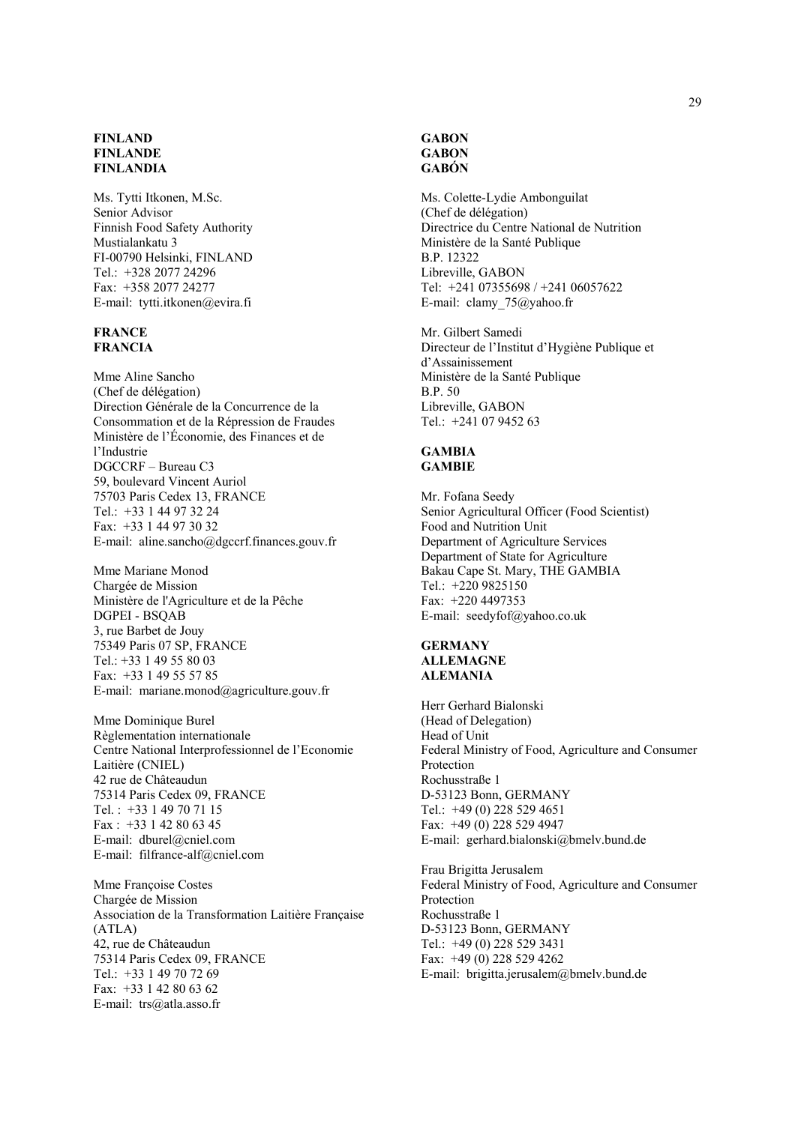#### **FINLAND FINLANDE FINLANDIA**

Ms. Tytti Itkonen, M.Sc. Senior Advisor Finnish Food Safety Authority Mustialankatu 3 FI-00790 Helsinki, FINLAND Tel.: +328 2077 24296 Fax: +358 2077 24277 E-mail: tytti.itkonen@evira.fi

#### **FRANCE FRANCIA**

Mme Aline Sancho (Chef de délégation) Direction Générale de la Concurrence de la Consommation et de la Répression de Fraudes Ministère de l'Économie, des Finances et de l'Industrie DGCCRF – Bureau C3 59, boulevard Vincent Auriol 75703 Paris Cedex 13, FRANCE Tel.: +33 1 44 97 32 24 Fax: +33 1 44 97 30 32 E-mail: aline.sancho@dgccrf.finances.gouv.fr

Mme Mariane Monod Chargée de Mission Ministère de l'Agriculture et de la Pêche DGPEI - BSQAB 3, rue Barbet de Jouy 75349 Paris 07 SP, FRANCE Tel.: +33 1 49 55 80 03 Fax: +33 1 49 55 57 85 E-mail: mariane.monod@agriculture.gouv.fr

Mme Dominique Burel Règlementation internationale Centre National Interprofessionnel de l'Economie Laitière (CNIEL) 42 rue de Châteaudun 75314 Paris Cedex 09, FRANCE Tel. : +33 1 49 70 71 15 Fax : +33 1 42 80 63 45 E-mail: dburel@cniel.com E-mail: filfrance-alf@cniel.com

Mme Françoise Costes Chargée de Mission Association de la Transformation Laitière Française (ATLA) 42, rue de Châteaudun 75314 Paris Cedex 09, FRANCE Tel.: +33 1 49 70 72 69 Fax: +33 1 42 80 63 62 E-mail: trs@atla.asso.fr

#### **GABON GABON GABÓN**

Ms. Colette-Lydie Ambonguilat (Chef de délégation) Directrice du Centre National de Nutrition Ministère de la Santé Publique B.P. 12322 Libreville, GABON Tel: +241 07355698 / +241 06057622 E-mail: clamy\_75@yahoo.fr

Mr. Gilbert Samedi Directeur de l'Institut d'Hygiène Publique et d'Assainissement Ministère de la Santé Publique B.P. 50 Libreville, GABON Tel.: +241 07 9452 63

#### **GAMBIA GAMBIE**

Mr. Fofana Seedy Senior Agricultural Officer (Food Scientist) Food and Nutrition Unit Department of Agriculture Services Department of State for Agriculture Bakau Cape St. Mary, THE GAMBIA Tel.: +220 9825150 Fax: +220 4497353 E-mail: seedyfof@yahoo.co.uk

#### **GERMANY ALLEMAGNE ALEMANIA**

Herr Gerhard Bialonski (Head of Delegation) Head of Unit Federal Ministry of Food, Agriculture and Consumer Protection Rochusstraße 1 D-53123 Bonn, GERMANY Tel.: +49 (0) 228 529 4651 Fax: +49 (0) 228 529 4947 E-mail: gerhard.bialonski@bmelv.bund.de

Frau Brigitta Jerusalem Federal Ministry of Food, Agriculture and Consumer Protection Rochusstraße 1 D-53123 Bonn, GERMANY Tel.: +49 (0) 228 529 3431 Fax: +49 (0) 228 529 4262 E-mail: brigitta.jerusalem@bmelv.bund.de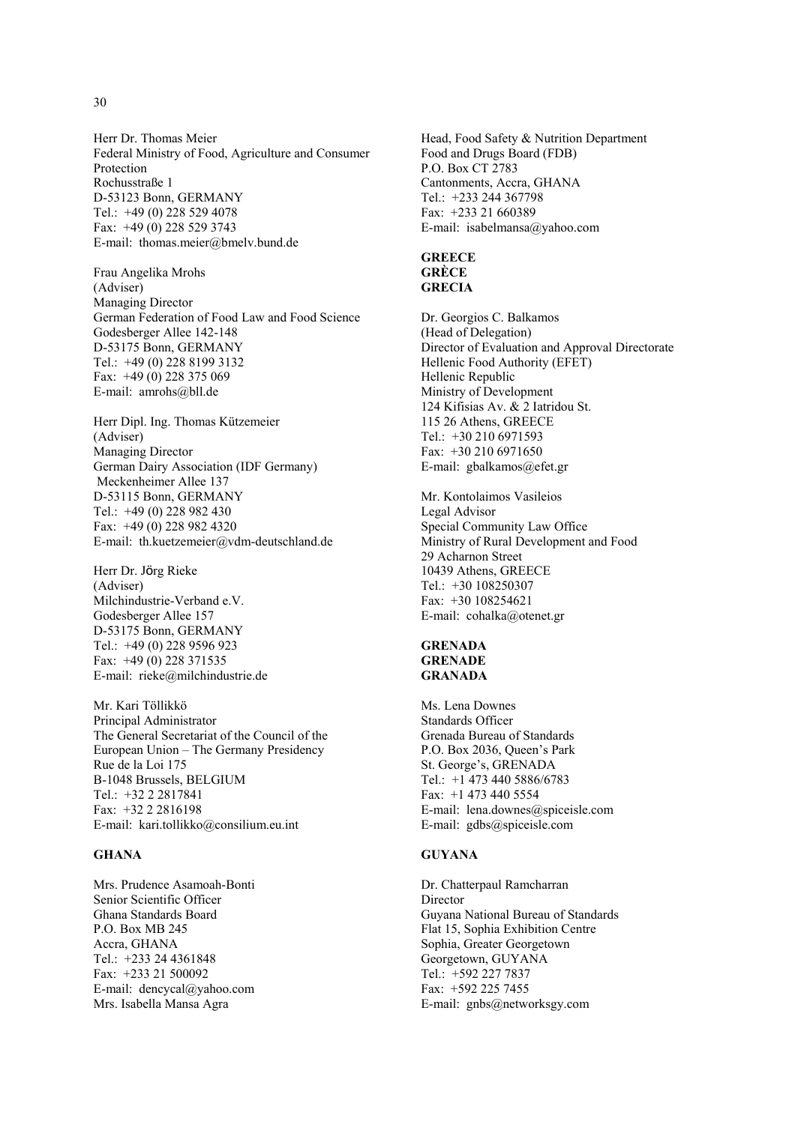Herr Dr. Thomas Meier Federal Ministry of Food, Agriculture and Consumer Protection Rochusstraße 1 D-53123 Bonn, GERMANY Tel.: +49 (0) 228 529 4078 Fax: +49 (0) 228 529 3743 E-mail: thomas.meier@bmelv.bund.de

Frau Angelika Mrohs (Adviser) Managing Director German Federation of Food Law and Food Science Godesberger Allee 142-148 D-53175 Bonn, GERMANY Tel.: +49 (0) 228 8199 3132 Fax: +49 (0) 228 375 069 E-mail: amrohs@bll.de

Herr Dipl. Ing. Thomas Kützemeier (Adviser) Managing Director German Dairy Association (IDF Germany) Meckenheimer Allee 137 D-53115 Bonn, GERMANY Tel.: +49 (0) 228 982 430 Fax: +49 (0) 228 982 4320 E-mail: th.kuetzemeier@vdm-deutschland.de

Herr Dr. Jörg Rieke (Adviser) Milchindustrie-Verband e.V. Godesberger Allee 157 D-53175 Bonn, GERMANY Tel.: +49 (0) 228 9596 923 Fax: +49 (0) 228 371535 E-mail: rieke@milchindustrie.de

Mr. Kari Töllikkö Principal Administrator The General Secretariat of the Council of the European Union – The Germany Presidency Rue de la Loi 175 B-1048 Brussels, BELGIUM Tel.: +32 2 2817841 Fax: +32 2 2816198 E-mail: kari.tollikko@consilium.eu.int

#### **GHANA**

Mrs. Prudence Asamoah-Bonti Senior Scientific Officer Ghana Standards Board P.O. Box MB 245 Accra, GHANA Tel.: +233 24 4361848 Fax: +233 21 500092 E-mail: dencycal@yahoo.com Mrs. Isabella Mansa Agra

Head, Food Safety & Nutrition Department Food and Drugs Board (FDB) P.O. Box CT 2783 Cantonments, Accra, GHANA Tel.: +233 244 367798 Fax: +233 21 660389 E-mail: isabelmansa@yahoo.com

### **GREECE GRÈCE GRECIA**

Dr. Georgios C. Balkamos (Head of Delegation) Director of Evaluation and Approval Directorate Hellenic Food Authority (EFET) Hellenic Republic Ministry of Development 124 Kifisias Av. & 2 Iatridou St. 115 26 Athens, GREECE Tel.: +30 210 6971593 Fax: +30 210 6971650 E-mail: gbalkamos@efet.gr

Mr. Kontolaimos Vasileios Legal Advisor Special Community Law Office Ministry of Rural Development and Food 29 Acharnon Street 10439 Athens, GREECE Tel.: +30 108250307 Fax: +30 108254621 E-mail: cohalka@otenet.gr

#### **GRENADA GRENADE GRANADA**

Ms. Lena Downes Standards Officer Grenada Bureau of Standards P.O. Box 2036, Queen's Park St. George's, GRENADA Tel.: +1 473 440 5886/6783 Fax: +1 473 440 5554 E-mail: lena.downes@spiceisle.com E-mail: gdbs@spiceisle.com

#### **GUYANA**

Dr. Chatterpaul Ramcharran Director Guyana National Bureau of Standards Flat 15, Sophia Exhibition Centre Sophia, Greater Georgetown Georgetown, GUYANA Tel.: +592 227 7837 Fax: +592 225 7455 E-mail: gnbs@networksgy.com

#### 30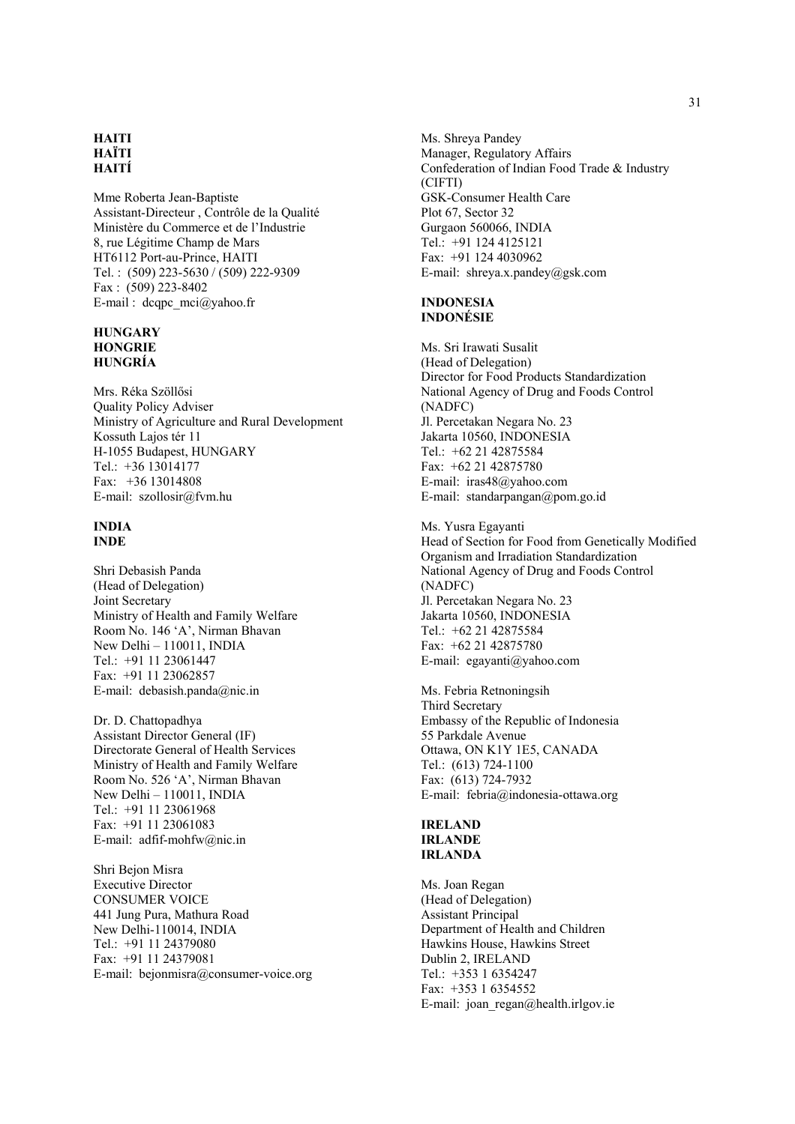#### **HAITI HAÏTI HAITÍ**

Mme Roberta Jean-Baptiste Assistant-Directeur , Contrôle de la Qualité Ministère du Commerce et de l'Industrie 8, rue Légitime Champ de Mars HT6112 Port-au-Prince, HAITI Tel. : (509) 223-5630 / (509) 222-9309 Fax : (509) 223-8402 E-mail : dcqpc  $mci@yahoo.fr$ 

#### **HUNGARY HONGRIE HUNGRÍA**

Mrs. Réka Szöllősi Quality Policy Adviser Ministry of Agriculture and Rural Development Kossuth Lajos tér 11 H-1055 Budapest, HUNGARY Tel.: +36 13014177 Fax: +36 13014808 E-mail: szollosir@fvm.hu

#### **INDIA INDE**

Shri Debasish Panda (Head of Delegation) Joint Secretary Ministry of Health and Family Welfare Room No. 146 'A', Nirman Bhavan New Delhi – 110011, INDIA Tel.:  $+91$  11 23061447 Fax: +91 11 23062857 E-mail: debasish.panda@nic.in

Dr. D. Chattopadhya Assistant Director General (IF) Directorate General of Health Services Ministry of Health and Family Welfare Room No. 526 'A', Nirman Bhavan New Delhi – 110011, INDIA Tel.: +91 11 23061968 Fax: +91 11 23061083 E-mail: adfif-mohfw@nic.in

Shri Bejon Misra Executive Director CONSUMER VOICE 441 Jung Pura, Mathura Road New Delhi-110014, INDIA Tel.: +91 11 24379080 Fax: +91 11 24379081 E-mail: bejonmisra@consumer-voice.org Ms. Shreya Pandey Manager, Regulatory Affairs Confederation of Indian Food Trade & Industry (CIFTI) GSK-Consumer Health Care Plot 67, Sector 32 Gurgaon 560066, INDIA Tel.: +91 124 4125121 Fax: +91 124 4030962 E-mail: shreya.x.pandey@gsk.com

#### **INDONESIA INDONÉSIE**

Ms. Sri Irawati Susalit (Head of Delegation) Director for Food Products Standardization National Agency of Drug and Foods Control (NADFC) Jl. Percetakan Negara No. 23 Jakarta 10560, INDONESIA Tel.: +62 21 42875584 Fax: +62 21 42875780 E-mail: iras48@yahoo.com E-mail: standarpangan@pom.go.id

Ms. Yusra Egayanti Head of Section for Food from Genetically Modified Organism and Irradiation Standardization National Agency of Drug and Foods Control (NADFC) Jl. Percetakan Negara No. 23 Jakarta 10560, INDONESIA Tel.: +62 21 42875584 Fax: +62 21 42875780 E-mail: egayanti@yahoo.com

Ms. Febria Retnoningsih Third Secretary Embassy of the Republic of Indonesia 55 Parkdale Avenue Ottawa, ON K1Y 1E5, CANADA Tel.: (613) 724-1100 Fax: (613) 724-7932 E-mail: febria@indonesia-ottawa.org

#### **IRELAND IRLANDE IRLANDA**

Ms. Joan Regan (Head of Delegation) Assistant Principal Department of Health and Children Hawkins House, Hawkins Street Dublin 2, IRELAND Tel.: +353 1 6354247 Fax: +353 1 6354552 E-mail: joan\_regan@health.irlgov.ie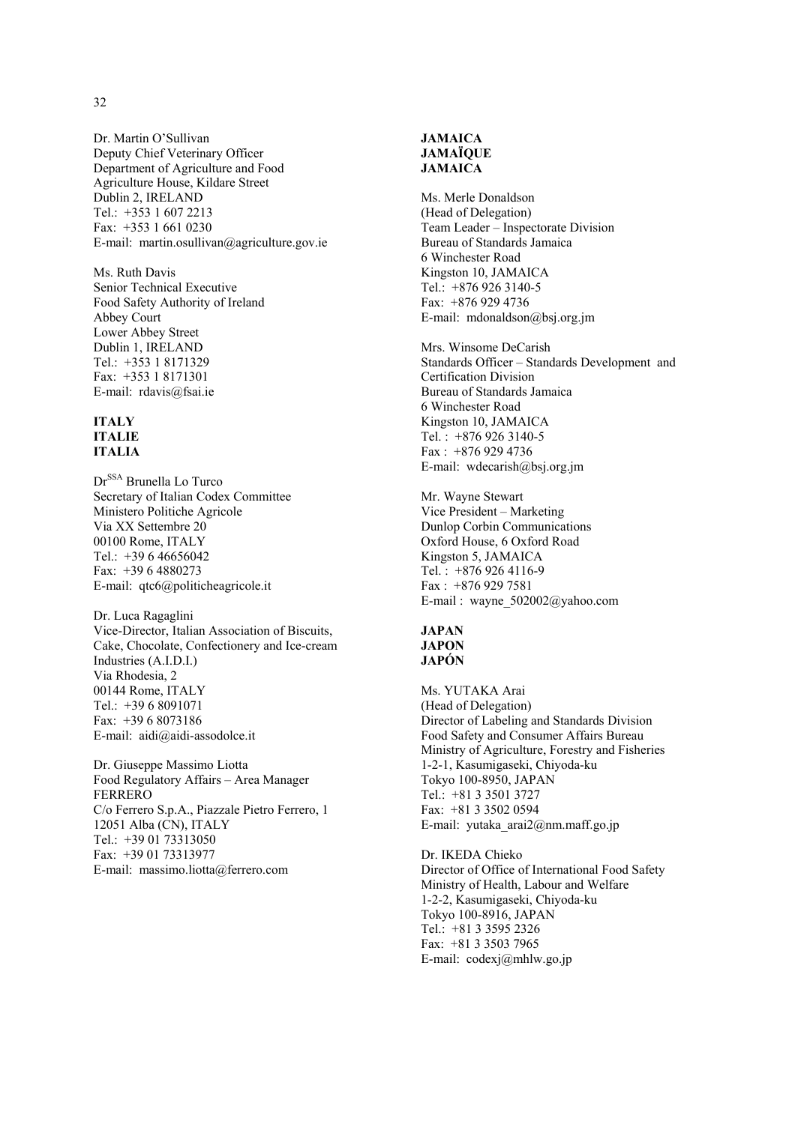Dr. Martin O'Sullivan Deputy Chief Veterinary Officer Department of Agriculture and Food Agriculture House, Kildare Street Dublin 2, IRELAND Tel.: +353 1 607 2213 Fax: +353 1 661 0230 E-mail: martin.osullivan@agriculture.gov.ie

Ms. Ruth Davis Senior Technical Executive Food Safety Authority of Ireland Abbey Court Lower Abbey Street Dublin 1, IRELAND Tel.: +353 1 8171329 Fax: +353 1 8171301 E-mail: rdavis@fsai.ie

#### **ITALY ITALIE ITALIA**

Dr<sup>SSA</sup> Brunella Lo Turco Secretary of Italian Codex Committee Ministero Politiche Agricole Via XX Settembre 20 00100 Rome, ITALY Tel.: +39 6 46656042 Fax: +39 6 4880273 E-mail: qtc6@politicheagricole.it

Dr. Luca Ragaglini Vice-Director, Italian Association of Biscuits, Cake, Chocolate, Confectionery and Ice-cream Industries (A.I.D.I.) Via Rhodesia, 2 00144 Rome, ITALY Tel.: +39 6 8091071 Fax: +39 6 8073186 E-mail: aidi@aidi-assodolce.it

Dr. Giuseppe Massimo Liotta Food Regulatory Affairs – Area Manager FERRERO C/o Ferrero S.p.A., Piazzale Pietro Ferrero, 1 12051 Alba (CN), ITALY Tel.: +39 01 73313050 Fax: +39 01 73313977 E-mail: massimo.liotta@ferrero.com

# **JAMAICA JAMAÏQUE JAMAICA**

Ms. Merle Donaldson (Head of Delegation) Team Leader – Inspectorate Division Bureau of Standards Jamaica 6 Winchester Road Kingston 10, JAMAICA Tel.: +876 926 3140-5 Fax: +876 929 4736 E-mail: mdonaldson@bsj.org.jm

Mrs. Winsome DeCarish Standards Officer – Standards Development and Certification Division Bureau of Standards Jamaica 6 Winchester Road Kingston 10, JAMAICA Tel. : +876 926 3140-5 Fax : +876 929 4736 E-mail: wdecarish@bsj.org.jm

Mr. Wayne Stewart Vice President – Marketing Dunlop Corbin Communications Oxford House, 6 Oxford Road Kingston 5, JAMAICA Tel. : +876 926 4116-9 Fax : +876 929 7581 E-mail : wayne\_502002@yahoo.com

# **JAPAN JAPON JAPÓN**

Ms. YUTAKA Arai (Head of Delegation) Director of Labeling and Standards Division Food Safety and Consumer Affairs Bureau Ministry of Agriculture, Forestry and Fisheries 1-2-1, Kasumigaseki, Chiyoda-ku Tokyo 100-8950, JAPAN Tel.: +81 3 3501 3727 Fax: +81 3 3502 0594 E-mail: yutaka\_arai2@nm.maff.go.jp

Dr. IKEDA Chieko Director of Office of International Food Safety Ministry of Health, Labour and Welfare 1-2-2, Kasumigaseki, Chiyoda-ku Tokyo 100-8916, JAPAN Tel.: +81 3 3595 2326 Fax: +81 3 3503 7965 E-mail: codexj@mhlw.go.jp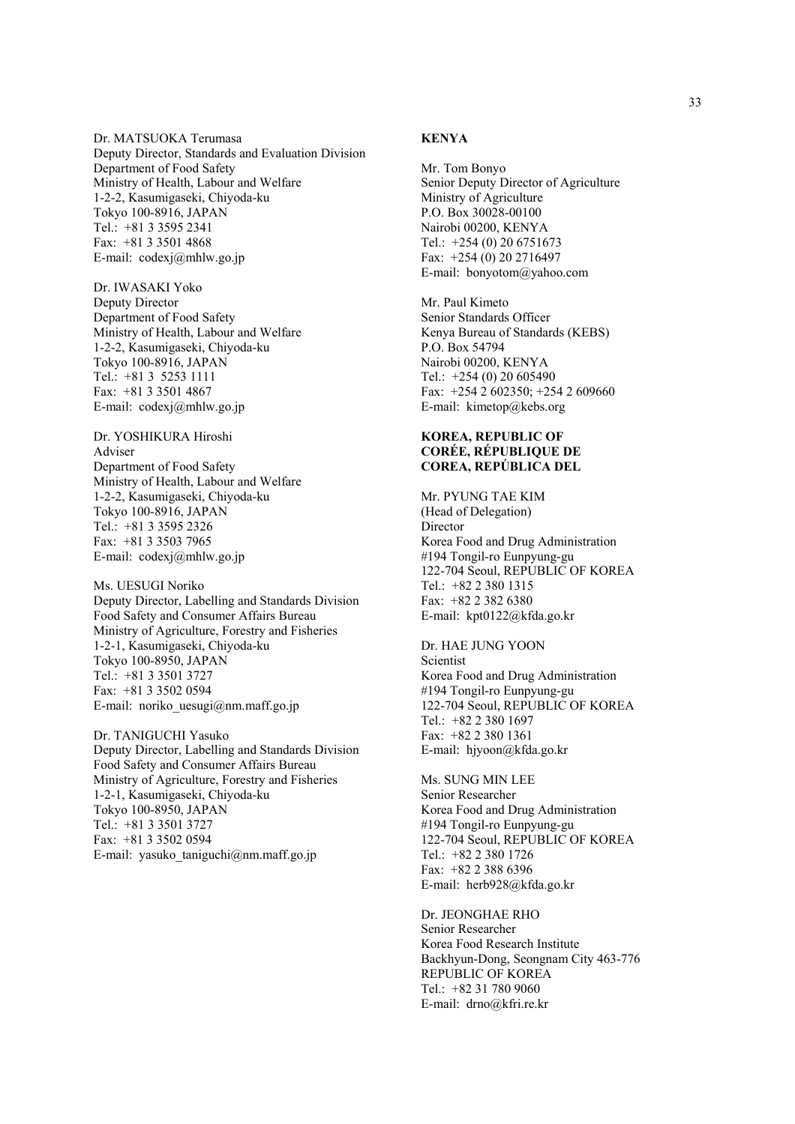Dr. MATSUOKA Terumasa Deputy Director, Standards and Evaluation Division Department of Food Safety Ministry of Health, Labour and Welfare 1-2-2, Kasumigaseki, Chiyoda-ku Tokyo 100-8916, JAPAN Tel.: +81 3 3595 2341 Fax: +81 3 3501 4868 E-mail: codexj@mhlw.go.jp

Dr. IWASAKI Yoko Deputy Director Department of Food Safety Ministry of Health, Labour and Welfare 1-2-2, Kasumigaseki, Chiyoda-ku Tokyo 100-8916, JAPAN Tel.: +81 3 5253 1111 Fax: +81 3 3501 4867 E-mail: codexj@mhlw.go.jp

Dr. YOSHIKURA Hiroshi Adviser Department of Food Safety Ministry of Health, Labour and Welfare 1-2-2, Kasumigaseki, Chiyoda-ku Tokyo 100-8916, JAPAN Tel.: +81 3 3595 2326 Fax: +81 3 3503 7965 E-mail: codexj@mhlw.go.jp

Ms. UESUGI Noriko Deputy Director, Labelling and Standards Division Food Safety and Consumer Affairs Bureau Ministry of Agriculture, Forestry and Fisheries 1-2-1, Kasumigaseki, Chiyoda-ku Tokyo 100-8950, JAPAN Tel.: +81 3 3501 3727 Fax: +81 3 3502 0594 E-mail: noriko uesugi $@$ nm.maff.go.jp

Dr. TANIGUCHI Yasuko Deputy Director, Labelling and Standards Division Food Safety and Consumer Affairs Bureau Ministry of Agriculture, Forestry and Fisheries 1-2-1, Kasumigaseki, Chiyoda-ku Tokyo 100-8950, JAPAN Tel.: +81 3 3501 3727 Fax: +81 3 3502 0594 E-mail: yasuko taniguchi@nm.maff.go.jp

# **KENYA**

Mr. Tom Bonyo Senior Deputy Director of Agriculture Ministry of Agriculture P.O. Box 30028-00100 Nairobi 00200, KENYA Tel.: +254 (0) 20 6751673 Fax: +254 (0) 20 2716497 E-mail: bonyotom@yahoo.com

Mr. Paul Kimeto Senior Standards Officer Kenya Bureau of Standards (KEBS) P.O. Box 54794 Nairobi 00200, KENYA Tel.: +254 (0) 20 605490 Fax: +254 2 602350; +254 2 609660 E-mail: kimetop@kebs.org

# **KOREA, REPUBLIC OF CORÉE, RÉPUBLIQUE DE COREA, REPÚBLICA DEL**

Mr. PYUNG TAE KIM (Head of Delegation) Director Korea Food and Drug Administration #194 Tongil-ro Eunpyung-gu 122-704 Seoul, REPUBLIC OF KOREA Tel.: +82 2 380 1315 Fax: +82 2 382 6380 E-mail: kpt0122@kfda.go.kr

Dr. HAE JUNG YOON Scientist Korea Food and Drug Administration #194 Tongil-ro Eunpyung-gu 122-704 Seoul, REPUBLIC OF KOREA Tel.: +82 2 380 1697 Fax: +82 2 380 1361 E-mail: hjyoon@kfda.go.kr

Ms. SUNG MIN LEE Senior Researcher Korea Food and Drug Administration #194 Tongil-ro Eunpyung-gu 122-704 Seoul, REPUBLIC OF KOREA Tel.: +82 2 380 1726 Fax: +82 2 388 6396 E-mail: herb928@kfda.go.kr

Dr. JEONGHAE RHO Senior Researcher Korea Food Research Institute Backhyun-Dong, Seongnam City 463-776 REPUBLIC OF KOREA Tel:  $+82$  31 780 9060 E-mail: drno@kfri.re.kr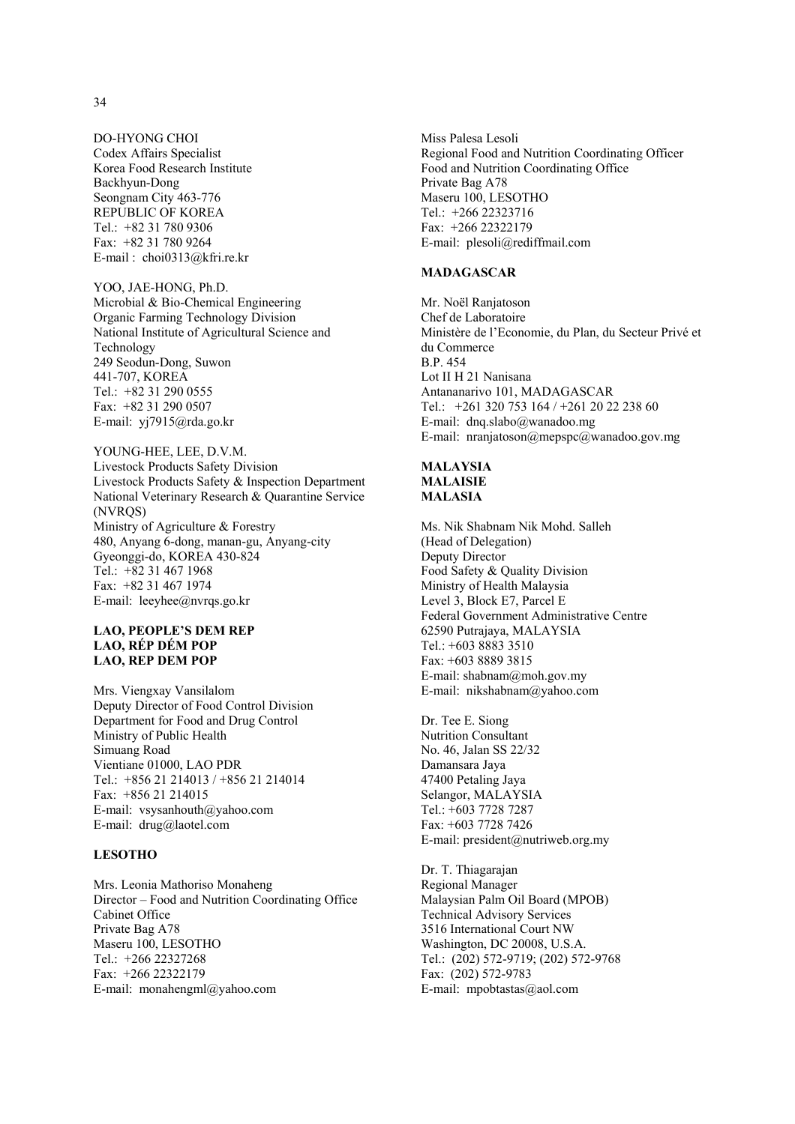DO-HYONG CHOI Codex Affairs Specialist Korea Food Research Institute Backhyun-Dong Seongnam City 463-776 REPUBLIC OF KOREA Tel.: +82 31 780 9306 Fax: +82 31 780 9264 E-mail : choi0313@kfri.re.kr

#### YOO, JAE-HONG, Ph.D.

Microbial & Bio-Chemical Engineering Organic Farming Technology Division National Institute of Agricultural Science and Technology 249 Seodun-Dong, Suwon 441-707, KOREA Tel.: +82 31 290 0555 Fax: +82 31 290 0507 E-mail: yj7915@rda.go.kr

## YOUNG-HEE, LEE, D.V.M. Livestock Products Safety Division Livestock Products Safety & Inspection Department National Veterinary Research & Quarantine Service (NVRQS) Ministry of Agriculture & Forestry 480, Anyang 6-dong, manan-gu, Anyang-city Gyeonggi-do, KOREA 430-824 Tel.: +82 31 467 1968 Fax: +82 31 467 1974 E-mail: leeyhee@nvrqs.go.kr

## **LAO, PEOPLE'S DEM REP LAO, RÉP DÉM POP LAO, REP DEM POP**

Mrs. Viengxay Vansilalom Deputy Director of Food Control Division Department for Food and Drug Control Ministry of Public Health Simuang Road Vientiane 01000, LAO PDR Tel.: +856 21 214013 / +856 21 214014 Fax: +856 21 214015 E-mail: vsysanhouth@yahoo.com E-mail: drug@laotel.com

# **LESOTHO**

Mrs. Leonia Mathoriso Monaheng Director – Food and Nutrition Coordinating Office Cabinet Office Private Bag A78 Maseru 100, LESOTHO Tel.: +266 22327268 Fax: +266 22322179 E-mail: monahengml@yahoo.com

Miss Palesa Lesoli Regional Food and Nutrition Coordinating Officer Food and Nutrition Coordinating Office Private Bag A78 Maseru 100, LESOTHO Tel.: +266 22323716 Fax: +266 22322179 E-mail: plesoli@rediffmail.com

#### **MADAGASCAR**

Mr. Noël Ranjatoson Chef de Laboratoire Ministère de l'Economie, du Plan, du Secteur Privé et du Commerce B.P. 454 Lot II H 21 Nanisana Antananarivo 101, MADAGASCAR Tel.: +261 320 753 164 / +261 20 22 238 60 E-mail: dnq.slabo@wanadoo.mg E-mail: nranjatoson@mepspc@wanadoo.gov.mg

#### **MALAYSIA MALAISIE MALASIA**

Ms. Nik Shabnam Nik Mohd. Salleh (Head of Delegation) Deputy Director Food Safety & Quality Division Ministry of Health Malaysia Level 3, Block E7, Parcel E Federal Government Administrative Centre 62590 Putrajaya, MALAYSIA Tel.: +603 8883 3510 Fax: +603 8889 3815 E-mail: shabnam@moh.gov.my E-mail: nikshabnam@yahoo.com

Dr. Tee E. Siong Nutrition Consultant No. 46, Jalan SS 22/32 Damansara Jaya 47400 Petaling Jaya Selangor, MALAYSIA Tel.: +603 7728 7287 Fax: +603 7728 7426 E-mail: president@nutriweb.org.my

Dr. T. Thiagarajan Regional Manager Malaysian Palm Oil Board (MPOB) Technical Advisory Services 3516 International Court NW Washington, DC 20008, U.S.A. Tel.: (202) 572-9719; (202) 572-9768 Fax: (202) 572-9783 E-mail: mpobtastas@aol.com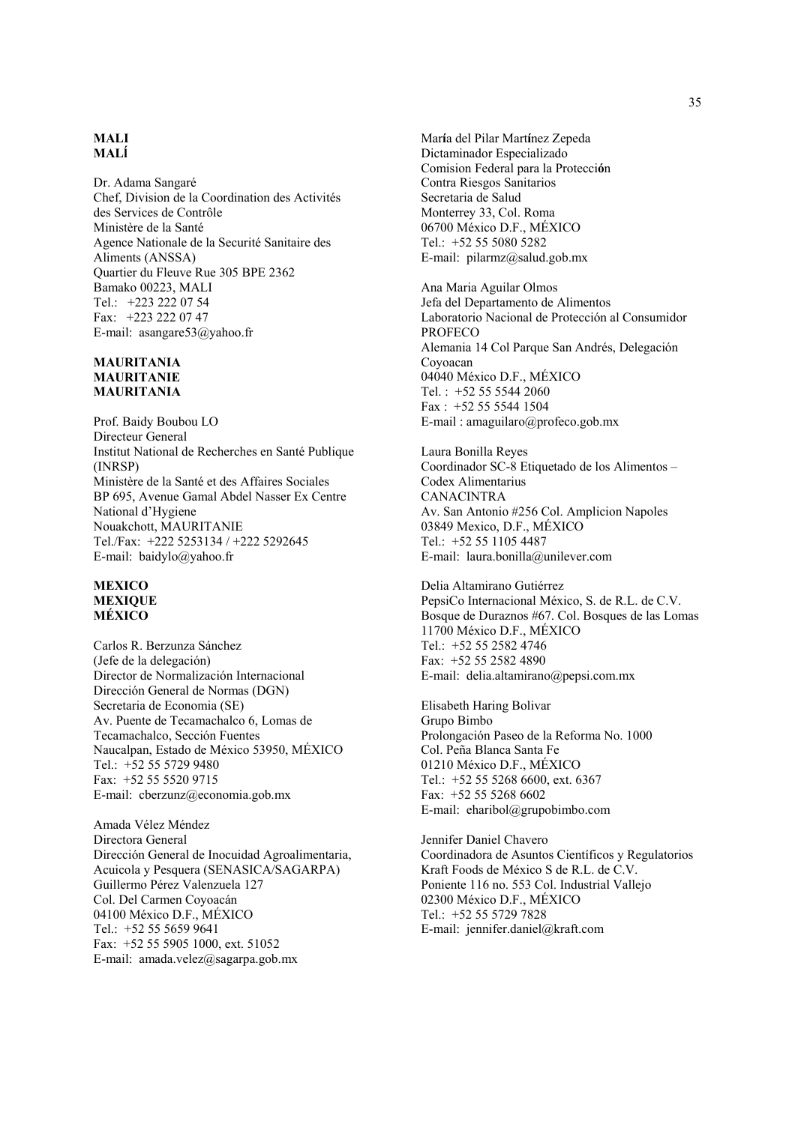#### **MALI MALĺ**

Dr. Adama Sangaré Chef, Division de la Coordination des Activités des Services de Contrôle Ministère de la Santé Agence Nationale de la Securité Sanitaire des Aliments (ANSSA) Quartier du Fleuve Rue 305 BPE 2362 Bamako 00223, MALI Tel.: +223 222 07 54 Fax: +223 222 07 47 E-mail: asangare53@yahoo.fr

## **MAURITANIA MAURITANIE MAURITANIA**

Prof. Baidy Boubou LO Directeur General Institut National de Recherches en Santé Publique (INRSP) Ministère de la Santé et des Affaires Sociales BP 695, Avenue Gamal Abdel Nasser Ex Centre National d'Hygiene Nouakchott, MAURITANIE Tel./Fax: +222 5253134 / +222 5292645 E-mail: baidylo@yahoo.fr

#### **MEXICO MEXIQUE MÉXICO**

Carlos R. Berzunza Sánchez (Jefe de la delegación) Director de Normalización Internacional Dirección General de Normas (DGN) Secretaria de Economia (SE) Av. Puente de Tecamachalco 6, Lomas de Tecamachalco, Sección Fuentes Naucalpan, Estado de México 53950, MÉXICO Tel.: +52 55 5729 9480 Fax: +52 55 5520 9715 E-mail: cberzunz@economia.gob.mx

Amada Vélez Méndez Directora General Dirección General de Inocuidad Agroalimentaria, Acuicola y Pesquera (SENASICA/SAGARPA) Guillermo Pérez Valenzuela 127 Col. Del Carmen Coyoacán 04100 México D.F., MÉXICO Tel.: +52 55 5659 9641 Fax: +52 55 5905 1000, ext. 51052 E-mail: amada.velez@sagarpa.gob.mx

Mar**í**a del Pilar Mart**í**nez Zepeda Dictaminador Especializado Comision Federal para la Protecci**ó**n Contra Riesgos Sanitarios Secretaria de Salud Monterrey 33, Col. Roma 06700 México D.F., MÉXICO Tel.: +52 55 5080 5282 E-mail: pilarmz@salud.gob.mx

Ana Maria Aguilar Olmos Jefa del Departamento de Alimentos Laboratorio Nacional de Protección al Consumidor **PROFECO** Alemania 14 Col Parque San Andrés, Delegación Coyoacan 04040 México D.F., MÉXICO Tel. : +52 55 5544 2060 Fax : +52 55 5544 1504 E-mail : amaguilaro@profeco.gob.mx

Laura Bonilla Reyes Coordinador SC-8 Etiquetado de los Alimentos – Codex Alimentarius CANACINTRA Av. San Antonio #256 Col. Amplicion Napoles 03849 Mexico, D.F., MÉXICO Tel.: +52 55 1105 4487 E-mail: laura.bonilla@unilever.com

Delia Altamirano Gutiérrez PepsiCo Internacional México, S. de R.L. de C.V. Bosque de Duraznos #67. Col. Bosques de las Lomas 11700 México D.F., MÉXICO Tel.: +52 55 2582 4746 Fax: +52 55 2582 4890 E-mail: delia.altamirano@pepsi.com.mx

Elisabeth Haring Bolivar Grupo Bimbo Prolongación Paseo de la Reforma No. 1000 Col. Peña Blanca Santa Fe 01210 México D.F., MÉXICO Tel.: +52 55 5268 6600, ext. 6367 Fax: +52 55 5268 6602 E-mail: eharibol@grupobimbo.com

Jennifer Daniel Chavero Coordinadora de Asuntos Científicos y Regulatorios Kraft Foods de México S de R.L. de C.V. Poniente 116 no. 553 Col. Industrial Vallejo 02300 México D.F., MÉXICO Tel.: +52 55 5729 7828 E-mail: jennifer.daniel@kraft.com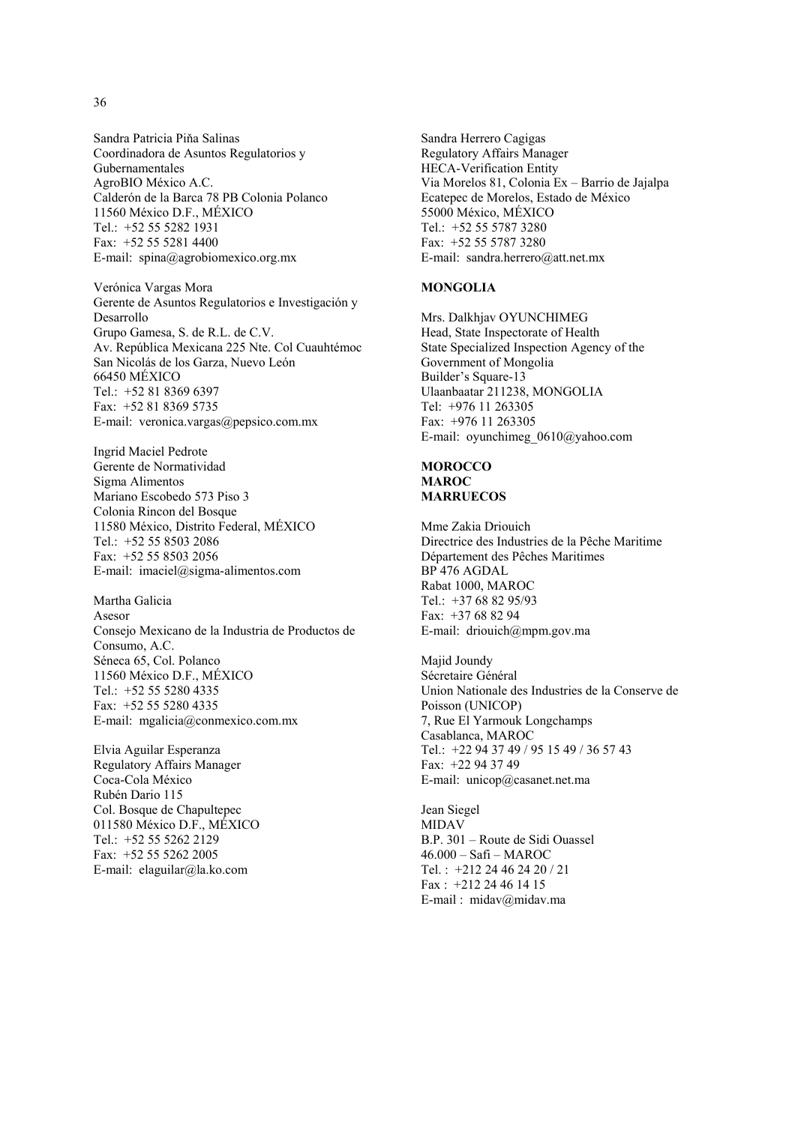Sandra Patricia Piňa Salinas Coordinadora de Asuntos Regulatorios y Gubernamentales AgroBIO México A.C. Calderón de la Barca 78 PB Colonia Polanco 11560 México D.F., MÉXICO Tel.: +52 55 5282 1931 Fax: +52 55 5281 4400 E-mail: spina@agrobiomexico.org.mx

Verónica Vargas Mora Gerente de Asuntos Regulatorios e Investigación y Desarrollo Grupo Gamesa, S. de R.L. de C.V. Av. República Mexicana 225 Nte. Col Cuauhtémoc San Nicolás de los Garza, Nuevo León 66450 MÉXICO Tel.: +52 81 8369 6397 Fax: +52 81 8369 5735 E-mail: veronica.vargas@pepsico.com.mx

Ingrid Maciel Pedrote Gerente de Normatividad Sigma Alimentos Mariano Escobedo 573 Piso 3 Colonia Rincon del Bosque 11580 México, Distrito Federal, MÉXICO Tel.: +52 55 8503 2086 Fax: +52 55 8503 2056 E-mail: imaciel@sigma-alimentos.com

Martha Galicia Asesor Consejo Mexicano de la Industria de Productos de Consumo, A.C. Séneca 65, Col. Polanco 11560 México D.F., MÉXICO Tel.: +52 55 5280 4335 Fax: +52 55 5280 4335 E-mail: mgalicia@conmexico.com.mx

Elvia Aguilar Esperanza Regulatory Affairs Manager Coca-Cola México Rubén Dario 115 Col. Bosque de Chapultepec 011580 México D.F., MÉXICO Tel.: +52 55 5262 2129 Fax: +52 55 5262 2005 E-mail: elaguilar@la.ko.com

Sandra Herrero Cagigas Regulatory Affairs Manager HECA-Verification Entity Via Morelos 81, Colonia Ex – Barrio de Jajalpa Ecatepec de Morelos, Estado de México 55000 México, MÉXICO Tel.: +52 55 5787 3280 Fax: +52 55 5787 3280 E-mail: sandra.herrero@att.net.mx

#### **MONGOLIA**

Mrs. Dalkhjav OYUNCHIMEG Head, State Inspectorate of Health State Specialized Inspection Agency of the Government of Mongolia Builder's Square-13 Ulaanbaatar 211238, MONGOLIA Tel: +976 11 263305 Fax: +976 11 263305 E-mail: oyunchimeg\_0610@yahoo.com

## **MOROCCO MAROC MARRUECOS**

Mme Zakia Driouich Directrice des Industries de la Pêche Maritime Département des Pêches Maritimes BP 476 AGDAL Rabat 1000, MAROC Tel.: +37 68 82 95/93 Fax: +37 68 82 94 E-mail: driouich@mpm.gov.ma

Majid Joundy Sécretaire Général Union Nationale des Industries de la Conserve de Poisson (UNICOP) 7, Rue El Yarmouk Longchamps Casablanca, MAROC Tel.: +22 94 37 49 / 95 15 49 / 36 57 43 Fax: +22 94 37 49 E-mail: unicop@casanet.net.ma

Jean Siegel MIDAV B.P. 301 – Route de Sidi Ouassel 46.000 – Safi – MAROC Tel. : +212 24 46 24 20 / 21 Fax : +212 24 46 14 15 E-mail : midav@midav.ma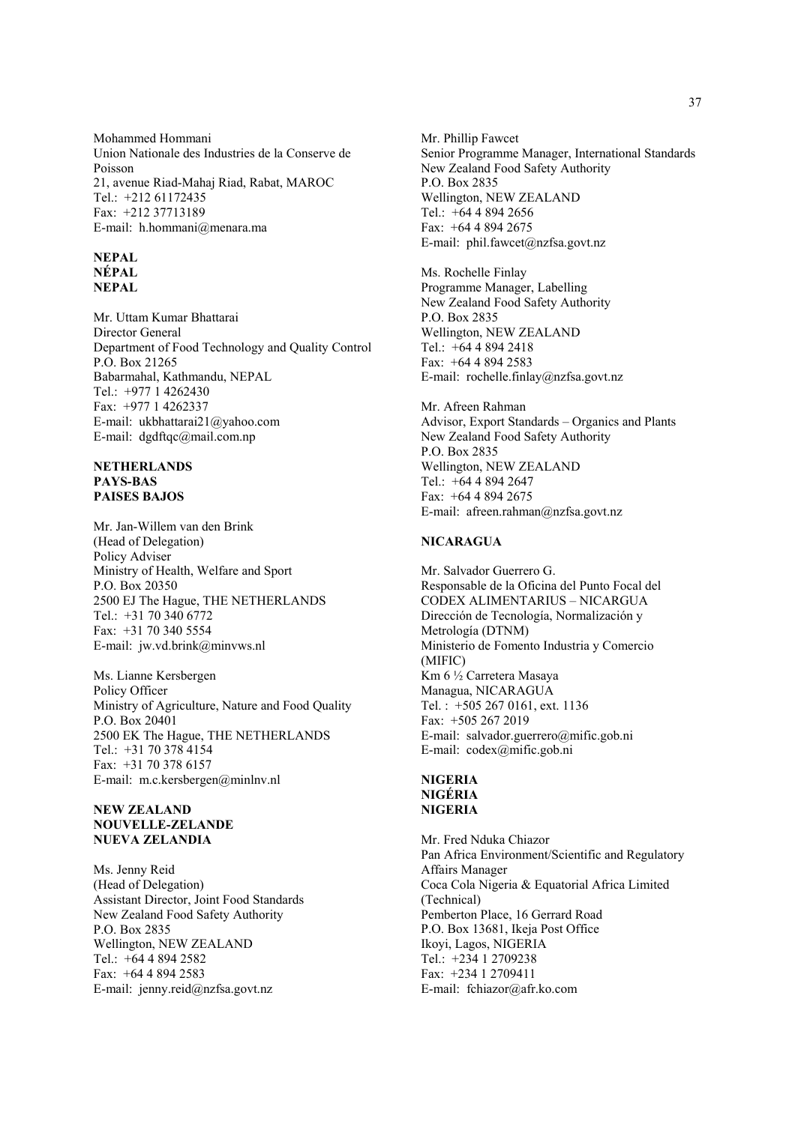Mohammed Hommani Union Nationale des Industries de la Conserve de Poisson 21, avenue Riad-Mahaj Riad, Rabat, MAROC Tel.: +212 61172435 Fax: +212 37713189 E-mail: h.hommani@menara.ma

#### **NEPAL NÉPAL NEPAL**

Mr. Uttam Kumar Bhattarai Director General Department of Food Technology and Quality Control P.O. Box 21265 Babarmahal, Kathmandu, NEPAL Tel.: +977 1 4262430 Fax: +977 1 4262337 E-mail: ukbhattarai21@yahoo.com E-mail: dgdftqc@mail.com.np

#### **NETHERLANDS PAYS-BAS PAISES BAJOS**

Mr. Jan-Willem van den Brink (Head of Delegation) Policy Adviser Ministry of Health, Welfare and Sport P.O. Box 20350 2500 EJ The Hague, THE NETHERLANDS Tel.: +31 70 340 6772 Fax: +31 70 340 5554 E-mail: jw.vd.brink@minvws.nl

Ms. Lianne Kersbergen Policy Officer Ministry of Agriculture, Nature and Food Quality P.O. Box 20401 2500 EK The Hague, THE NETHERLANDS Tel.: +31 70 378 4154 Fax: +31 70 378 6157 E-mail: m.c.kersbergen@minlnv.nl

#### **NEW ZEALAND NOUVELLE-ZELANDE NUEVA ZELANDIA**

Ms. Jenny Reid (Head of Delegation) Assistant Director, Joint Food Standards New Zealand Food Safety Authority P.O. Box 2835 Wellington, NEW ZEALAND Tel.: +64 4 894 2582 Fax: +64 4 894 2583 E-mail: jenny.reid@nzfsa.govt.nz

Mr. Phillip Fawcet Senior Programme Manager, International Standards New Zealand Food Safety Authority P.O. Box 2835 Wellington, NEW ZEALAND Tel.: +64 4 894 2656 Fax: +64 4 894 2675 E-mail: phil.fawcet@nzfsa.govt.nz

Ms. Rochelle Finlay Programme Manager, Labelling New Zealand Food Safety Authority P.O. Box 2835 Wellington, NEW ZEALAND Tel.: +64 4 894 2418 Fax: +64 4 894 2583 E-mail: rochelle.finlay@nzfsa.govt.nz

Mr. Afreen Rahman Advisor, Export Standards – Organics and Plants New Zealand Food Safety Authority P.O. Box 2835 Wellington, NEW ZEALAND Tel.: +64 4 894 2647 Fax: +64 4 894 2675 E-mail: afreen.rahman@nzfsa.govt.nz

# **NICARAGUA**

Mr. Salvador Guerrero G. Responsable de la Oficina del Punto Focal del CODEX ALIMENTARIUS – NICARGUA Dirección de Tecnología, Normalización y Metrología (DTNM) Ministerio de Fomento Industria y Comercio (MIFIC) Km 6 ½ Carretera Masaya Managua, NICARAGUA Tel. : +505 267 0161, ext. 1136 Fax: +505 267 2019 E-mail: salvador.guerrero@mific.gob.ni E-mail: codex@mific.gob.ni

# **NIGERIA NIGÉRIA NIGERIA**

Mr. Fred Nduka Chiazor Pan Africa Environment/Scientific and Regulatory Affairs Manager Coca Cola Nigeria & Equatorial Africa Limited (Technical) Pemberton Place, 16 Gerrard Road P.O. Box 13681, Ikeja Post Office Ikoyi, Lagos, NIGERIA Tel.: +234 1 2709238 Fax: +234 1 2709411 E-mail: fchiazor@afr.ko.com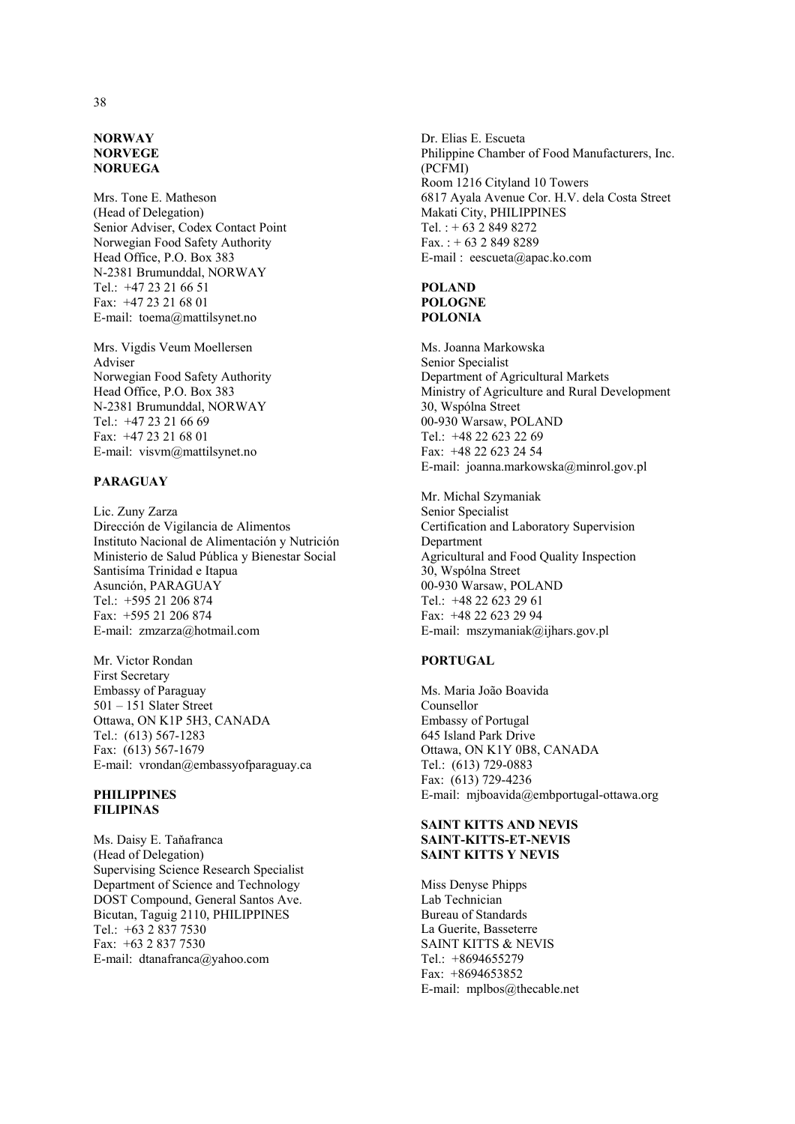#### **NORWAY NORVEGE NORUEGA**

Mrs. Tone E. Matheson (Head of Delegation) Senior Adviser, Codex Contact Point Norwegian Food Safety Authority Head Office, P.O. Box 383 N-2381 Brumunddal, NORWAY Tel.: +47 23 21 66 51 Fax: +47 23 21 68 01 E-mail: toema@mattilsynet.no

Mrs. Vigdis Veum Moellersen Adviser Norwegian Food Safety Authority Head Office, P.O. Box 383 N-2381 Brumunddal, NORWAY Tel.: +47 23 21 66 69 Fax: +47 23 21 68 01 E-mail: visvm@mattilsynet.no

#### **PARAGUAY**

Lic. Zuny Zarza Dirección de Vigilancia de Alimentos Instituto Nacional de Alimentación y Nutrición Ministerio de Salud Pública y Bienestar Social Santisíma Trinidad e Itapua Asunción, PARAGUAY Tel.: +595 21 206 874 Fax: +595 21 206 874 E-mail: zmzarza@hotmail.com

Mr. Victor Rondan First Secretary Embassy of Paraguay 501 – 151 Slater Street Ottawa, ON K1P 5H3, CANADA Tel.: (613) 567-1283 Fax: (613) 567-1679 E-mail: vrondan@embassyofparaguay.ca

# **PHILIPPINES FILIPINAS**

Ms. Daisy E. Taňafranca (Head of Delegation) Supervising Science Research Specialist Department of Science and Technology DOST Compound, General Santos Ave. Bicutan, Taguig 2110, PHILIPPINES Tel.: +63 2 837 7530 Fax: +63 2 837 7530 E-mail: dtanafranca@yahoo.com

Dr. Elias E. Escueta Philippine Chamber of Food Manufacturers, Inc. (PCFMI) Room 1216 Cityland 10 Towers 6817 Ayala Avenue Cor. H.V. dela Costa Street Makati City, PHILIPPINES Tel. : + 63 2 849 8272  $Fax. : + 63 2 849 8289$ E-mail : eescueta@apac.ko.com

#### **POLAND POLOGNE POLONIA**

Ms. Joanna Markowska Senior Specialist Department of Agricultural Markets Ministry of Agriculture and Rural Development 30, Wspólna Street 00-930 Warsaw, POLAND Tel.: +48 22 623 22 69 Fax: +48 22 623 24 54 E-mail: joanna.markowska@minrol.gov.pl

Mr. Michal Szymaniak Senior Specialist Certification and Laboratory Supervision Department Agricultural and Food Quality Inspection 30, Wspólna Street 00-930 Warsaw, POLAND Tel.: +48 22 623 29 61 Fax: +48 22 623 29 94 E-mail: mszymaniak@ijhars.gov.pl

# **PORTUGAL**

Ms. Maria João Boavida Counsellor Embassy of Portugal 645 Island Park Drive Ottawa, ON K1Y 0B8, CANADA Tel.: (613) 729-0883 Fax: (613) 729-4236 E-mail: mjboavida@embportugal-ottawa.org

#### **SAINT KITTS AND NEVIS SAINT-KITTS-ET-NEVIS SAINT KITTS Y NEVIS**

Miss Denyse Phipps Lab Technician Bureau of Standards La Guerite, Basseterre SAINT KITTS & NEVIS Tel.: +8694655279 Fax: +8694653852 E-mail: mplbos@thecable.net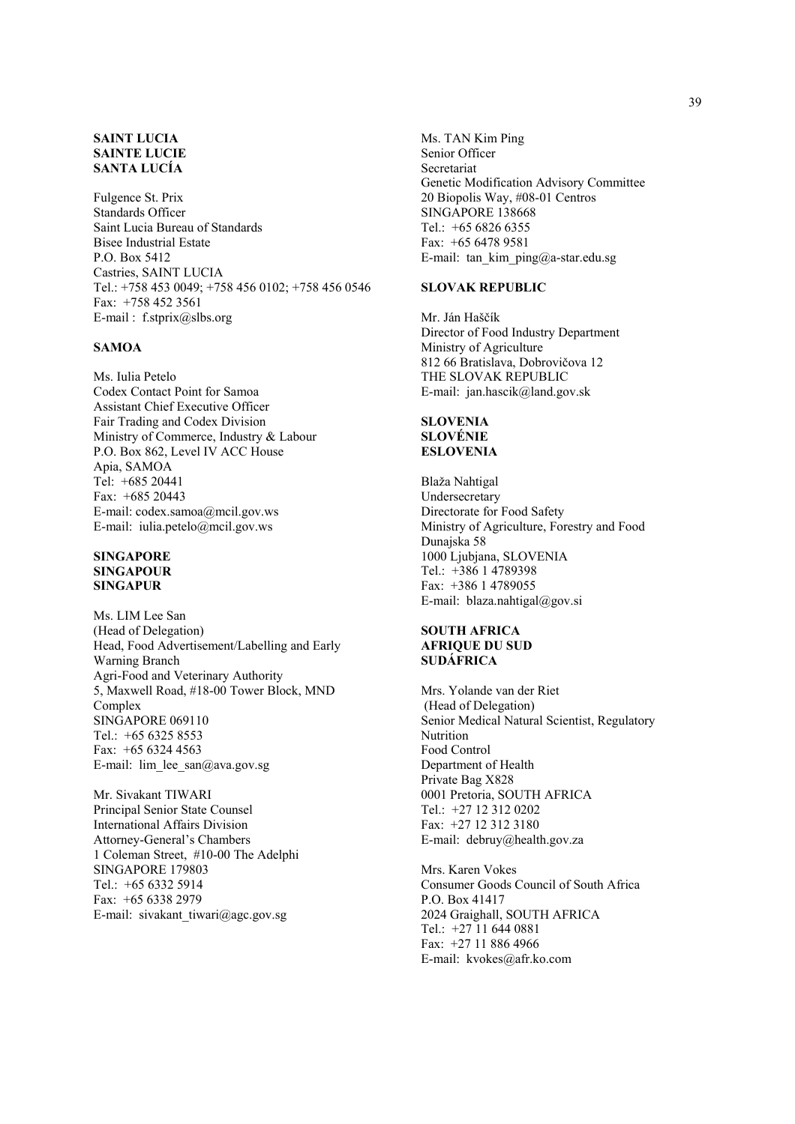## **SAINT LUCIA SAINTE LUCIE SANTA LUCÍA**

Fulgence St. Prix Standards Officer Saint Lucia Bureau of Standards Bisee Industrial Estate P.O. Box 5412 Castries, SAINT LUCIA Tel.: +758 453 0049; +758 456 0102; +758 456 0546 Fax: +758 452 3561 E-mail : f.stprix@slbs.org

## **SAMOA**

Ms. Iulia Petelo Codex Contact Point for Samoa Assistant Chief Executive Officer Fair Trading and Codex Division Ministry of Commerce, Industry & Labour P.O. Box 862, Level IV ACC House Apia, SAMOA Tel: +685 20441 Fax: +685 20443 E-mail: codex.samoa@mcil.gov.ws E-mail: iulia.petelo@mcil.gov.ws

#### **SINGAPORE SINGAPOUR SINGAPUR**

Ms. LIM Lee San (Head of Delegation) Head, Food Advertisement/Labelling and Early Warning Branch Agri-Food and Veterinary Authority 5, Maxwell Road, #18-00 Tower Block, MND Complex SINGAPORE 069110 Tel.: +65 6325 8553 Fax: +65 6324 4563 E-mail: lim\_lee\_san@ava.gov.sg

Mr. Sivakant TIWARI Principal Senior State Counsel International Affairs Division Attorney-General's Chambers 1 Coleman Street, #10-00 The Adelphi SINGAPORE 179803 Tel.: +65 6332 5914 Fax: +65 6338 2979 E-mail: sivakant tiwari@agc.gov.sg

Ms. TAN Kim Ping Senior Officer Secretariat Genetic Modification Advisory Committee 20 Biopolis Way, #08-01 Centros SINGAPORE 138668 Tel.: +65 6826 6355 Fax: +65 6478 9581 E-mail: tan kim ping@a-star.edu.sg

#### **SLOVAK REPUBLIC**

Mr. Ján Haščík Director of Food Industry Department Ministry of Agriculture 812 66 Bratislava, Dobrovičova 12 THE SLOVAK REPUBLIC E-mail: jan.hascik@land.gov.sk

#### **SLOVENIA SLOVÉNIE ESLOVENIA**

Blaža Nahtigal Undersecretary Directorate for Food Safety Ministry of Agriculture, Forestry and Food Dunajska 58 1000 Ljubjana, SLOVENIA Tel.: +386 1 4789398 Fax: +386 1 4789055 E-mail: blaza.nahtigal@gov.si

#### **SOUTH AFRICA AFRIQUE DU SUD SUDÁFRICA**

Mrs. Yolande van der Riet (Head of Delegation) Senior Medical Natural Scientist, Regulatory Nutrition Food Control Department of Health Private Bag X828 0001 Pretoria, SOUTH AFRICA Tel.: +27 12 312 0202 Fax: +27 12 312 3180 E-mail: debruy@health.gov.za

Mrs. Karen Vokes Consumer Goods Council of South Africa P.O. Box 41417 2024 Graighall, SOUTH AFRICA Tel.: +27 11 644 0881 Fax: +27 11 886 4966 E-mail: kvokes@afr.ko.com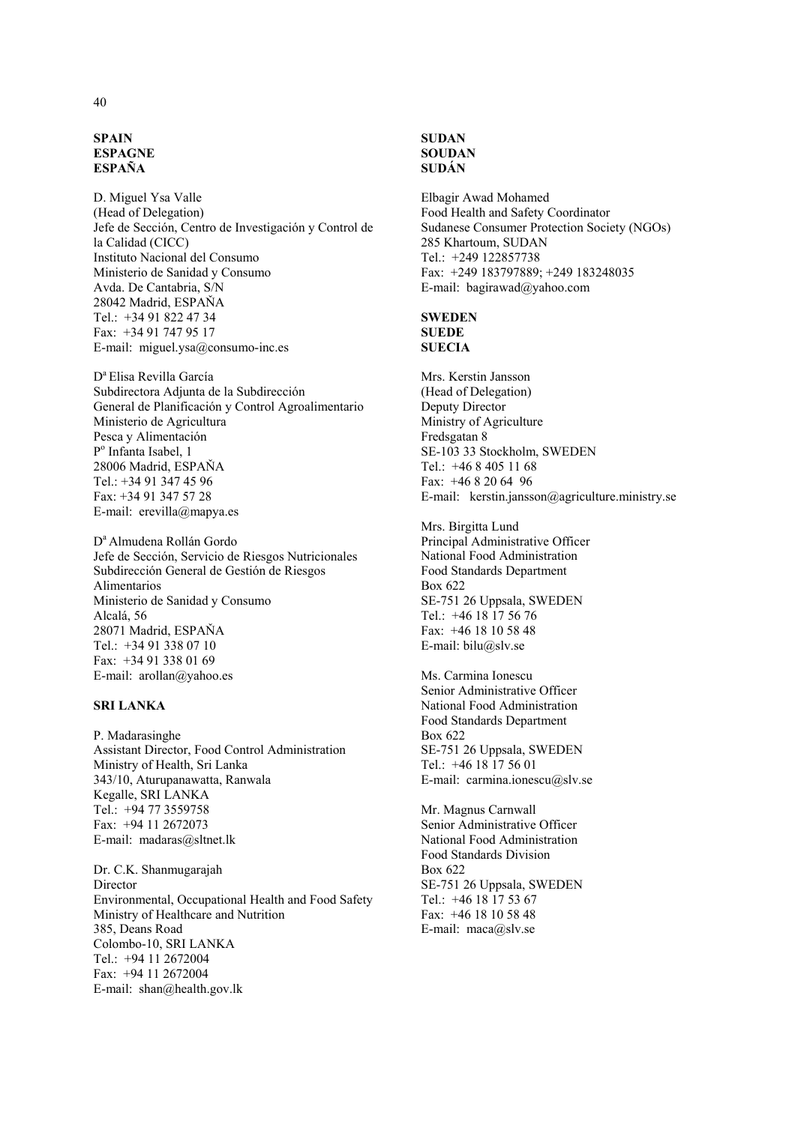#### **SPAIN ESPAGNE ESPAÑA**

D. Miguel Ysa Valle (Head of Delegation) Jefe de Sección, Centro de Investigación y Control de la Calidad (CICC) Instituto Nacional del Consumo Ministerio de Sanidad y Consumo Avda. De Cantabria, S/N 28042 Madrid, ESPAŇA Tel.: +34 91 822 47 34 Fax: +34 91 747 95 17 E-mail: miguel.ysa@consumo-inc.es

D<sup>a</sup> Elisa Revilla García Subdirectora Adjunta de la Subdirección General de Planificación y Control Agroalimentario Ministerio de Agricultura Pesca y Alimentación Po Infanta Isabel, 1 28006 Madrid, ESPAŇA Tel.: +34 91 347 45 96 Fax: +34 91 347 57 28 E-mail: erevilla@mapya.es

D<sup>a</sup> Almudena Rollán Gordo Jefe de Sección, Servicio de Riesgos Nutricionales Subdirección General de Gestión de Riesgos Alimentarios Ministerio de Sanidad y Consumo Alcalá, 56 28071 Madrid, ESPAŇA Tel.: +34 91 338 07 10 Fax: +34 91 338 01 69 E-mail: arollan@yahoo.es

#### **SRI LANKA**

P. Madarasinghe Assistant Director, Food Control Administration Ministry of Health, Sri Lanka 343/10, Aturupanawatta, Ranwala Kegalle, SRI LANKA Tel.: +94 77 3559758 Fax: +94 11 2672073 E-mail: madaras@sltnet.lk

Dr. C.K. Shanmugarajah Director Environmental, Occupational Health and Food Safety Ministry of Healthcare and Nutrition 385, Deans Road Colombo-10, SRI LANKA Tel.: +94 11 2672004 Fax: +94 11 2672004 E-mail: shan@health.gov.lk

## **SUDAN SOUDAN SUDÁN**

Elbagir Awad Mohamed Food Health and Safety Coordinator Sudanese Consumer Protection Society (NGOs) 285 Khartoum, SUDAN Tel.: +249 122857738 Fax: +249 183797889; +249 183248035 E-mail: bagirawad@yahoo.com

# **SWEDEN SUEDE SUECIA**

Mrs. Kerstin Jansson (Head of Delegation) Deputy Director Ministry of Agriculture Fredsgatan 8 SE-103 33 Stockholm, SWEDEN Tel.: +46 8 405 11 68 Fax: +46 8 20 64 96 E-mail: kerstin.jansson@agriculture.ministry.se

Mrs. Birgitta Lund Principal Administrative Officer National Food Administration Food Standards Department Box 622 SE-751 26 Uppsala, SWEDEN Tel.: +46 18 17 56 76 Fax: +46 18 10 58 48 E-mail: bilu@slv.se

Ms. Carmina Ionescu Senior Administrative Officer National Food Administration Food Standards Department Box 622 SE-751 26 Uppsala, SWEDEN Tel.: +46 18 17 56 01 E-mail: carmina.ionescu@slv.se

Mr. Magnus Carnwall Senior Administrative Officer National Food Administration Food Standards Division Box 622 SE-751 26 Uppsala, SWEDEN Tel.: +46 18 17 53 67 Fax: +46 18 10 58 48 E-mail: maca@slv.se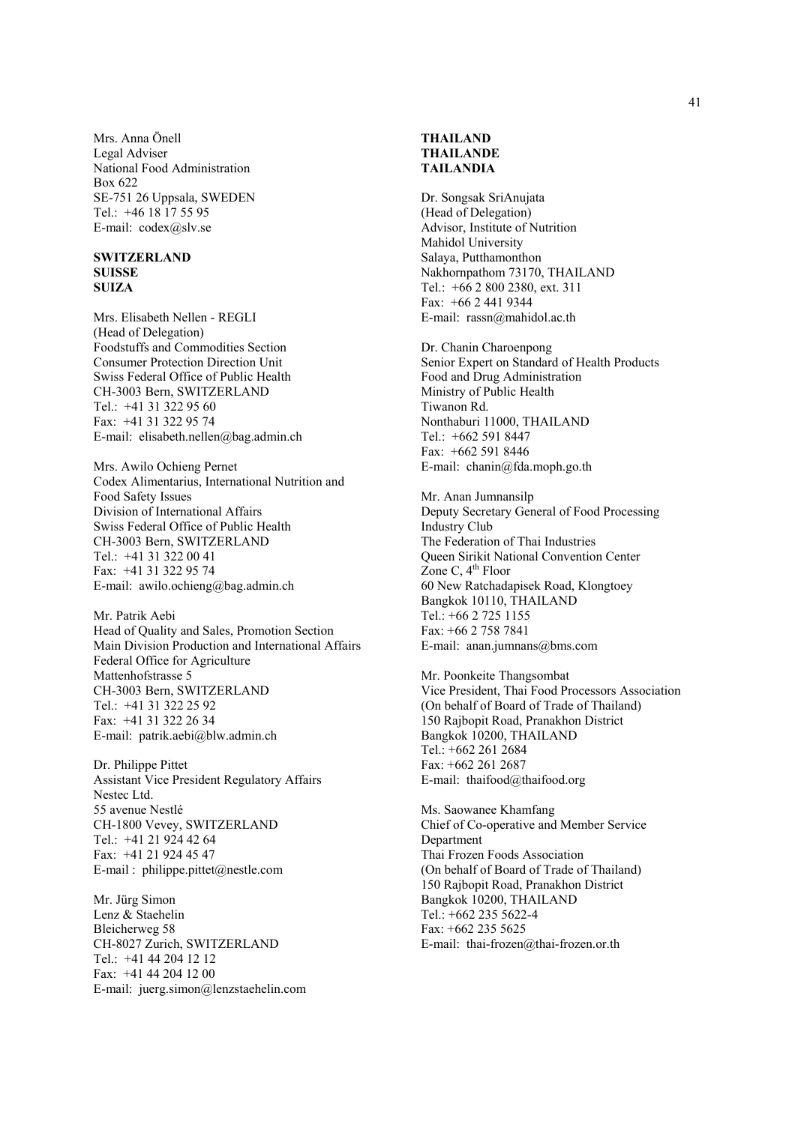Mrs. Anna Önell Legal Adviser National Food Administration Box 622 SE-751 26 Uppsala, SWEDEN Tel.: +46 18 17 55 95 E-mail: codex@slv.se

#### **SWITZERLAND SUISSE SUIZA**

Mrs. Elisabeth Nellen - REGLI (Head of Delegation) Foodstuffs and Commodities Section Consumer Protection Direction Unit Swiss Federal Office of Public Health CH-3003 Bern, SWITZERLAND Tel.: +41 31 322 95 60 Fax: +41 31 322 95 74 E-mail: elisabeth.nellen@bag.admin.ch

Mrs. Awilo Ochieng Pernet Codex Alimentarius, International Nutrition and Food Safety Issues Division of International Affairs Swiss Federal Office of Public Health CH-3003 Bern, SWITZERLAND Tel.: +41 31 322 00 41 Fax: +41 31 322 95 74 E-mail: awilo.ochieng@bag.admin.ch

Mr. Patrik Aebi Head of Quality and Sales, Promotion Section Main Division Production and International Affairs Federal Office for Agriculture Mattenhofstrasse 5 CH-3003 Bern, SWITZERLAND Tel.: +41 31 322 25 92 Fax: +41 31 322 26 34 E-mail: patrik.aebi@blw.admin.ch

Dr. Philippe Pittet Assistant Vice President Regulatory Affairs Nestec Ltd. 55 avenue Nestlé CH-1800 Vevey, SWITZERLAND Tel.: +41 21 924 42 64 Fax: +41 21 924 45 47 E-mail : philippe.pittet@nestle.com

Mr. Jürg Simon Lenz & Staehelin Bleicherweg 58 CH-8027 Zurich, SWITZERLAND Tel.: +41 44 204 12 12 Fax: +41 44 204 12 00 E-mail: juerg.simon@lenzstaehelin.com

# **THAILAND THAILANDE TAILANDIA**

Dr. Songsak SriAnujata (Head of Delegation) Advisor, Institute of Nutrition Mahidol University Salaya, Putthamonthon Nakhornpathom 73170, THAILAND Tel.: +66 2 800 2380, ext. 311 Fax: +66 2 441 9344 E-mail: rassn@mahidol.ac.th

Dr. Chanin Charoenpong Senior Expert on Standard of Health Products Food and Drug Administration Ministry of Public Health Tiwanon Rd. Nonthaburi 11000, THAILAND Tel.: +662 591 8447 Fax: +662 591 8446 E-mail: chanin@fda.moph.go.th

Mr. Anan Jumnansilp Deputy Secretary General of Food Processing Industry Club The Federation of Thai Industries Queen Sirikit National Convention Center Zone C,  $4<sup>th</sup>$  Floor 60 New Ratchadapisek Road, Klongtoey Bangkok 10110, THAILAND Tel.: +66 2 725 1155 Fax: +66 2 758 7841 E-mail: anan.jumnans@bms.com

Mr. Poonkeite Thangsombat Vice President, Thai Food Processors Association (On behalf of Board of Trade of Thailand) 150 Rajbopit Road, Pranakhon District Bangkok 10200, THAILAND Tel.: +662 261 2684 Fax: +662 261 2687 E-mail: thaifood@thaifood.org

Ms. Saowanee Khamfang Chief of Co-operative and Member Service Department Thai Frozen Foods Association (On behalf of Board of Trade of Thailand) 150 Rajbopit Road, Pranakhon District Bangkok 10200, THAILAND Tel.: +662 235 5622-4 Fax: +662 235 5625 E-mail: thai-frozen@thai-frozen.or.th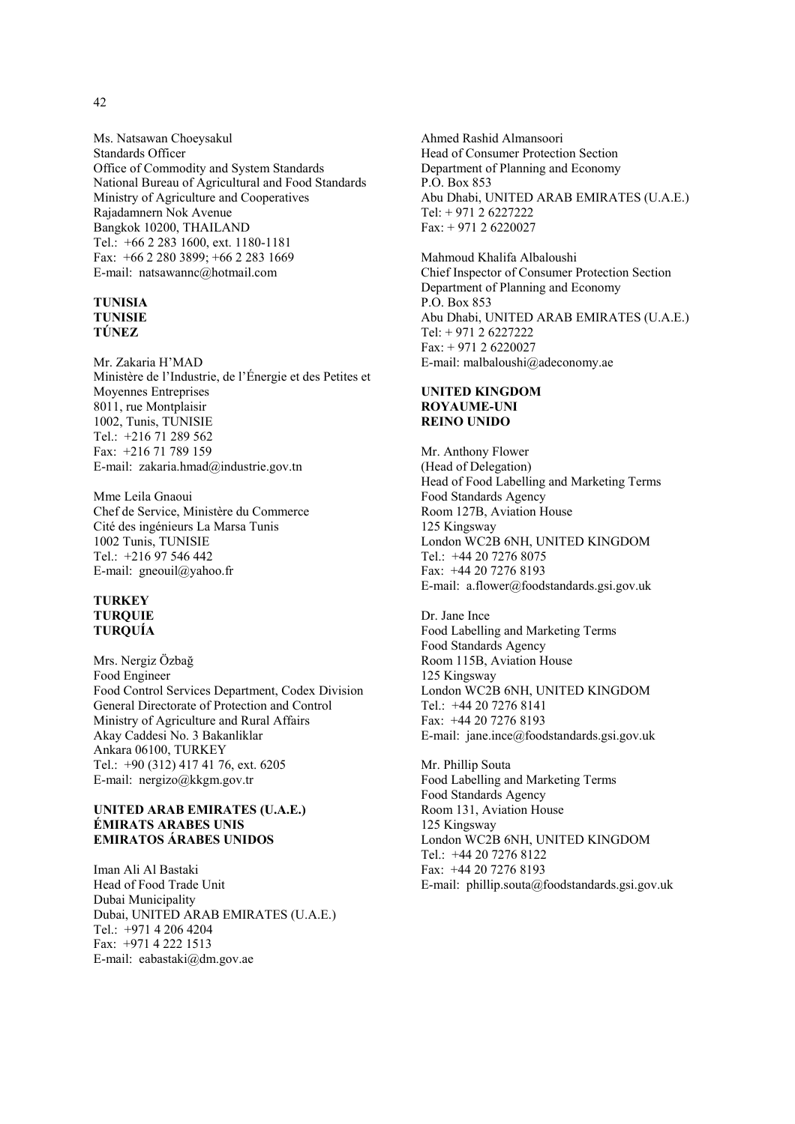Ms. Natsawan Choeysakul Standards Officer Office of Commodity and System Standards National Bureau of Agricultural and Food Standards Ministry of Agriculture and Cooperatives Rajadamnern Nok Avenue Bangkok 10200, THAILAND Tel.: +66 2 283 1600, ext. 1180-1181 Fax: +66 2 280 3899; +66 2 283 1669 E-mail: natsawannc@hotmail.com

#### **TUNISIA TUNISIE TÚNEZ**

Mr. Zakaria H'MAD Ministère de l'Industrie, de l'Énergie et des Petites et Moyennes Entreprises 8011, rue Montplaisir 1002, Tunis, TUNISIE Tel.: +216 71 289 562 Fax: +216 71 789 159 E-mail: zakaria.hmad@industrie.gov.tn

Mme Leila Gnaoui Chef de Service, Ministère du Commerce Cité des ingénieurs La Marsa Tunis 1002 Tunis, TUNISIE Tel.: +216 97 546 442 E-mail: gneouil@yahoo.fr

#### **TURKEY TURQUIE TURQUÍA**

Mrs. Nergiz Özbağ Food Engineer Food Control Services Department, Codex Division General Directorate of Protection and Control Ministry of Agriculture and Rural Affairs Akay Caddesi No. 3 Bakanliklar Ankara 06100, TURKEY Tel.: +90 (312) 417 41 76, ext. 6205 E-mail: nergizo@kkgm.gov.tr

#### **UNITED ARAB EMIRATES (U.A.E.) ÉMIRATS ARABES UNIS EMIRATOS ÁRABES UNIDOS**

Iman Ali Al Bastaki Head of Food Trade Unit Dubai Municipality Dubai, UNITED ARAB EMIRATES (U.A.E.) Tel.: +971 4 206 4204 Fax: +971 4 222 1513 E-mail: eabastaki@dm.gov.ae

Ahmed Rashid Almansoori Head of Consumer Protection Section Department of Planning and Economy P.O. Box 853 Abu Dhabi, UNITED ARAB EMIRATES (U.A.E.) Tel: + 971 2 6227222 Fax: + 971 2 6220027

Mahmoud Khalifa Albaloushi Chief Inspector of Consumer Protection Section Department of Planning and Economy P.O. Box 853 Abu Dhabi, UNITED ARAB EMIRATES (U.A.E.) Tel: + 971 2 6227222 Fax: + 971 2 6220027 E-mail: malbaloushi@adeconomy.ae

## **UNITED KINGDOM ROYAUME-UNI REINO UNIDO**

Mr. Anthony Flower (Head of Delegation) Head of Food Labelling and Marketing Terms Food Standards Agency Room 127B, Aviation House 125 Kingsway London WC2B 6NH, UNITED KINGDOM Tel.: +44 20 7276 8075 Fax: +44 20 7276 8193 E-mail: a.flower@foodstandards.gsi.gov.uk

Dr. Jane Ince Food Labelling and Marketing Terms Food Standards Agency Room 115B, Aviation House 125 Kingsway London WC2B 6NH, UNITED KINGDOM Tel.: +44 20 7276 8141 Fax: +44 20 7276 8193 E-mail: jane.ince@foodstandards.gsi.gov.uk

Mr. Phillip Souta Food Labelling and Marketing Terms Food Standards Agency Room 131, Aviation House 125 Kingsway London WC2B 6NH, UNITED KINGDOM Tel.: +44 20 7276 8122 Fax: +44 20 7276 8193 E-mail: phillip.souta@foodstandards.gsi.gov.uk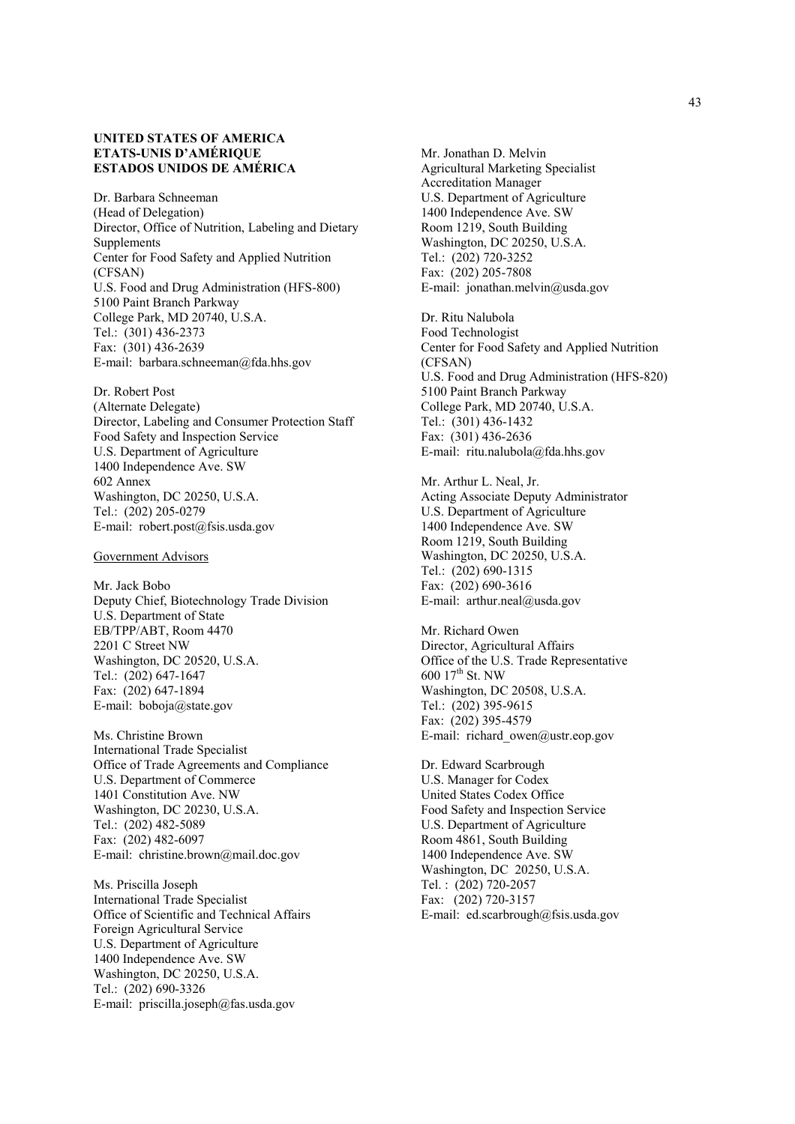## **UNITED STATES OF AMERICA ETATS-UNIS D'AMÉRIQUE ESTADOS UNIDOS DE AMÉRICA**

Dr. Barbara Schneeman (Head of Delegation) Director, Office of Nutrition, Labeling and Dietary Supplements Center for Food Safety and Applied Nutrition (CFSAN) U.S. Food and Drug Administration (HFS-800) 5100 Paint Branch Parkway College Park, MD 20740, U.S.A. Tel.: (301) 436-2373 Fax: (301) 436-2639 E-mail: barbara.schneeman@fda.hhs.gov

Dr. Robert Post (Alternate Delegate) Director, Labeling and Consumer Protection Staff Food Safety and Inspection Service U.S. Department of Agriculture 1400 Independence Ave. SW 602 Annex Washington, DC 20250, U.S.A. Tel.: (202) 205-0279 E-mail: robert.post@fsis.usda.gov

Government Advisors

Mr. Jack Bobo Deputy Chief, Biotechnology Trade Division U.S. Department of State EB/TPP/ABT, Room 4470 2201 C Street NW Washington, DC 20520, U.S.A. Tel.: (202) 647-1647 Fax: (202) 647-1894 E-mail: boboja@state.gov

Ms. Christine Brown International Trade Specialist Office of Trade Agreements and Compliance U.S. Department of Commerce 1401 Constitution Ave. NW Washington, DC 20230, U.S.A. Tel.: (202) 482-5089 Fax: (202) 482-6097 E-mail: christine.brown@mail.doc.gov

Ms. Priscilla Joseph International Trade Specialist Office of Scientific and Technical Affairs Foreign Agricultural Service U.S. Department of Agriculture 1400 Independence Ave. SW Washington, DC 20250, U.S.A. Tel.: (202) 690-3326 E-mail: priscilla.joseph@fas.usda.gov

Mr. Jonathan D. Melvin Agricultural Marketing Specialist Accreditation Manager U.S. Department of Agriculture 1400 Independence Ave. SW Room 1219, South Building Washington, DC 20250, U.S.A. Tel.: (202) 720-3252 Fax: (202) 205-7808 E-mail: jonathan.melvin@usda.gov

Dr. Ritu Nalubola Food Technologist Center for Food Safety and Applied Nutrition (CFSAN) U.S. Food and Drug Administration (HFS-820) 5100 Paint Branch Parkway College Park, MD 20740, U.S.A. Tel.: (301) 436-1432 Fax: (301) 436-2636 E-mail: ritu.nalubola@fda.hhs.gov

Mr. Arthur L. Neal, Jr. Acting Associate Deputy Administrator U.S. Department of Agriculture 1400 Independence Ave. SW Room 1219, South Building Washington, DC 20250, U.S.A. Tel.: (202) 690-1315 Fax: (202) 690-3616 E-mail: arthur.neal@usda.gov

Mr. Richard Owen Director, Agricultural Affairs Office of the U.S. Trade Representative 600 17th St. NW Washington, DC 20508, U.S.A. Tel.: (202) 395-9615 Fax: (202) 395-4579 E-mail: richard\_owen@ustr.eop.gov

Dr. Edward Scarbrough U.S. Manager for Codex United States Codex Office Food Safety and Inspection Service U.S. Department of Agriculture Room 4861, South Building 1400 Independence Ave. SW Washington, DC 20250, U.S.A. Tel. : (202) 720-2057 Fax: (202) 720-3157 E-mail: ed.scarbrough@fsis.usda.gov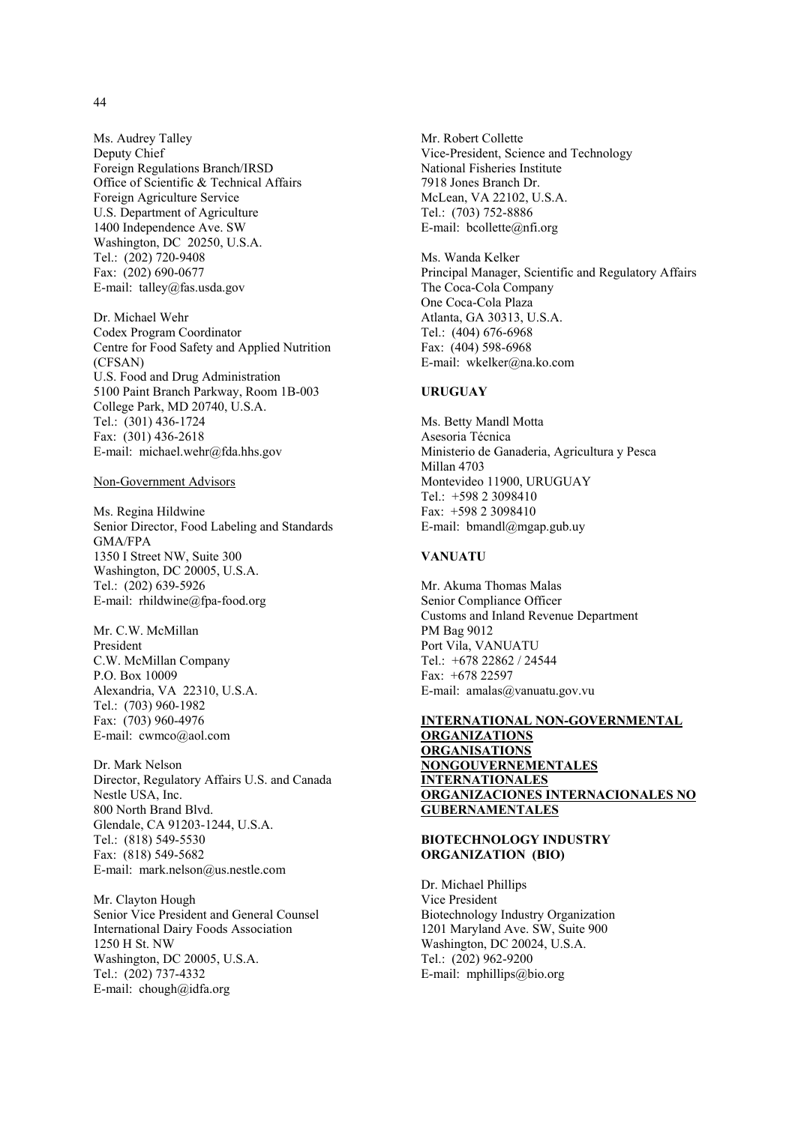Ms. Audrey Talley Deputy Chief Foreign Regulations Branch/IRSD Office of Scientific & Technical Affairs Foreign Agriculture Service U.S. Department of Agriculture 1400 Independence Ave. SW Washington, DC 20250, U.S.A. Tel.: (202) 720-9408 Fax: (202) 690-0677 E-mail: talley@fas.usda.gov

Dr. Michael Wehr Codex Program Coordinator Centre for Food Safety and Applied Nutrition (CFSAN) U.S. Food and Drug Administration 5100 Paint Branch Parkway, Room 1B-003 College Park, MD 20740, U.S.A. Tel.: (301) 436-1724 Fax: (301) 436-2618 E-mail: michael.wehr@fda.hhs.gov

#### Non-Government Advisors

Ms. Regina Hildwine Senior Director, Food Labeling and Standards GMA/FPA 1350 I Street NW, Suite 300 Washington, DC 20005, U.S.A. Tel.: (202) 639-5926 E-mail: rhildwine@fpa-food.org

Mr. C.W. McMillan President C.W. McMillan Company P.O. Box 10009 Alexandria, VA 22310, U.S.A. Tel.: (703) 960-1982 Fax: (703) 960-4976 E-mail: cwmco@aol.com

Dr. Mark Nelson Director, Regulatory Affairs U.S. and Canada Nestle USA, Inc. 800 North Brand Blvd. Glendale, CA 91203-1244, U.S.A. Tel.: (818) 549-5530 Fax: (818) 549-5682 E-mail: mark.nelson@us.nestle.com

Mr. Clayton Hough Senior Vice President and General Counsel International Dairy Foods Association 1250 H St. NW Washington, DC 20005, U.S.A. Tel.: (202) 737-4332 E-mail: chough@idfa.org

Mr. Robert Collette Vice-President, Science and Technology National Fisheries Institute 7918 Jones Branch Dr. McLean, VA 22102, U.S.A. Tel.: (703) 752-8886 E-mail: bcollette@nfi.org

Ms. Wanda Kelker Principal Manager, Scientific and Regulatory Affairs The Coca-Cola Company One Coca-Cola Plaza Atlanta, GA 30313, U.S.A. Tel.: (404) 676-6968 Fax: (404) 598-6968 E-mail: wkelker@na.ko.com

#### **URUGUAY**

Ms. Betty Mandl Motta Asesoria Técnica Ministerio de Ganaderia, Agricultura y Pesca Millan 4703 Montevideo 11900, URUGUAY Tel.: +598 2 3098410 Fax: +598 2 3098410 E-mail: bmandl@mgap.gub.uy

# **VANUATU**

Mr. Akuma Thomas Malas Senior Compliance Officer Customs and Inland Revenue Department PM Bag 9012 Port Vila, VANUATU Tel.: +678 22862 / 24544 Fax: +678 22597 E-mail: amalas@vanuatu.gov.vu

#### **INTERNATIONAL NON-GOVERNMENTAL ORGANIZATIONS ORGANISATIONS NONGOUVERNEMENTALES INTERNATIONALES ORGANIZACIONES INTERNACIONALES NO GUBERNAMENTALES**

#### **BIOTECHNOLOGY INDUSTRY ORGANIZATION (BIO)**

Dr. Michael Phillips Vice President Biotechnology Industry Organization 1201 Maryland Ave. SW, Suite 900 Washington, DC 20024, U.S.A. Tel.: (202) 962-9200 E-mail: mphillips@bio.org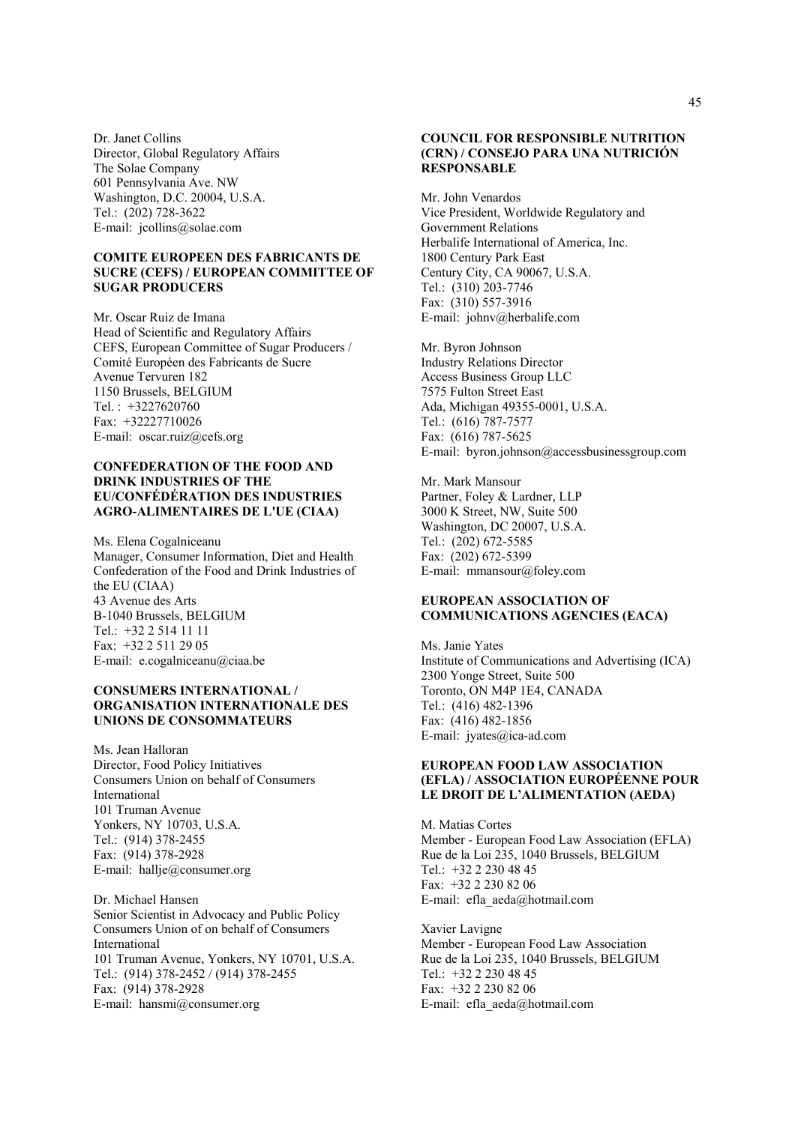Dr. Janet Collins Director, Global Regulatory Affairs The Solae Company 601 Pennsylvania Ave. NW Washington, D.C. 20004, U.S.A. Tel.: (202) 728-3622 E-mail: jcollins@solae.com

#### **COMITE EUROPEEN DES FABRICANTS DE SUCRE (CEFS) / EUROPEAN COMMITTEE OF SUGAR PRODUCERS**

Mr. Oscar Ruiz de Imana Head of Scientific and Regulatory Affairs CEFS, European Committee of Sugar Producers / Comité Européen des Fabricants de Sucre Avenue Tervuren 182 1150 Brussels, BELGIUM Tel. : +3227620760 Fax: +32227710026 E-mail: oscar.ruiz@cefs.org

#### **CONFEDERATION OF THE FOOD AND DRINK INDUSTRIES OF THE EU/CONFÉDÉRATION DES INDUSTRIES AGRO-ALIMENTAIRES DE L'UE (CIAA)**

Ms. Elena Cogalniceanu Manager, Consumer Information, Diet and Health Confederation of the Food and Drink Industries of the EU (CIAA) 43 Avenue des Arts B-1040 Brussels, BELGIUM Tel.: +32 2 514 11 11 Fax: +32 2 511 29 05 E-mail: e.cogalniceanu@ciaa.be

#### **CONSUMERS INTERNATIONAL / ORGANISATION INTERNATIONALE DES UNIONS DE CONSOMMATEURS**

Ms. Jean Halloran Director, Food Policy Initiatives Consumers Union on behalf of Consumers International 101 Truman Avenue Yonkers, NY 10703, U.S.A. Tel.: (914) 378-2455 Fax: (914) 378-2928 E-mail: hallje@consumer.org

Dr. Michael Hansen Senior Scientist in Advocacy and Public Policy Consumers Union of on behalf of Consumers International 101 Truman Avenue, Yonkers, NY 10701, U.S.A. Tel.: (914) 378-2452 / (914) 378-2455 Fax: (914) 378-2928 E-mail: hansmi@consumer.org

#### **COUNCIL FOR RESPONSIBLE NUTRITION (CRN) / CONSEJO PARA UNA NUTRICIÓN RESPONSABLE**

Mr. John Venardos Vice President, Worldwide Regulatory and Government Relations Herbalife International of America, Inc. 1800 Century Park East Century City, CA 90067, U.S.A. Tel.: (310) 203-7746 Fax: (310) 557-3916 E-mail: johnv@herbalife.com

Mr. Byron Johnson Industry Relations Director Access Business Group LLC 7575 Fulton Street East Ada, Michigan 49355-0001, U.S.A. Tel.: (616) 787-7577 Fax: (616) 787-5625 E-mail: byron.johnson@accessbusinessgroup.com

Mr. Mark Mansour Partner, Foley & Lardner, LLP 3000 K Street, NW, Suite 500 Washington, DC 20007, U.S.A. Tel.: (202) 672-5585 Fax: (202) 672-5399 E-mail: mmansour@foley.com

## **EUROPEAN ASSOCIATION OF COMMUNICATIONS AGENCIES (EACA)**

Ms. Janie Yates Institute of Communications and Advertising (ICA) 2300 Yonge Street, Suite 500 Toronto, ON M4P 1E4, CANADA Tel.: (416) 482-1396 Fax: (416) 482-1856 E-mail: jyates@ica-ad.com

# **EUROPEAN FOOD LAW ASSOCIATION (EFLA) / ASSOCIATION EUROPÉENNE POUR LE DROIT DE L'ALIMENTATION (AEDA)**

M. Matias Cortes Member - European Food Law Association (EFLA) Rue de la Loi 235, 1040 Brussels, BELGIUM Tel.: +32 2 230 48 45 Fax: +32 2 230 82 06 E-mail: efla\_aeda@hotmail.com

Xavier Lavigne Member - European Food Law Association Rue de la Loi 235, 1040 Brussels, BELGIUM Tel.: +32 2 230 48 45 Fax: +32 2 230 82 06 E-mail: efla\_aeda@hotmail.com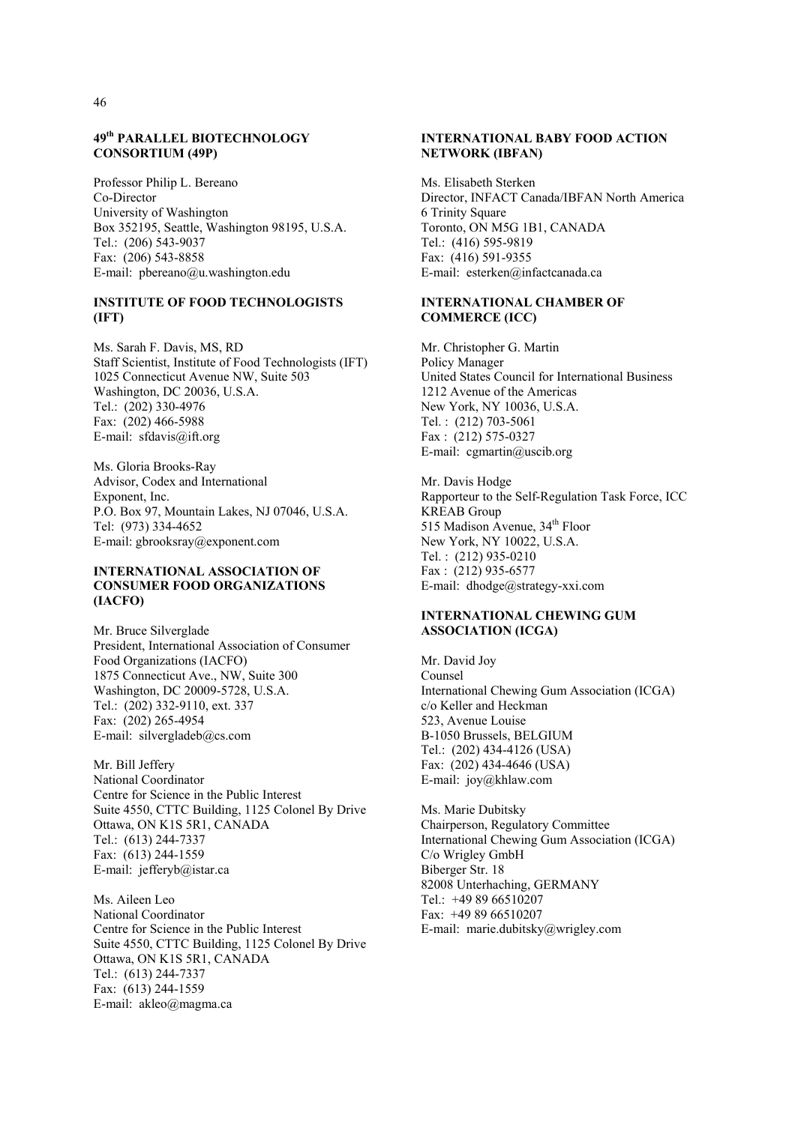## **49th PARALLEL BIOTECHNOLOGY CONSORTIUM (49P)**

Professor Philip L. Bereano Co-Director University of Washington Box 352195, Seattle, Washington 98195, U.S.A. Tel.: (206) 543-9037 Fax: (206) 543-8858 E-mail: pbereano@u.washington.edu

# **INSTITUTE OF FOOD TECHNOLOGISTS (IFT)**

Ms. Sarah F. Davis, MS, RD Staff Scientist, Institute of Food Technologists (IFT) 1025 Connecticut Avenue NW, Suite 503 Washington, DC 20036, U.S.A. Tel.: (202) 330-4976 Fax: (202) 466-5988 E-mail: sfdavis@ift.org

Ms. Gloria Brooks-Ray Advisor, Codex and International Exponent, Inc. P.O. Box 97, Mountain Lakes, NJ 07046, U.S.A. Tel: (973) 334-4652 E-mail: gbrooksray@exponent.com

# **INTERNATIONAL ASSOCIATION OF CONSUMER FOOD ORGANIZATIONS (IACFO)**

Mr. Bruce Silverglade President, International Association of Consumer Food Organizations (IACFO) 1875 Connecticut Ave., NW, Suite 300 Washington, DC 20009-5728, U.S.A. Tel.: (202) 332-9110, ext. 337 Fax: (202) 265-4954 E-mail: silvergladeb@cs.com

Mr. Bill Jeffery National Coordinator Centre for Science in the Public Interest Suite 4550, CTTC Building, 1125 Colonel By Drive Ottawa, ON K1S 5R1, CANADA Tel.: (613) 244-7337 Fax: (613) 244-1559 E-mail: jefferyb@istar.ca

Ms. Aileen Leo National Coordinator Centre for Science in the Public Interest Suite 4550, CTTC Building, 1125 Colonel By Drive Ottawa, ON K1S 5R1, CANADA Tel.: (613) 244-7337 Fax: (613) 244-1559 E-mail: akleo@magma.ca

# **INTERNATIONAL BABY FOOD ACTION NETWORK (IBFAN)**

Ms. Elisabeth Sterken Director, INFACT Canada/IBFAN North America 6 Trinity Square Toronto, ON M5G 1B1, CANADA Tel.: (416) 595-9819 Fax: (416) 591-9355 E-mail: esterken@infactcanada.ca

#### **INTERNATIONAL CHAMBER OF COMMERCE (ICC)**

Mr. Christopher G. Martin Policy Manager United States Council for International Business 1212 Avenue of the Americas New York, NY 10036, U.S.A. Tel. : (212) 703-5061 Fax : (212) 575-0327 E-mail: cgmartin@uscib.org

Mr. Davis Hodge Rapporteur to the Self-Regulation Task Force, ICC KREAB Group 515 Madison Avenue, 34<sup>th</sup> Floor New York, NY 10022, U.S.A. Tel. : (212) 935-0210 Fax : (212) 935-6577 E-mail: dhodge@strategy-xxi.com

# **INTERNATIONAL CHEWING GUM ASSOCIATION (ICGA)**

Mr. David Joy Counsel International Chewing Gum Association (ICGA) c/o Keller and Heckman 523, Avenue Louise B-1050 Brussels, BELGIUM Tel.: (202) 434-4126 (USA) Fax: (202) 434-4646 (USA) E-mail: joy@khlaw.com

Ms. Marie Dubitsky Chairperson, Regulatory Committee International Chewing Gum Association (ICGA) C/o Wrigley GmbH Biberger Str. 18 82008 Unterhaching, GERMANY Tel.: +49 89 66510207 Fax: +49 89 66510207 E-mail: marie.dubitsky@wrigley.com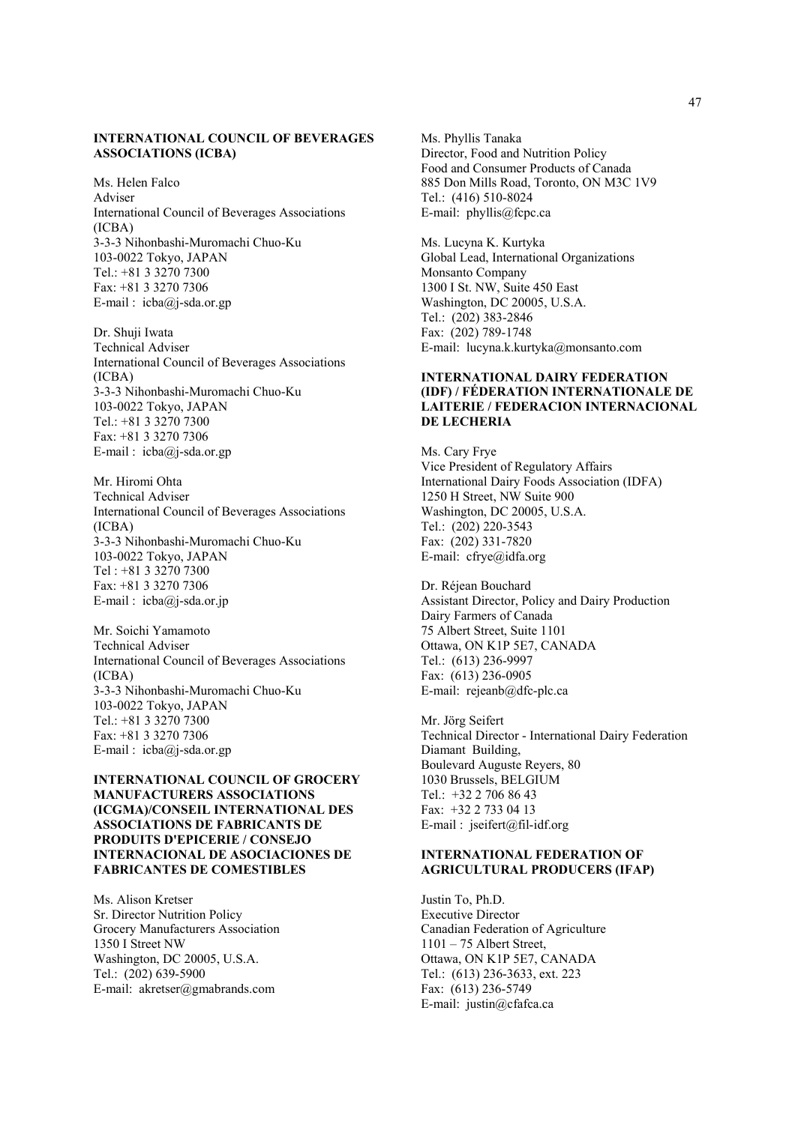### **INTERNATIONAL COUNCIL OF BEVERAGES ASSOCIATIONS (ICBA)**

Ms. Helen Falco Adviser International Council of Beverages Associations (ICBA) 3-3-3 Nihonbashi-Muromachi Chuo-Ku 103-0022 Tokyo, JAPAN Tel.: +81 3 3270 7300 Fax: +81 3 3270 7306 E-mail :  $icba@j-sda.$ or.gp

Dr. Shuji Iwata Technical Adviser International Council of Beverages Associations (ICBA) 3-3-3 Nihonbashi-Muromachi Chuo-Ku 103-0022 Tokyo, JAPAN Tel.: +81 3 3270 7300 Fax: +81 3 3270 7306 E-mail : icba@j-sda.or.gp

Mr. Hiromi Ohta Technical Adviser International Council of Beverages Associations (ICBA) 3-3-3 Nihonbashi-Muromachi Chuo-Ku 103-0022 Tokyo, JAPAN Tel : +81 3 3270 7300 Fax: +81 3 3270 7306 E-mail : icba@j-sda.or.jp

Mr. Soichi Yamamoto Technical Adviser International Council of Beverages Associations (ICBA) 3-3-3 Nihonbashi-Muromachi Chuo-Ku 103-0022 Tokyo, JAPAN Tel.: +81 3 3270 7300 Fax: +81 3 3270 7306 E-mail :  $icba@j-sda.$ or.gp

**INTERNATIONAL COUNCIL OF GROCERY MANUFACTURERS ASSOCIATIONS (ICGMA)/CONSEIL INTERNATIONAL DES ASSOCIATIONS DE FABRICANTS DE PRODUITS D'EPICERIE / CONSEJO INTERNACIONAL DE ASOCIACIONES DE FABRICANTES DE COMESTIBLES** 

Ms. Alison Kretser Sr. Director Nutrition Policy Grocery Manufacturers Association 1350 I Street NW Washington, DC 20005, U.S.A. Tel.: (202) 639-5900 E-mail: akretser@gmabrands.com

Ms. Phyllis Tanaka Director, Food and Nutrition Policy Food and Consumer Products of Canada 885 Don Mills Road, Toronto, ON M3C 1V9 Tel.: (416) 510-8024 E-mail: phyllis@fcpc.ca

Ms. Lucyna K. Kurtyka Global Lead, International Organizations Monsanto Company 1300 I St. NW, Suite 450 East Washington, DC 20005, U.S.A. Tel.: (202) 383-2846 Fax: (202) 789-1748 E-mail: lucyna.k.kurtyka@monsanto.com

# **INTERNATIONAL DAIRY FEDERATION (IDF) / FÉDERATION INTERNATIONALE DE LAITERIE / FEDERACION INTERNACIONAL DE LECHERIA**

Ms. Cary Frye Vice President of Regulatory Affairs International Dairy Foods Association (IDFA) 1250 H Street, NW Suite 900 Washington, DC 20005, U.S.A. Tel.: (202) 220-3543 Fax: (202) 331-7820 E-mail: cfrye@idfa.org

Dr. Réjean Bouchard Assistant Director, Policy and Dairy Production Dairy Farmers of Canada 75 Albert Street, Suite 1101 Ottawa, ON K1P 5E7, CANADA Tel.: (613) 236-9997 Fax: (613) 236-0905 E-mail: rejeanb@dfc-plc.ca

Mr. Jörg Seifert Technical Director - International Dairy Federation Diamant Building, Boulevard Auguste Reyers, 80 1030 Brussels, BELGIUM Tel.: +32 2 706 86 43 Fax: +32 2 733 04 13 E-mail : jseifert@fil-idf.org

#### **INTERNATIONAL FEDERATION OF AGRICULTURAL PRODUCERS (IFAP)**

Justin To, Ph.D. Executive Director Canadian Federation of Agriculture 1101 – 75 Albert Street, Ottawa, ON K1P 5E7, CANADA Tel.: (613) 236-3633, ext. 223 Fax: (613) 236-5749 E-mail: justin@cfafca.ca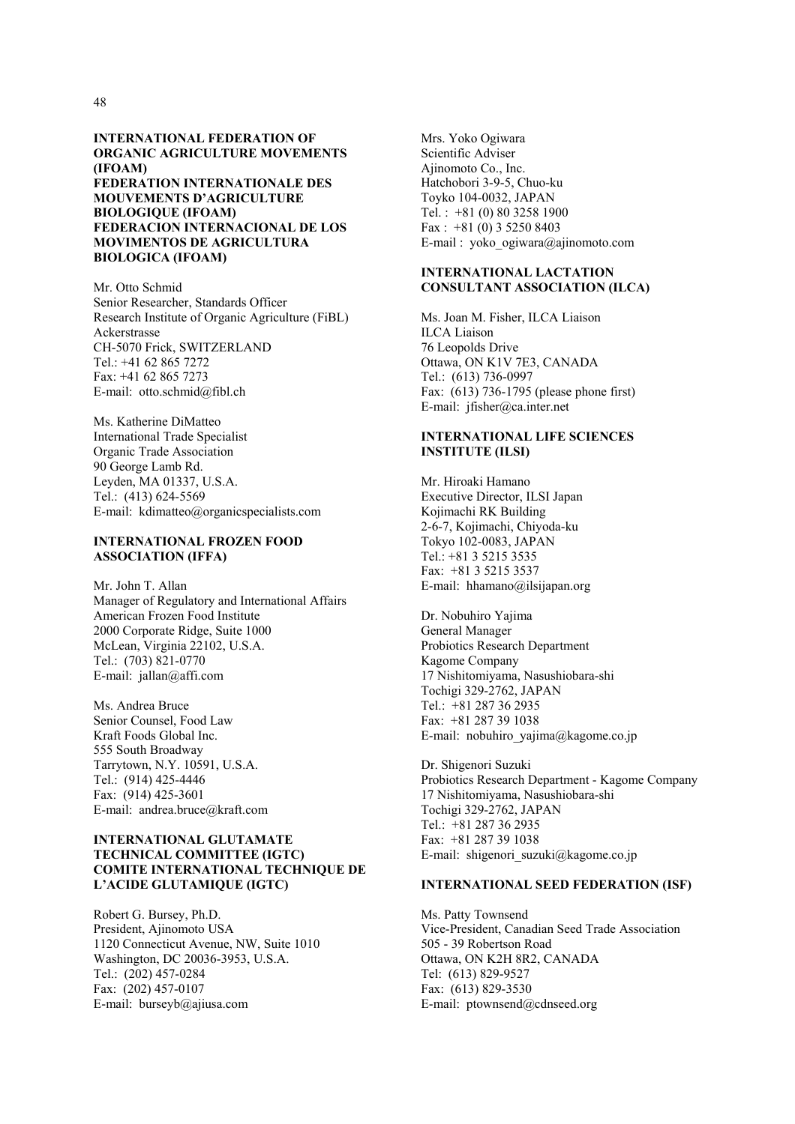#### **INTERNATIONAL FEDERATION OF ORGANIC AGRICULTURE MOVEMENTS (IFOAM) FEDERATION INTERNATIONALE DES MOUVEMENTS D'AGRICULTURE BIOLOGIQUE (IFOAM) FEDERACION INTERNACIONAL DE LOS MOVIMENTOS DE AGRICULTURA BIOLOGICA (IFOAM)**

Mr. Otto Schmid Senior Researcher, Standards Officer Research Institute of Organic Agriculture (FiBL) Ackerstrasse CH-5070 Frick, SWITZERLAND Tel.: +41 62 865 7272 Fax: +41 62 865 7273 E-mail: otto.schmid@fibl.ch

Ms. Katherine DiMatteo International Trade Specialist Organic Trade Association 90 George Lamb Rd. Leyden, MA 01337, U.S.A. Tel.: (413) 624-5569 E-mail: kdimatteo@organicspecialists.com

## **INTERNATIONAL FROZEN FOOD ASSOCIATION (IFFA)**

Mr. John T. Allan Manager of Regulatory and International Affairs American Frozen Food Institute 2000 Corporate Ridge, Suite 1000 McLean, Virginia 22102, U.S.A. Tel.: (703) 821-0770 E-mail: jallan@affi.com

Ms. Andrea Bruce Senior Counsel, Food Law Kraft Foods Global Inc. 555 South Broadway Tarrytown, N.Y. 10591, U.S.A. Tel.: (914) 425-4446 Fax: (914) 425-3601 E-mail: andrea.bruce@kraft.com

### **INTERNATIONAL GLUTAMATE TECHNICAL COMMITTEE (IGTC) COMITE INTERNATIONAL TECHNIQUE DE L'ACIDE GLUTAMIQUE (IGTC)**

Robert G. Bursey, Ph.D. President, Ajinomoto USA 1120 Connecticut Avenue, NW, Suite 1010 Washington, DC 20036-3953, U.S.A. Tel.: (202) 457-0284 Fax: (202) 457-0107 E-mail: burseyb@ajiusa.com

Mrs. Yoko Ogiwara Scientific Adviser Ajinomoto Co., Inc. Hatchobori 3-9-5, Chuo-ku Toyko 104-0032, JAPAN Tel. : +81 (0) 80 3258 1900 Fax : +81 (0) 3 5250 8403 E-mail : yoko\_ogiwara@ajinomoto.com

## **INTERNATIONAL LACTATION CONSULTANT ASSOCIATION (ILCA)**

Ms. Joan M. Fisher, ILCA Liaison ILCA Liaison 76 Leopolds Drive Ottawa, ON K1V 7E3, CANADA Tel.: (613) 736-0997 Fax: (613) 736-1795 (please phone first) E-mail: jfisher@ca.inter.net

# **INTERNATIONAL LIFE SCIENCES INSTITUTE (ILSI)**

Mr. Hiroaki Hamano Executive Director, ILSI Japan Kojimachi RK Building 2-6-7, Kojimachi, Chiyoda-ku Tokyo 102-0083, JAPAN Tel.: +81 3 5215 3535 Fax: +81 3 5215 3537 E-mail: hhamano@ilsijapan.org

Dr. Nobuhiro Yajima General Manager Probiotics Research Department Kagome Company 17 Nishitomiyama, Nasushiobara-shi Tochigi 329-2762, JAPAN Tel.: +81 287 36 2935 Fax: +81 287 39 1038 E-mail: nobuhiro\_yajima@kagome.co.jp

Dr. Shigenori Suzuki Probiotics Research Department - Kagome Company 17 Nishitomiyama, Nasushiobara-shi Tochigi 329-2762, JAPAN Tel.: +81 287 36 2935 Fax: +81 287 39 1038 E-mail: shigenori suzuki@kagome.co.jp

# **INTERNATIONAL SEED FEDERATION (ISF)**

Ms. Patty Townsend Vice-President, Canadian Seed Trade Association 505 - 39 Robertson Road Ottawa, ON K2H 8R2, CANADA Tel: (613) 829-9527 Fax: (613) 829-3530 E-mail: ptownsend@cdnseed.org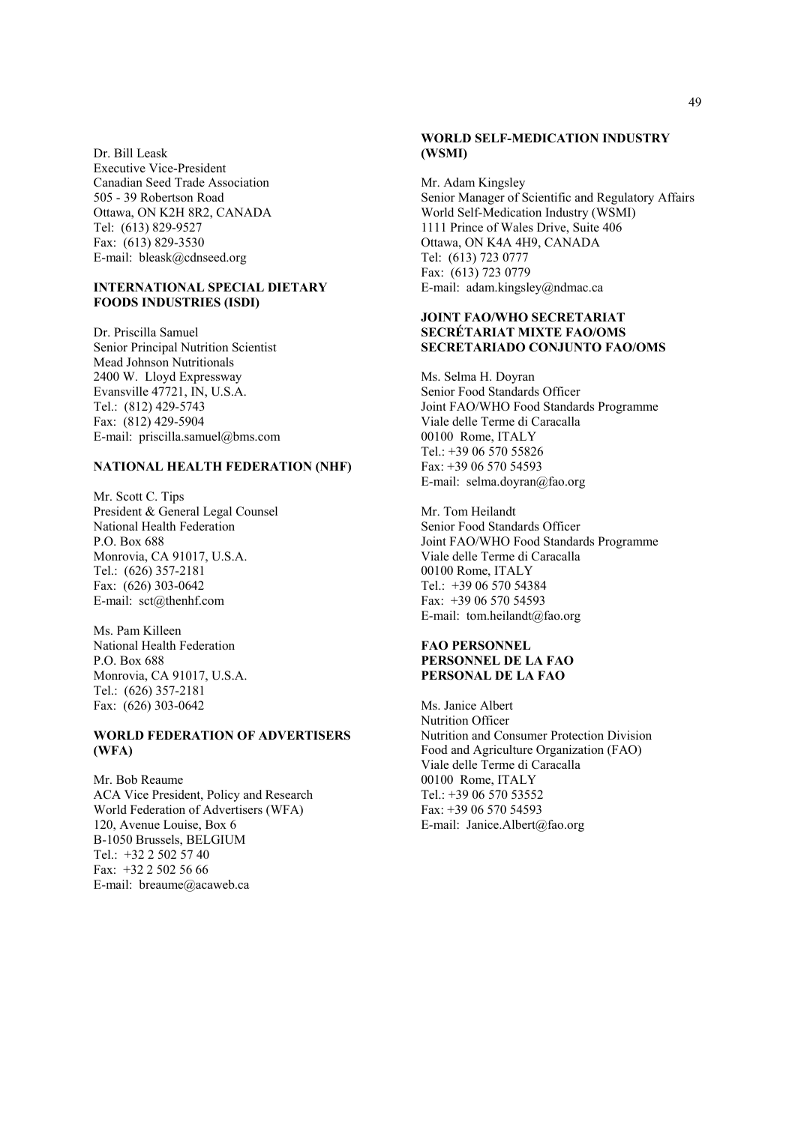Dr. Bill Leask Executive Vice-President Canadian Seed Trade Association 505 - 39 Robertson Road Ottawa, ON K2H 8R2, CANADA Tel: (613) 829-9527 Fax: (613) 829-3530 E-mail: bleask@cdnseed.org

#### **INTERNATIONAL SPECIAL DIETARY FOODS INDUSTRIES (ISDI)**

Dr. Priscilla Samuel Senior Principal Nutrition Scientist Mead Johnson Nutritionals 2400 W. Lloyd Expressway Evansville 47721, IN, U.S.A. Tel.: (812) 429-5743 Fax: (812) 429-5904 E-mail: priscilla.samuel@bms.com

# **NATIONAL HEALTH FEDERATION (NHF)**

Mr. Scott C. Tips President & General Legal Counsel National Health Federation P.O. Box 688 Monrovia, CA 91017, U.S.A. Tel.: (626) 357-2181 Fax: (626) 303-0642 E-mail: sct@thenhf.com

Ms. Pam Killeen National Health Federation P.O. Box 688 Monrovia, CA 91017, U.S.A. Tel.: (626) 357-2181 Fax: (626) 303-0642

#### **WORLD FEDERATION OF ADVERTISERS (WFA)**

Mr. Bob Reaume ACA Vice President, Policy and Research World Federation of Advertisers (WFA) 120, Avenue Louise, Box 6 B-1050 Brussels, BELGIUM Tel.: +32 2 502 57 40 Fax: +32 2 502 56 66 E-mail: breaume@acaweb.ca

# **WORLD SELF-MEDICATION INDUSTRY (WSMI)**

Mr. Adam Kingsley Senior Manager of Scientific and Regulatory Affairs World Self-Medication Industry (WSMI) 1111 Prince of Wales Drive, Suite 406 Ottawa, ON K4A 4H9, CANADA Tel: (613) 723 0777 Fax: (613) 723 0779 E-mail: adam.kingsley@ndmac.ca

## **JOINT FAO/WHO SECRETARIAT SECRÉTARIAT MIXTE FAO/OMS SECRETARIADO CONJUNTO FAO/OMS**

Ms. Selma H. Doyran Senior Food Standards Officer Joint FAO/WHO Food Standards Programme Viale delle Terme di Caracalla 00100 Rome, ITALY Tel.: +39 06 570 55826 Fax: +39 06 570 54593 E-mail: selma.doyran@fao.org

Mr. Tom Heilandt Senior Food Standards Officer Joint FAO/WHO Food Standards Programme Viale delle Terme di Caracalla 00100 Rome, ITALY Tel.: +39 06 570 54384 Fax: +39 06 570 54593 E-mail: tom.heilandt@fao.org

#### **FAO PERSONNEL PERSONNEL DE LA FAO PERSONAL DE LA FAO**

Ms. Janice Albert Nutrition Officer Nutrition and Consumer Protection Division Food and Agriculture Organization (FAO) Viale delle Terme di Caracalla 00100 Rome, ITALY Tel.: +39 06 570 53552 Fax: +39 06 570 54593 E-mail: Janice.Albert@fao.org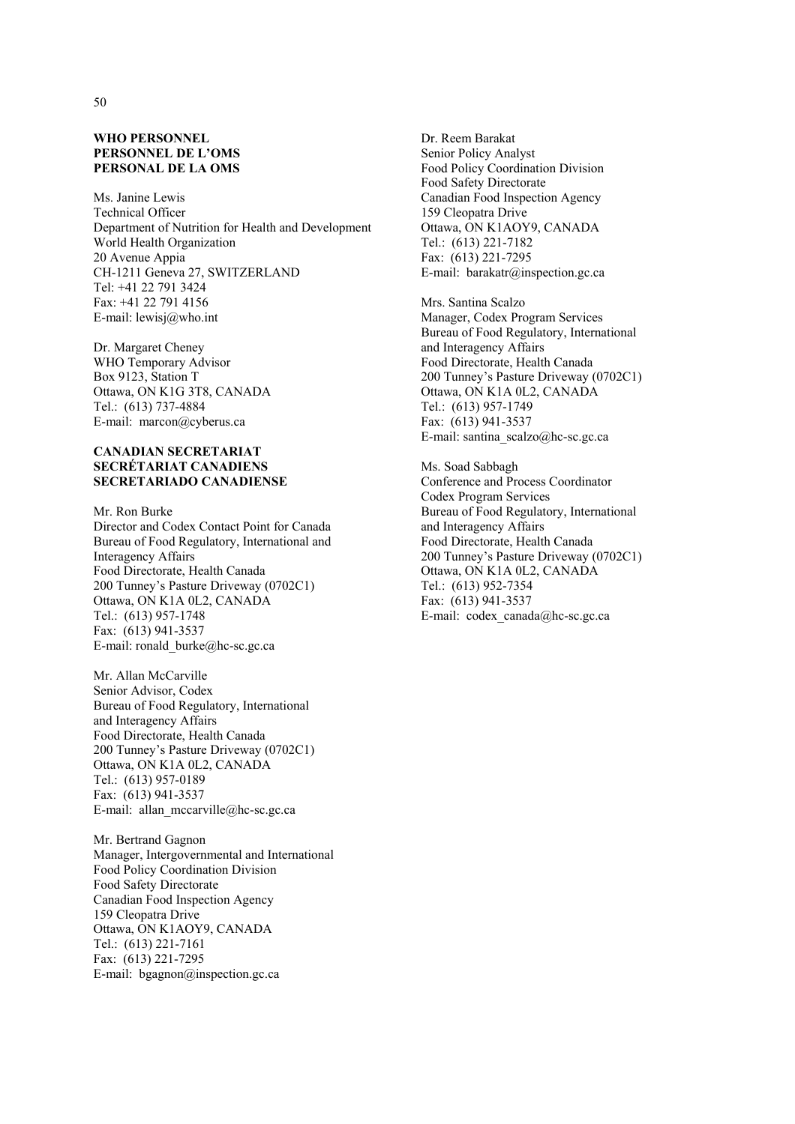## **WHO PERSONNEL PERSONNEL DE L'OMS PERSONAL DE LA OMS**

Ms. Janine Lewis Technical Officer Department of Nutrition for Health and Development World Health Organization 20 Avenue Appia CH-1211 Geneva 27, SWITZERLAND Tel: +41 22 791 3424 Fax: +41 22 791 4156 E-mail: lewisj@who.int

Dr. Margaret Cheney WHO Temporary Advisor Box 9123, Station T Ottawa, ON K1G 3T8, CANADA Tel.: (613) 737-4884 E-mail: marcon@cyberus.ca

#### **CANADIAN SECRETARIAT SECRÉTARIAT CANADIENS SECRETARIADO CANADIENSE**

Mr. Ron Burke Director and Codex Contact Point for Canada Bureau of Food Regulatory, International and Interagency Affairs Food Directorate, Health Canada 200 Tunney's Pasture Driveway (0702C1) Ottawa, ON K1A 0L2, CANADA Tel.: (613) 957-1748 Fax: (613) 941-3537 E-mail: ronald\_burke@hc-sc.gc.ca

Mr. Allan McCarville Senior Advisor, Codex Bureau of Food Regulatory, International and Interagency Affairs Food Directorate, Health Canada 200 Tunney's Pasture Driveway (0702C1) Ottawa, ON K1A 0L2, CANADA Tel.: (613) 957-0189 Fax: (613) 941-3537 E-mail: allan mccarville@hc-sc.gc.ca

Mr. Bertrand Gagnon Manager, Intergovernmental and International Food Policy Coordination Division Food Safety Directorate Canadian Food Inspection Agency 159 Cleopatra Drive Ottawa, ON K1AOY9, CANADA Tel.: (613) 221-7161 Fax: (613) 221-7295 E-mail: bgagnon@inspection.gc.ca

Dr. Reem Barakat Senior Policy Analyst Food Policy Coordination Division Food Safety Directorate Canadian Food Inspection Agency 159 Cleopatra Drive Ottawa, ON K1AOY9, CANADA Tel.: (613) 221-7182 Fax: (613) 221-7295 E-mail: barakatr@inspection.gc.ca

Mrs. Santina Scalzo Manager, Codex Program Services Bureau of Food Regulatory, International and Interagency Affairs Food Directorate, Health Canada 200 Tunney's Pasture Driveway (0702C1) Ottawa, ON K1A 0L2, CANADA Tel.: (613) 957-1749 Fax: (613) 941-3537 E-mail: santina\_scalzo@hc-sc.gc.ca

Ms. Soad Sabbagh Conference and Process Coordinator Codex Program Services Bureau of Food Regulatory, International and Interagency Affairs Food Directorate, Health Canada 200 Tunney's Pasture Driveway (0702C1) Ottawa, ON K1A 0L2, CANADA Tel.: (613) 952-7354 Fax: (613) 941-3537 E-mail: codex\_canada@hc-sc.gc.ca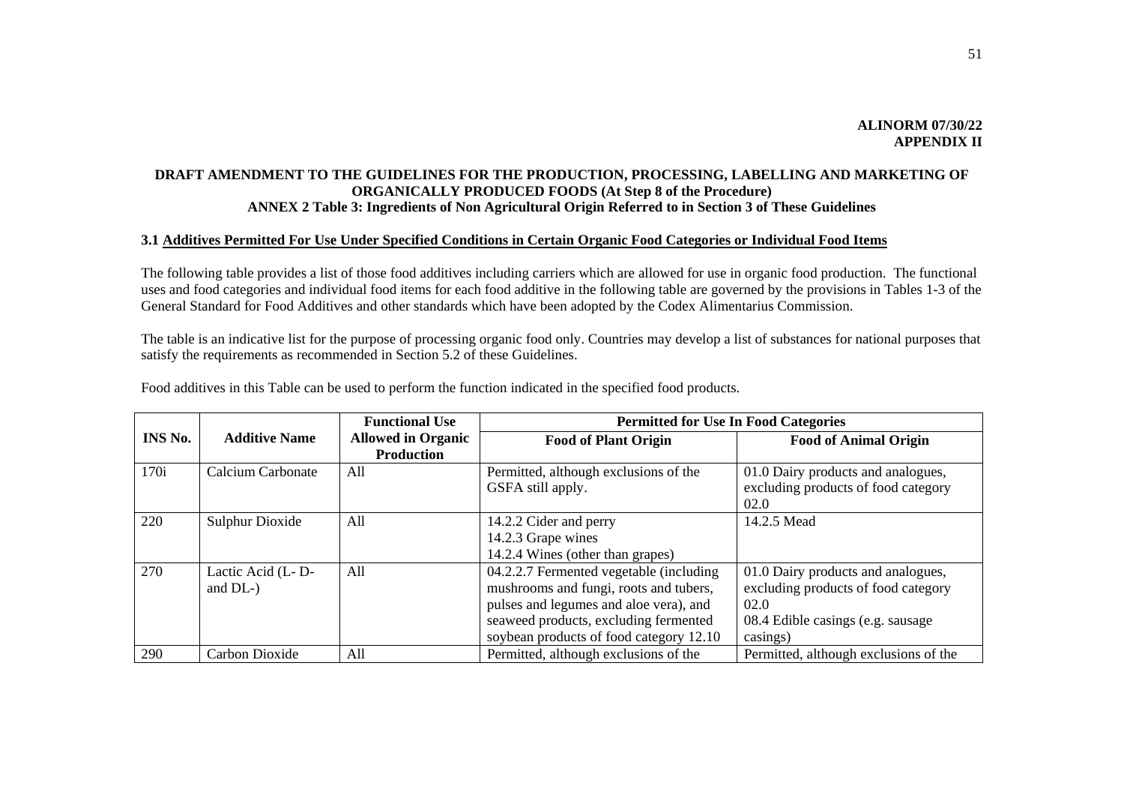# **DRAFT AMENDMENT TO THE GUIDELINES FOR THE PRODUCTION, PROCESSING, LABELLING AND MARKETING OF ORGANICALLY PRODUCED FOODS (At Step 8 of the Procedure) ANNEX 2 Table 3: Ingredients of Non Agricultural Origin Referred to in Section 3 of These Guidelines**

# **3.1 Additives Permitted For Use Under Specified Conditions in Certain Organic Food Categories or Individual Food Items**

The following table provides a list of those food additives including carriers which are allowed for use in organic food production. The functional uses and food categories and individual food items for each food additive in the following table are governed by the provisions in Tables 1-3 of the General Standard for Food Additives and other standards which have been adopted by the Codex Alimentarius Commission.

The table is an indicative list for the purpose of processing organic food only. Countries may develop a list of substances for national purposes that satisfy the requirements as recommended in Section 5.2 of these Guidelines.

|         |                              | <b>Functional Use</b>                          | <b>Permitted for Use In Food Categories</b>                                                                                                                                                                     |                                                                                                                                     |
|---------|------------------------------|------------------------------------------------|-----------------------------------------------------------------------------------------------------------------------------------------------------------------------------------------------------------------|-------------------------------------------------------------------------------------------------------------------------------------|
| INS No. | <b>Additive Name</b>         | <b>Allowed in Organic</b><br><b>Production</b> | <b>Food of Plant Origin</b>                                                                                                                                                                                     | <b>Food of Animal Origin</b>                                                                                                        |
| 170i    | <b>Calcium Carbonate</b>     | All                                            | Permitted, although exclusions of the<br>GSFA still apply.                                                                                                                                                      | 01.0 Dairy products and analogues,<br>excluding products of food category<br>02.0                                                   |
| 220     | <b>Sulphur Dioxide</b>       | All                                            | 14.2.2 Cider and perry<br>14.2.3 Grape wines<br>14.2.4 Wines (other than grapes)                                                                                                                                | 14.2.5 Mead                                                                                                                         |
| 270     | Lactic Acid (L-D-<br>and DL- | All                                            | 04.2.2.7 Fermented vegetable (including<br>mushrooms and fungi, roots and tubers,<br>pulses and legumes and aloe vera), and<br>seaweed products, excluding fermented<br>soybean products of food category 12.10 | 01.0 Dairy products and analogues,<br>excluding products of food category<br>02.0<br>08.4 Edible casings (e.g. sausage)<br>casings) |
| 290     | Carbon Dioxide               | All                                            | Permitted, although exclusions of the                                                                                                                                                                           | Permitted, although exclusions of the                                                                                               |

Food additives in this Table can be used to perform the function indicated in the specified food products.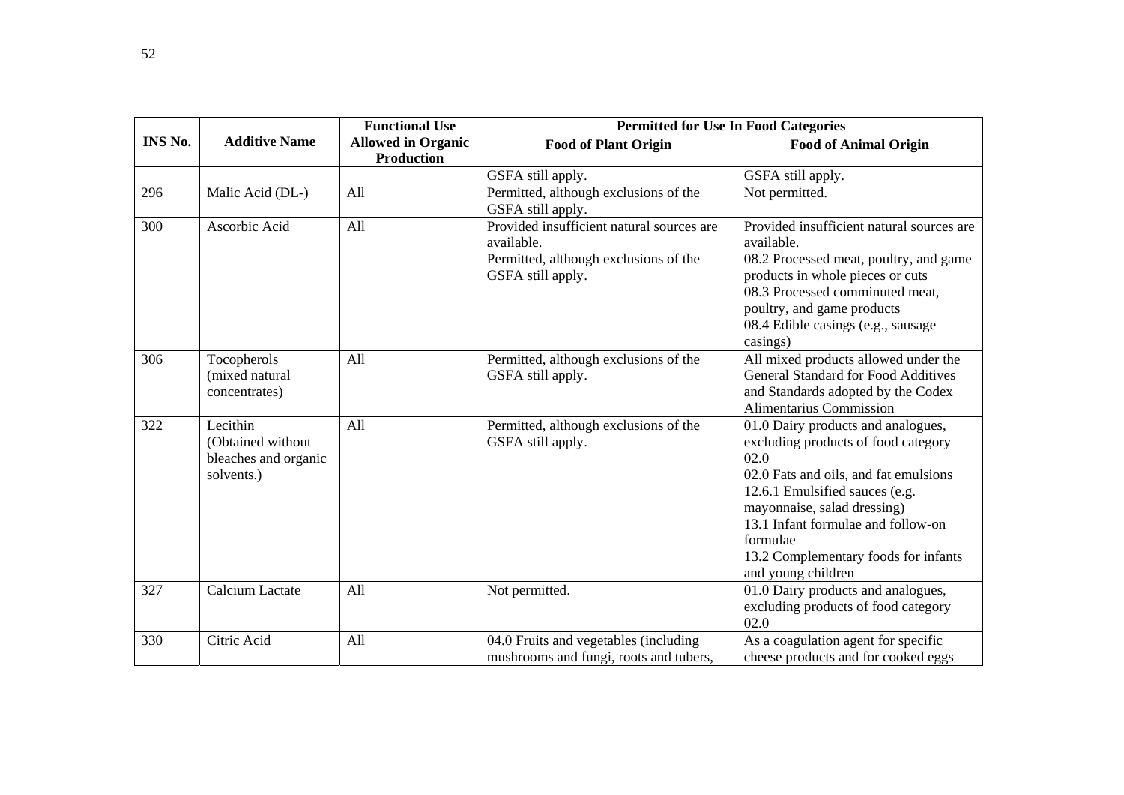|         |                                                                     | <b>Functional Use</b>                   |                                                                                                                       | <b>Permitted for Use In Food Categories</b>                                                                                                                                                                                                                                                                 |
|---------|---------------------------------------------------------------------|-----------------------------------------|-----------------------------------------------------------------------------------------------------------------------|-------------------------------------------------------------------------------------------------------------------------------------------------------------------------------------------------------------------------------------------------------------------------------------------------------------|
| INS No. | <b>Additive Name</b>                                                | <b>Allowed in Organic</b><br>Production | <b>Food of Plant Origin</b>                                                                                           | <b>Food of Animal Origin</b>                                                                                                                                                                                                                                                                                |
|         |                                                                     |                                         | GSFA still apply.                                                                                                     | GSFA still apply.                                                                                                                                                                                                                                                                                           |
| 296     | Malic Acid (DL-)                                                    | All                                     | Permitted, although exclusions of the<br>GSFA still apply.                                                            | Not permitted.                                                                                                                                                                                                                                                                                              |
| 300     | Ascorbic Acid                                                       | All                                     | Provided insufficient natural sources are<br>available.<br>Permitted, although exclusions of the<br>GSFA still apply. | Provided insufficient natural sources are<br>available.<br>08.2 Processed meat, poultry, and game<br>products in whole pieces or cuts<br>08.3 Processed comminuted meat,<br>poultry, and game products<br>08.4 Edible casings (e.g., sausage<br>casings)                                                    |
| 306     | Tocopherols<br>(mixed natural<br>concentrates)                      | All                                     | Permitted, although exclusions of the<br>GSFA still apply.                                                            | All mixed products allowed under the<br><b>General Standard for Food Additives</b><br>and Standards adopted by the Codex<br>Alimentarius Commission                                                                                                                                                         |
| 322     | Lecithin<br>(Obtained without<br>bleaches and organic<br>solvents.) | All                                     | Permitted, although exclusions of the<br>GSFA still apply.                                                            | 01.0 Dairy products and analogues,<br>excluding products of food category<br>02.0<br>02.0 Fats and oils, and fat emulsions<br>12.6.1 Emulsified sauces (e.g.<br>mayonnaise, salad dressing)<br>13.1 Infant formulae and follow-on<br>formulae<br>13.2 Complementary foods for infants<br>and young children |
| 327     | Calcium Lactate                                                     | All                                     | Not permitted.                                                                                                        | 01.0 Dairy products and analogues,<br>excluding products of food category<br>02.0                                                                                                                                                                                                                           |
| 330     | Citric Acid                                                         | All                                     | 04.0 Fruits and vegetables (including<br>mushrooms and fungi, roots and tubers,                                       | As a coagulation agent for specific<br>cheese products and for cooked eggs                                                                                                                                                                                                                                  |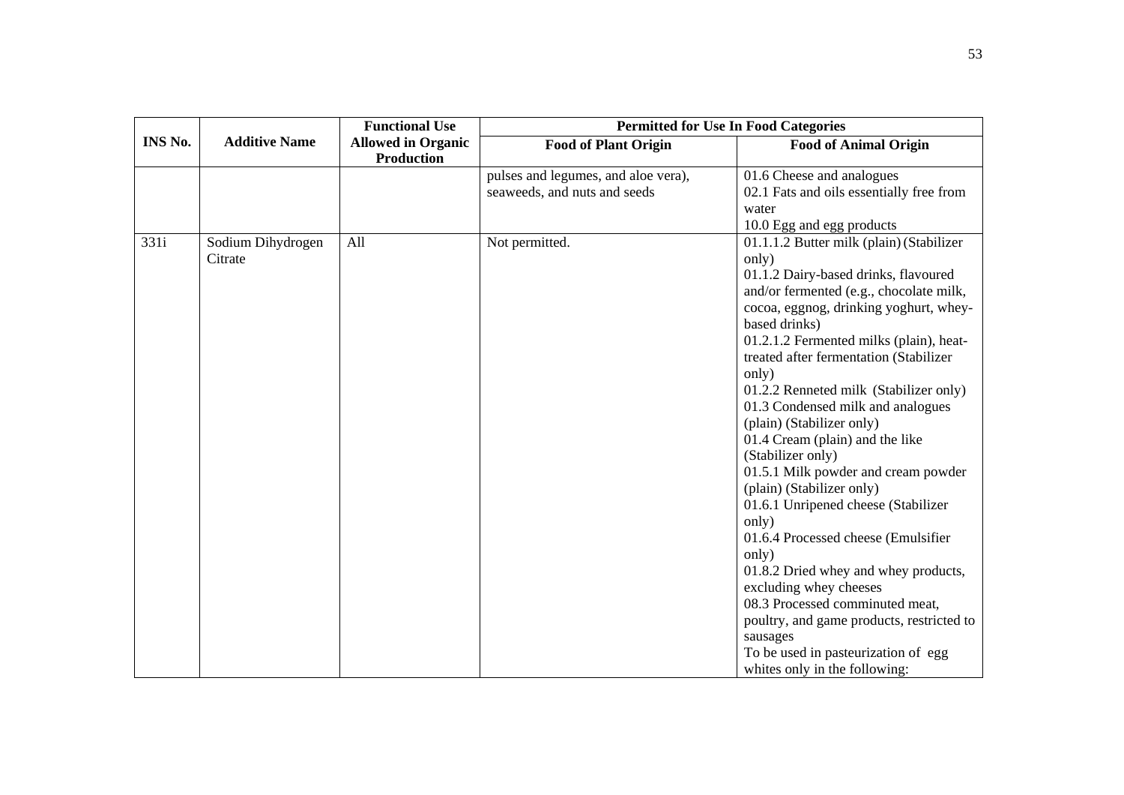|                |                              | <b>Functional Use</b>                          | <b>Permitted for Use In Food Categories</b>                         |                                                                                                                                                                                                                                                                                                                                                                                                                                                                                                                                                                                                                                                                                                                                                                                                                                                                                                          |
|----------------|------------------------------|------------------------------------------------|---------------------------------------------------------------------|----------------------------------------------------------------------------------------------------------------------------------------------------------------------------------------------------------------------------------------------------------------------------------------------------------------------------------------------------------------------------------------------------------------------------------------------------------------------------------------------------------------------------------------------------------------------------------------------------------------------------------------------------------------------------------------------------------------------------------------------------------------------------------------------------------------------------------------------------------------------------------------------------------|
| <b>INS No.</b> | <b>Additive Name</b>         | <b>Allowed in Organic</b><br><b>Production</b> | <b>Food of Plant Origin</b>                                         | <b>Food of Animal Origin</b>                                                                                                                                                                                                                                                                                                                                                                                                                                                                                                                                                                                                                                                                                                                                                                                                                                                                             |
|                |                              |                                                | pulses and legumes, and aloe vera),<br>seaweeds, and nuts and seeds | 01.6 Cheese and analogues<br>02.1 Fats and oils essentially free from<br>water                                                                                                                                                                                                                                                                                                                                                                                                                                                                                                                                                                                                                                                                                                                                                                                                                           |
| 331i           | Sodium Dihydrogen<br>Citrate | All                                            | Not permitted.                                                      | 10.0 Egg and egg products<br>01.1.1.2 Butter milk (plain) (Stabilizer<br>only)<br>01.1.2 Dairy-based drinks, flavoured<br>and/or fermented (e.g., chocolate milk,<br>cocoa, eggnog, drinking yoghurt, whey-<br>based drinks)<br>01.2.1.2 Fermented milks (plain), heat-<br>treated after fermentation (Stabilizer<br>only)<br>01.2.2 Renneted milk (Stabilizer only)<br>01.3 Condensed milk and analogues<br>(plain) (Stabilizer only)<br>01.4 Cream (plain) and the like<br>(Stabilizer only)<br>01.5.1 Milk powder and cream powder<br>(plain) (Stabilizer only)<br>01.6.1 Unripened cheese (Stabilizer<br>only)<br>01.6.4 Processed cheese (Emulsifier<br>only)<br>01.8.2 Dried whey and whey products,<br>excluding whey cheeses<br>08.3 Processed comminuted meat,<br>poultry, and game products, restricted to<br>sausages<br>To be used in pasteurization of egg<br>whites only in the following: |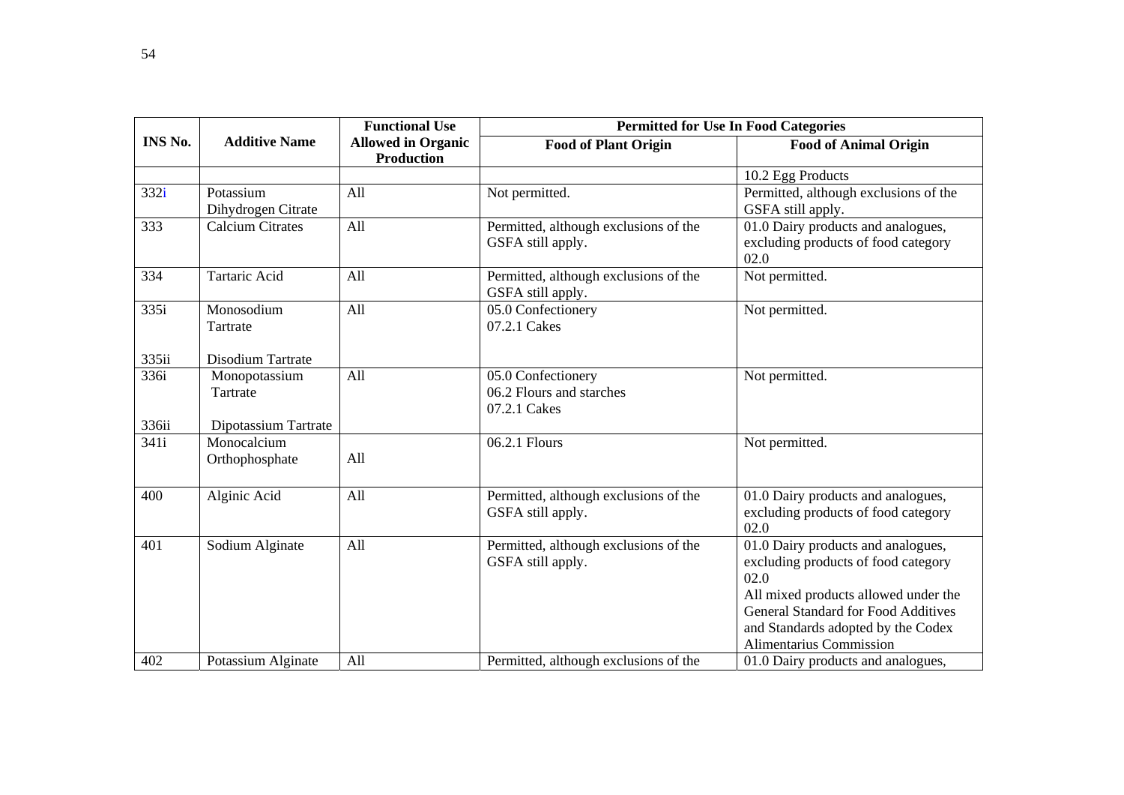|                |                                 | <b>Functional Use</b>                          | <b>Permitted for Use In Food Categories</b>                    |                                                                                                                                                                                                                                          |  |
|----------------|---------------------------------|------------------------------------------------|----------------------------------------------------------------|------------------------------------------------------------------------------------------------------------------------------------------------------------------------------------------------------------------------------------------|--|
| <b>INS No.</b> | <b>Additive Name</b>            | <b>Allowed in Organic</b><br><b>Production</b> | <b>Food of Plant Origin</b>                                    | <b>Food of Animal Origin</b>                                                                                                                                                                                                             |  |
|                |                                 |                                                |                                                                | 10.2 Egg Products                                                                                                                                                                                                                        |  |
| 332i           | Potassium<br>Dihydrogen Citrate | All                                            | Not permitted.                                                 | Permitted, although exclusions of the<br>GSFA still apply.                                                                                                                                                                               |  |
| 333            | <b>Calcium Citrates</b>         | All                                            | Permitted, although exclusions of the<br>GSFA still apply.     | 01.0 Dairy products and analogues,<br>excluding products of food category<br>02.0                                                                                                                                                        |  |
| 334            | <b>Tartaric Acid</b>            | All                                            | Permitted, although exclusions of the<br>GSFA still apply.     | Not permitted.                                                                                                                                                                                                                           |  |
| 335i           | Monosodium<br>Tartrate          | All                                            | 05.0 Confectionery<br>07.2.1 Cakes                             | Not permitted.                                                                                                                                                                                                                           |  |
| 335ii          | Disodium Tartrate               |                                                |                                                                |                                                                                                                                                                                                                                          |  |
| 336i           | Monopotassium<br>Tartrate       | All                                            | 05.0 Confectionery<br>06.2 Flours and starches<br>07.2.1 Cakes | Not permitted.                                                                                                                                                                                                                           |  |
| 336ii          | Dipotassium Tartrate            |                                                |                                                                |                                                                                                                                                                                                                                          |  |
| 341i           | Monocalcium<br>Orthophosphate   | All                                            | 06.2.1 Flours                                                  | Not permitted.                                                                                                                                                                                                                           |  |
| 400            | Alginic Acid                    | All                                            | Permitted, although exclusions of the<br>GSFA still apply.     | 01.0 Dairy products and analogues,<br>excluding products of food category<br>02.0                                                                                                                                                        |  |
| 401            | Sodium Alginate                 | All                                            | Permitted, although exclusions of the<br>GSFA still apply.     | 01.0 Dairy products and analogues,<br>excluding products of food category<br>02.0<br>All mixed products allowed under the<br><b>General Standard for Food Additives</b><br>and Standards adopted by the Codex<br>Alimentarius Commission |  |
| 402            | Potassium Alginate              | All                                            | Permitted, although exclusions of the                          | 01.0 Dairy products and analogues,                                                                                                                                                                                                       |  |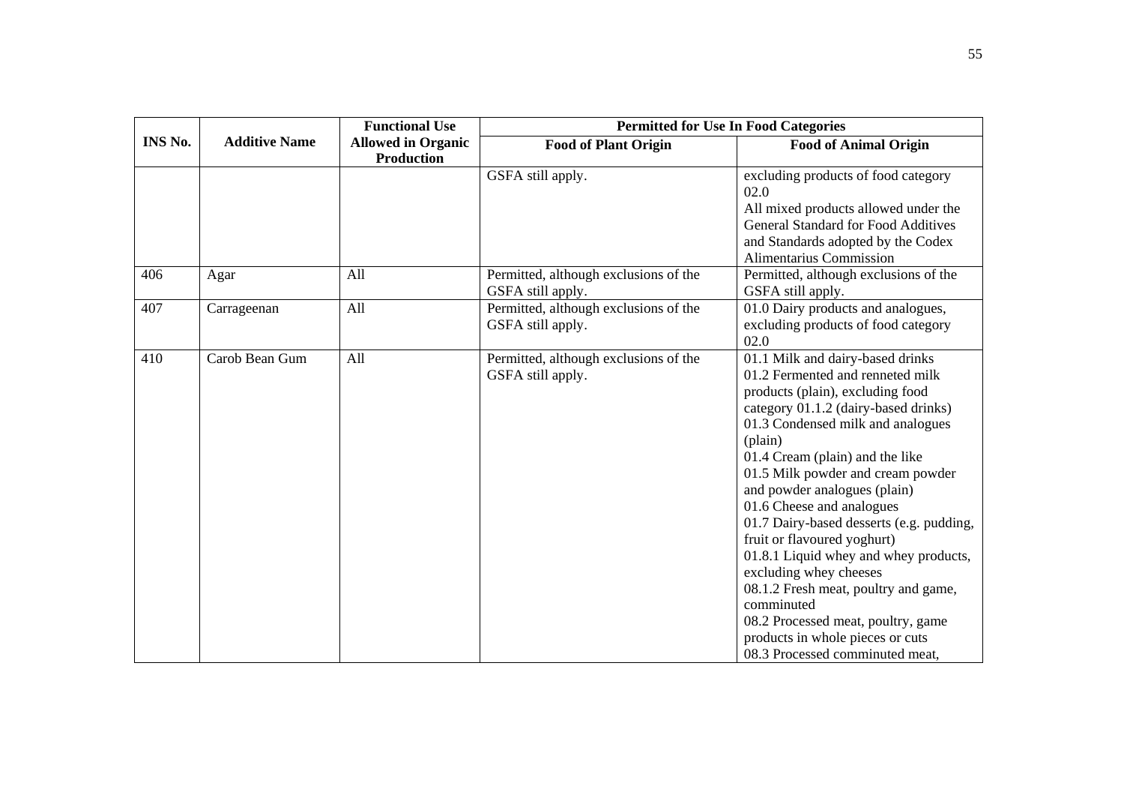|         |                      | <b>Functional Use</b>                          | <b>Permitted for Use In Food Categories</b>                |                                                                                                                                                                                                                                                                                                                                                                                                                                                                                                                                                                                                                                                        |
|---------|----------------------|------------------------------------------------|------------------------------------------------------------|--------------------------------------------------------------------------------------------------------------------------------------------------------------------------------------------------------------------------------------------------------------------------------------------------------------------------------------------------------------------------------------------------------------------------------------------------------------------------------------------------------------------------------------------------------------------------------------------------------------------------------------------------------|
| INS No. | <b>Additive Name</b> | <b>Allowed in Organic</b><br><b>Production</b> | <b>Food of Plant Origin</b>                                | <b>Food of Animal Origin</b>                                                                                                                                                                                                                                                                                                                                                                                                                                                                                                                                                                                                                           |
|         |                      |                                                | GSFA still apply.                                          | excluding products of food category<br>02.0<br>All mixed products allowed under the<br><b>General Standard for Food Additives</b><br>and Standards adopted by the Codex<br>Alimentarius Commission                                                                                                                                                                                                                                                                                                                                                                                                                                                     |
| 406     | Agar                 | All                                            | Permitted, although exclusions of the<br>GSFA still apply. | Permitted, although exclusions of the<br>GSFA still apply.                                                                                                                                                                                                                                                                                                                                                                                                                                                                                                                                                                                             |
| 407     | Carrageenan          | All                                            | Permitted, although exclusions of the<br>GSFA still apply. | 01.0 Dairy products and analogues,<br>excluding products of food category<br>02.0                                                                                                                                                                                                                                                                                                                                                                                                                                                                                                                                                                      |
| 410     | Carob Bean Gum       | All                                            | Permitted, although exclusions of the<br>GSFA still apply. | 01.1 Milk and dairy-based drinks<br>01.2 Fermented and renneted milk<br>products (plain), excluding food<br>category 01.1.2 (dairy-based drinks)<br>01.3 Condensed milk and analogues<br>(plain)<br>01.4 Cream (plain) and the like<br>01.5 Milk powder and cream powder<br>and powder analogues (plain)<br>01.6 Cheese and analogues<br>01.7 Dairy-based desserts (e.g. pudding,<br>fruit or flavoured yoghurt)<br>01.8.1 Liquid whey and whey products,<br>excluding whey cheeses<br>08.1.2 Fresh meat, poultry and game,<br>comminuted<br>08.2 Processed meat, poultry, game<br>products in whole pieces or cuts<br>08.3 Processed comminuted meat, |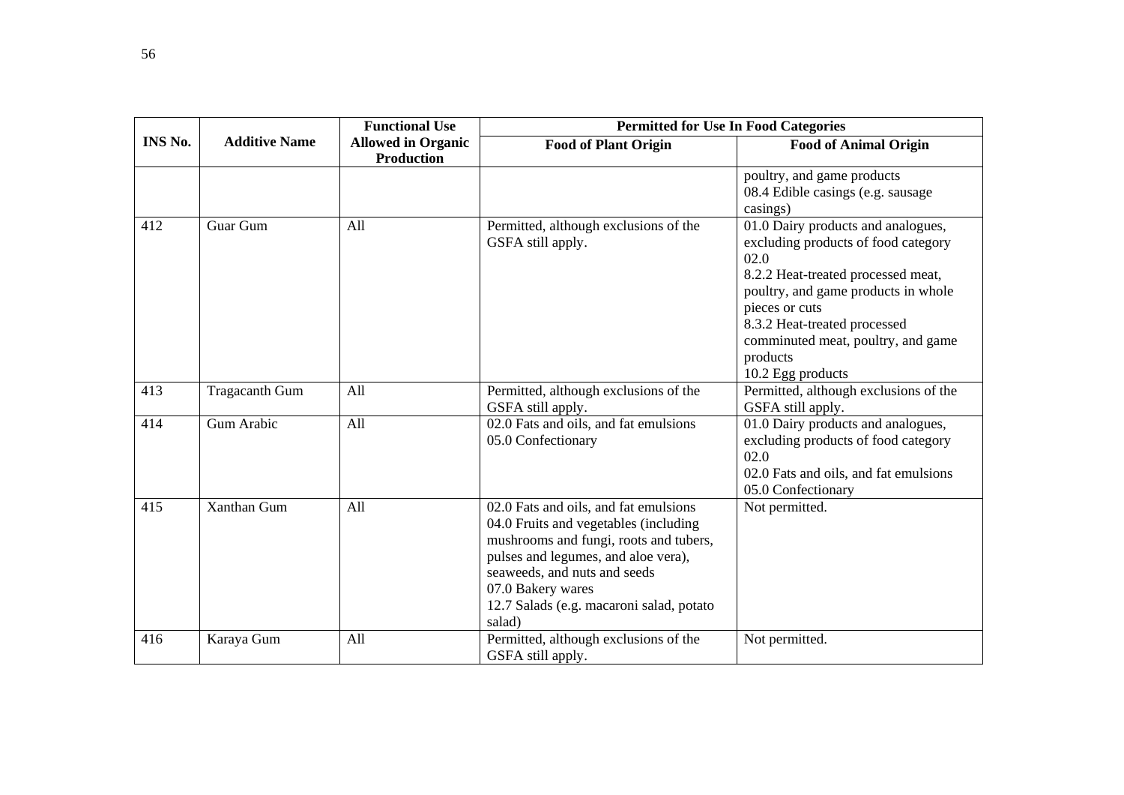|                |                       | <b>Functional Use</b>                          | <b>Permitted for Use In Food Categories</b>                                                                                                                                                                                                                                |                                                                                                                                                                                                                                                                                         |
|----------------|-----------------------|------------------------------------------------|----------------------------------------------------------------------------------------------------------------------------------------------------------------------------------------------------------------------------------------------------------------------------|-----------------------------------------------------------------------------------------------------------------------------------------------------------------------------------------------------------------------------------------------------------------------------------------|
| <b>INS No.</b> | <b>Additive Name</b>  | <b>Allowed in Organic</b><br><b>Production</b> | <b>Food of Plant Origin</b>                                                                                                                                                                                                                                                | <b>Food of Animal Origin</b>                                                                                                                                                                                                                                                            |
|                |                       |                                                |                                                                                                                                                                                                                                                                            | poultry, and game products<br>08.4 Edible casings (e.g. sausage<br>casings)                                                                                                                                                                                                             |
| 412            | Guar Gum              | All                                            | Permitted, although exclusions of the<br>GSFA still apply.                                                                                                                                                                                                                 | 01.0 Dairy products and analogues,<br>excluding products of food category<br>02.0<br>8.2.2 Heat-treated processed meat,<br>poultry, and game products in whole<br>pieces or cuts<br>8.3.2 Heat-treated processed<br>comminuted meat, poultry, and game<br>products<br>10.2 Egg products |
| 413            | <b>Tragacanth Gum</b> | All                                            | Permitted, although exclusions of the<br>GSFA still apply.                                                                                                                                                                                                                 | Permitted, although exclusions of the<br>GSFA still apply.                                                                                                                                                                                                                              |
| 414            | Gum Arabic            | All                                            | 02.0 Fats and oils, and fat emulsions<br>05.0 Confectionary                                                                                                                                                                                                                | 01.0 Dairy products and analogues,<br>excluding products of food category<br>02.0<br>02.0 Fats and oils, and fat emulsions<br>05.0 Confectionary                                                                                                                                        |
| 415            | <b>Xanthan Gum</b>    | All                                            | 02.0 Fats and oils, and fat emulsions<br>04.0 Fruits and vegetables (including<br>mushrooms and fungi, roots and tubers,<br>pulses and legumes, and aloe vera),<br>seaweeds, and nuts and seeds<br>07.0 Bakery wares<br>12.7 Salads (e.g. macaroni salad, potato<br>salad) | Not permitted.                                                                                                                                                                                                                                                                          |
| 416            | Karaya Gum            | All                                            | Permitted, although exclusions of the<br>GSFA still apply.                                                                                                                                                                                                                 | Not permitted.                                                                                                                                                                                                                                                                          |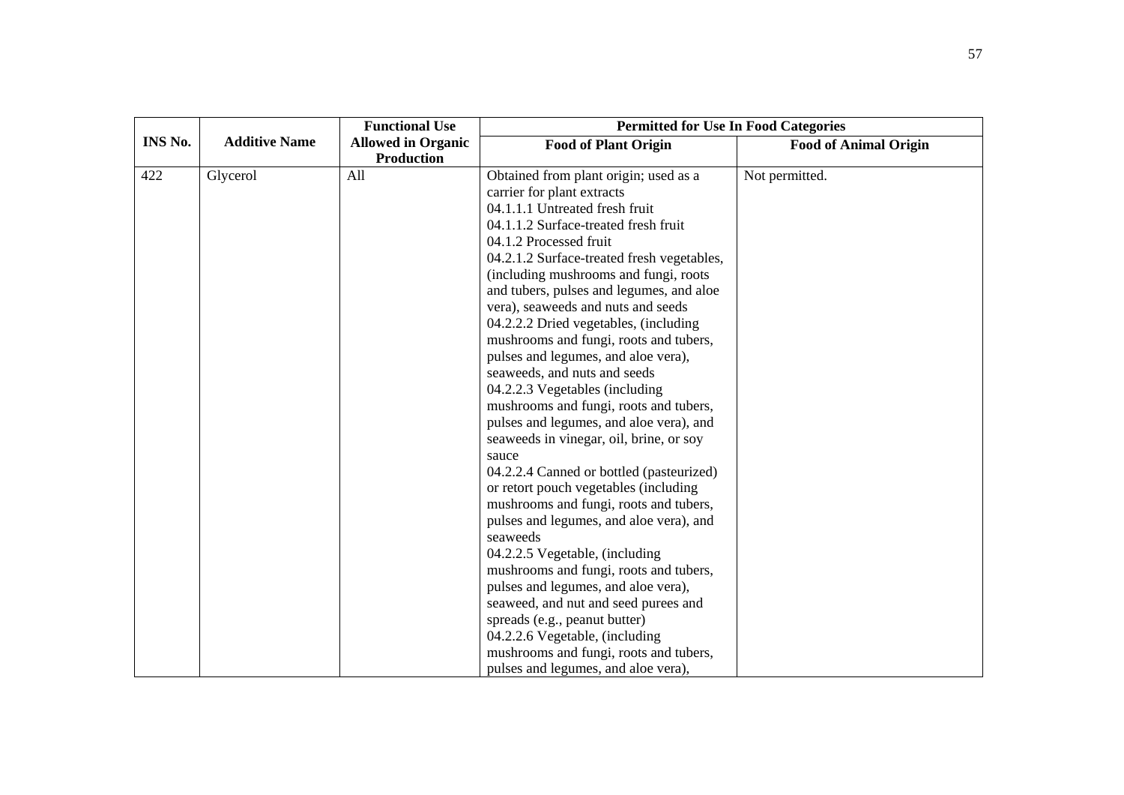|         |                      | <b>Functional Use</b>     | <b>Permitted for Use In Food Categories</b> |                              |
|---------|----------------------|---------------------------|---------------------------------------------|------------------------------|
| INS No. | <b>Additive Name</b> | <b>Allowed in Organic</b> | <b>Food of Plant Origin</b>                 | <b>Food of Animal Origin</b> |
|         |                      | <b>Production</b>         |                                             |                              |
| 422     | Glycerol             | All                       | Obtained from plant origin; used as a       | Not permitted.               |
|         |                      |                           | carrier for plant extracts                  |                              |
|         |                      |                           | 04.1.1.1 Untreated fresh fruit              |                              |
|         |                      |                           | 04.1.1.2 Surface-treated fresh fruit        |                              |
|         |                      |                           | 04.1.2 Processed fruit                      |                              |
|         |                      |                           | 04.2.1.2 Surface-treated fresh vegetables,  |                              |
|         |                      |                           | (including mushrooms and fungi, roots       |                              |
|         |                      |                           | and tubers, pulses and legumes, and aloe    |                              |
|         |                      |                           | vera), seaweeds and nuts and seeds          |                              |
|         |                      |                           | 04.2.2.2 Dried vegetables, (including       |                              |
|         |                      |                           | mushrooms and fungi, roots and tubers,      |                              |
|         |                      |                           | pulses and legumes, and aloe vera),         |                              |
|         |                      |                           | seaweeds, and nuts and seeds                |                              |
|         |                      |                           | 04.2.2.3 Vegetables (including              |                              |
|         |                      |                           | mushrooms and fungi, roots and tubers,      |                              |
|         |                      |                           | pulses and legumes, and aloe vera), and     |                              |
|         |                      |                           | seaweeds in vinegar, oil, brine, or soy     |                              |
|         |                      |                           | sauce                                       |                              |
|         |                      |                           | 04.2.2.4 Canned or bottled (pasteurized)    |                              |
|         |                      |                           | or retort pouch vegetables (including       |                              |
|         |                      |                           | mushrooms and fungi, roots and tubers,      |                              |
|         |                      |                           | pulses and legumes, and aloe vera), and     |                              |
|         |                      |                           | seaweeds                                    |                              |
|         |                      |                           | 04.2.2.5 Vegetable, (including              |                              |
|         |                      |                           | mushrooms and fungi, roots and tubers,      |                              |
|         |                      |                           | pulses and legumes, and aloe vera),         |                              |
|         |                      |                           | seaweed, and nut and seed purees and        |                              |
|         |                      |                           | spreads (e.g., peanut butter)               |                              |
|         |                      |                           | 04.2.2.6 Vegetable, (including              |                              |
|         |                      |                           | mushrooms and fungi, roots and tubers,      |                              |
|         |                      |                           | pulses and legumes, and aloe vera),         |                              |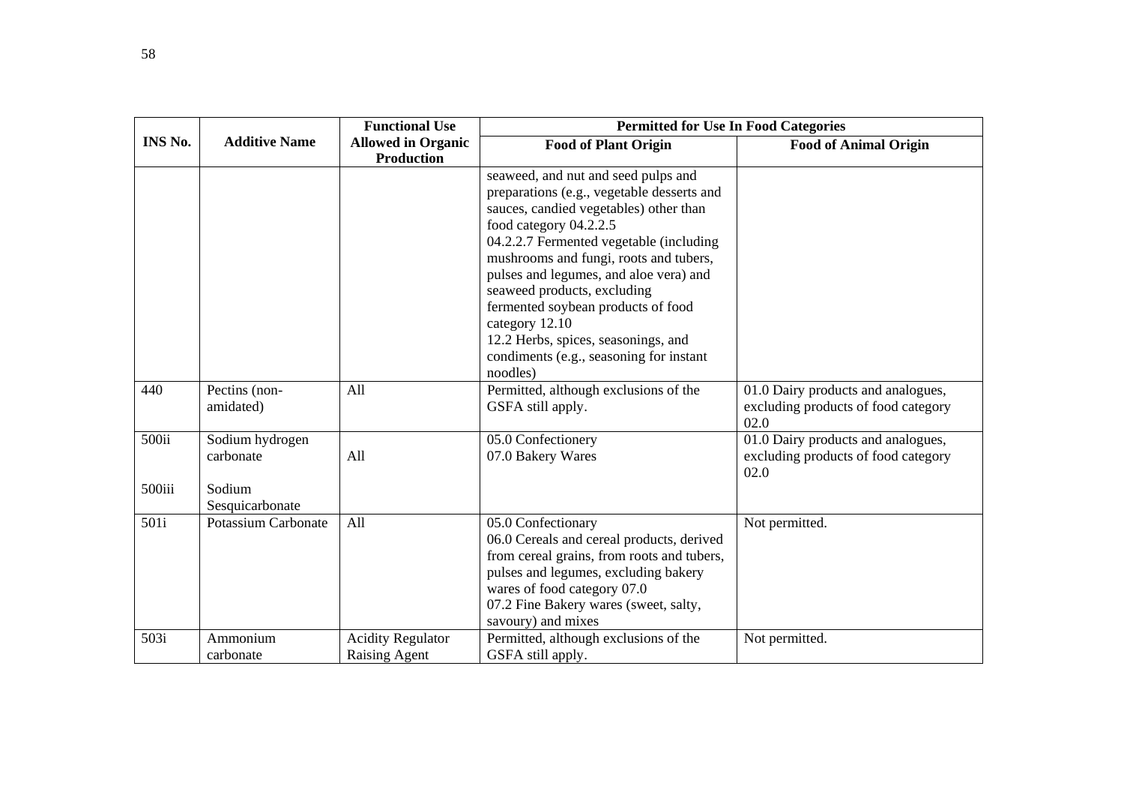|                |                      | <b>Functional Use</b>     | <b>Permitted for Use In Food Categories</b> |                                             |
|----------------|----------------------|---------------------------|---------------------------------------------|---------------------------------------------|
| <b>INS No.</b> | <b>Additive Name</b> | <b>Allowed in Organic</b> | <b>Food of Plant Origin</b>                 | <b>Food of Animal Origin</b>                |
|                |                      | <b>Production</b>         |                                             |                                             |
|                |                      |                           | seaweed, and nut and seed pulps and         |                                             |
|                |                      |                           | preparations (e.g., vegetable desserts and  |                                             |
|                |                      |                           | sauces, candied vegetables) other than      |                                             |
|                |                      |                           | food category 04.2.2.5                      |                                             |
|                |                      |                           | 04.2.2.7 Fermented vegetable (including     |                                             |
|                |                      |                           | mushrooms and fungi, roots and tubers,      |                                             |
|                |                      |                           | pulses and legumes, and aloe vera) and      |                                             |
|                |                      |                           | seaweed products, excluding                 |                                             |
|                |                      |                           | fermented soybean products of food          |                                             |
|                |                      |                           | category 12.10                              |                                             |
|                |                      |                           | 12.2 Herbs, spices, seasonings, and         |                                             |
|                |                      |                           | condiments (e.g., seasoning for instant     |                                             |
|                |                      |                           | noodles)                                    |                                             |
| 440            | Pectins (non-        | All                       | Permitted, although exclusions of the       | 01.0 Dairy products and analogues,          |
|                | amidated)            |                           | GSFA still apply.                           | excluding products of food category<br>02.0 |
| 500ii          | Sodium hydrogen      |                           | 05.0 Confectionery                          | 01.0 Dairy products and analogues,          |
|                | carbonate            | All                       | 07.0 Bakery Wares                           | excluding products of food category         |
|                |                      |                           |                                             | 02.0                                        |
| 500iii         | Sodium               |                           |                                             |                                             |
|                | Sesquicarbonate      |                           |                                             |                                             |
| 501i           | Potassium Carbonate  | All                       | 05.0 Confectionary                          | Not permitted.                              |
|                |                      |                           | 06.0 Cereals and cereal products, derived   |                                             |
|                |                      |                           | from cereal grains, from roots and tubers,  |                                             |
|                |                      |                           | pulses and legumes, excluding bakery        |                                             |
|                |                      |                           | wares of food category 07.0                 |                                             |
|                |                      |                           | 07.2 Fine Bakery wares (sweet, salty,       |                                             |
|                |                      |                           | savoury) and mixes                          |                                             |
| 503i           | Ammonium             | <b>Acidity Regulator</b>  | Permitted, although exclusions of the       | Not permitted.                              |
|                | carbonate            | <b>Raising Agent</b>      | GSFA still apply.                           |                                             |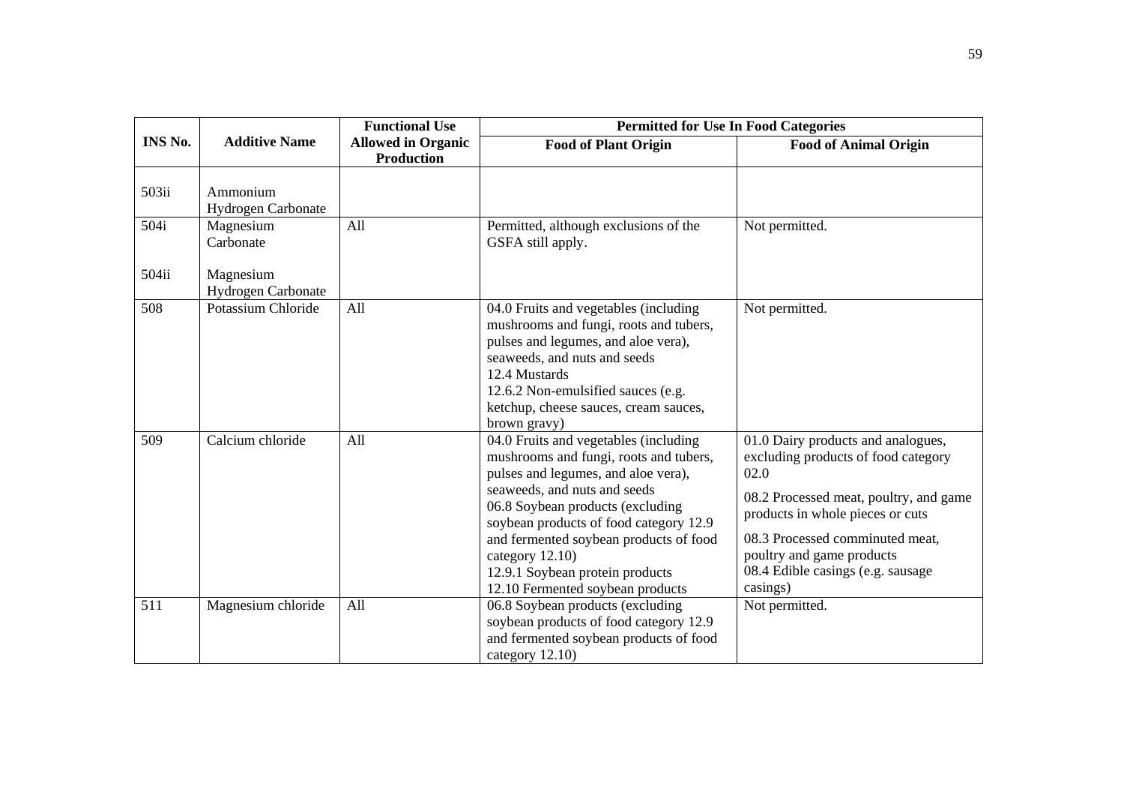|                |                                       | <b>Functional Use</b>                          | <b>Permitted for Use In Food Categories</b>                                                                                                                                                                                                                                                                                                                              |                                                                                                                                                                                                                                                                                  |  |
|----------------|---------------------------------------|------------------------------------------------|--------------------------------------------------------------------------------------------------------------------------------------------------------------------------------------------------------------------------------------------------------------------------------------------------------------------------------------------------------------------------|----------------------------------------------------------------------------------------------------------------------------------------------------------------------------------------------------------------------------------------------------------------------------------|--|
| <b>INS No.</b> | <b>Additive Name</b>                  | <b>Allowed in Organic</b><br><b>Production</b> | <b>Food of Plant Origin</b>                                                                                                                                                                                                                                                                                                                                              | <b>Food of Animal Origin</b>                                                                                                                                                                                                                                                     |  |
| 503ii          | Ammonium<br><b>Hydrogen Carbonate</b> |                                                |                                                                                                                                                                                                                                                                                                                                                                          |                                                                                                                                                                                                                                                                                  |  |
| 504i           | Magnesium<br>Carbonate                | All                                            | Permitted, although exclusions of the<br>GSFA still apply.                                                                                                                                                                                                                                                                                                               | Not permitted.                                                                                                                                                                                                                                                                   |  |
| 504ii          | Magnesium<br>Hydrogen Carbonate       |                                                |                                                                                                                                                                                                                                                                                                                                                                          |                                                                                                                                                                                                                                                                                  |  |
| 508            | Potassium Chloride                    | All                                            | 04.0 Fruits and vegetables (including<br>mushrooms and fungi, roots and tubers,<br>pulses and legumes, and aloe vera),<br>seaweeds, and nuts and seeds<br>12.4 Mustards<br>12.6.2 Non-emulsified sauces (e.g.<br>ketchup, cheese sauces, cream sauces,<br>brown gravy)                                                                                                   | Not permitted.                                                                                                                                                                                                                                                                   |  |
| 509            | Calcium chloride                      | All                                            | 04.0 Fruits and vegetables (including<br>mushrooms and fungi, roots and tubers,<br>pulses and legumes, and aloe vera),<br>seaweeds, and nuts and seeds<br>06.8 Soybean products (excluding<br>soybean products of food category 12.9<br>and fermented soybean products of food<br>category 12.10)<br>12.9.1 Soybean protein products<br>12.10 Fermented soybean products | 01.0 Dairy products and analogues,<br>excluding products of food category<br>02.0<br>08.2 Processed meat, poultry, and game<br>products in whole pieces or cuts<br>08.3 Processed comminuted meat,<br>poultry and game products<br>08.4 Edible casings (e.g. sausage<br>casings) |  |
| 511            | Magnesium chloride                    | All                                            | 06.8 Soybean products (excluding<br>soybean products of food category 12.9<br>and fermented soybean products of food<br>category 12.10)                                                                                                                                                                                                                                  | Not permitted.                                                                                                                                                                                                                                                                   |  |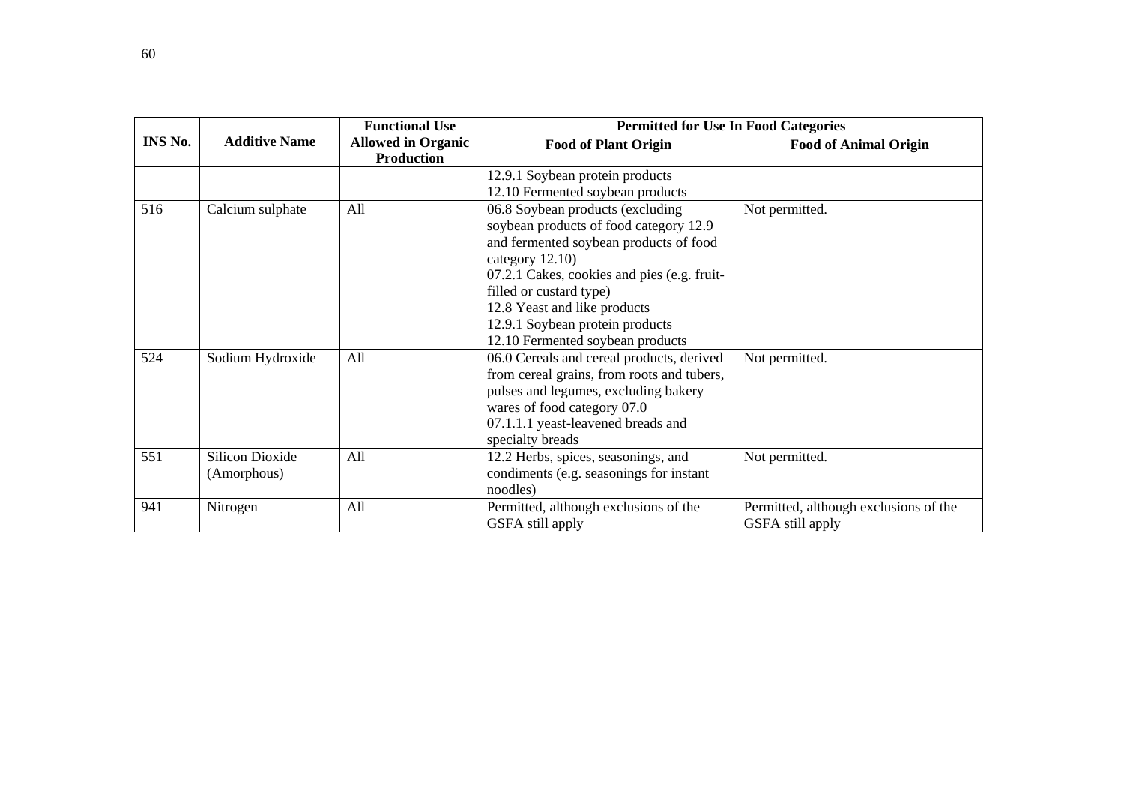|         |                        | <b>Functional Use</b>                          | <b>Permitted for Use In Food Categories</b> |                                       |
|---------|------------------------|------------------------------------------------|---------------------------------------------|---------------------------------------|
| INS No. | <b>Additive Name</b>   | <b>Allowed in Organic</b><br><b>Production</b> | <b>Food of Plant Origin</b>                 | <b>Food of Animal Origin</b>          |
|         |                        |                                                | 12.9.1 Soybean protein products             |                                       |
|         |                        |                                                | 12.10 Fermented soybean products            |                                       |
| 516     | Calcium sulphate       | All                                            | 06.8 Soybean products (excluding            | Not permitted.                        |
|         |                        |                                                | soybean products of food category 12.9      |                                       |
|         |                        |                                                | and fermented soybean products of food      |                                       |
|         |                        |                                                | category $12.10$ )                          |                                       |
|         |                        |                                                | 07.2.1 Cakes, cookies and pies (e.g. fruit- |                                       |
|         |                        |                                                | filled or custard type)                     |                                       |
|         |                        |                                                | 12.8 Yeast and like products                |                                       |
|         |                        |                                                | 12.9.1 Soybean protein products             |                                       |
|         |                        |                                                | 12.10 Fermented soybean products            |                                       |
| 524     | Sodium Hydroxide       | All                                            | 06.0 Cereals and cereal products, derived   | Not permitted.                        |
|         |                        |                                                | from cereal grains, from roots and tubers,  |                                       |
|         |                        |                                                | pulses and legumes, excluding bakery        |                                       |
|         |                        |                                                | wares of food category 07.0                 |                                       |
|         |                        |                                                | 07.1.1.1 yeast-leavened breads and          |                                       |
|         |                        |                                                | specialty breads                            |                                       |
| 551     | <b>Silicon Dioxide</b> | All                                            | 12.2 Herbs, spices, seasonings, and         | Not permitted.                        |
|         | (Amorphous)            |                                                | condiments (e.g. seasonings for instant     |                                       |
|         |                        |                                                | noodles)                                    |                                       |
| 941     | Nitrogen               | All                                            | Permitted, although exclusions of the       | Permitted, although exclusions of the |
|         |                        |                                                | GSFA still apply                            | GSFA still apply                      |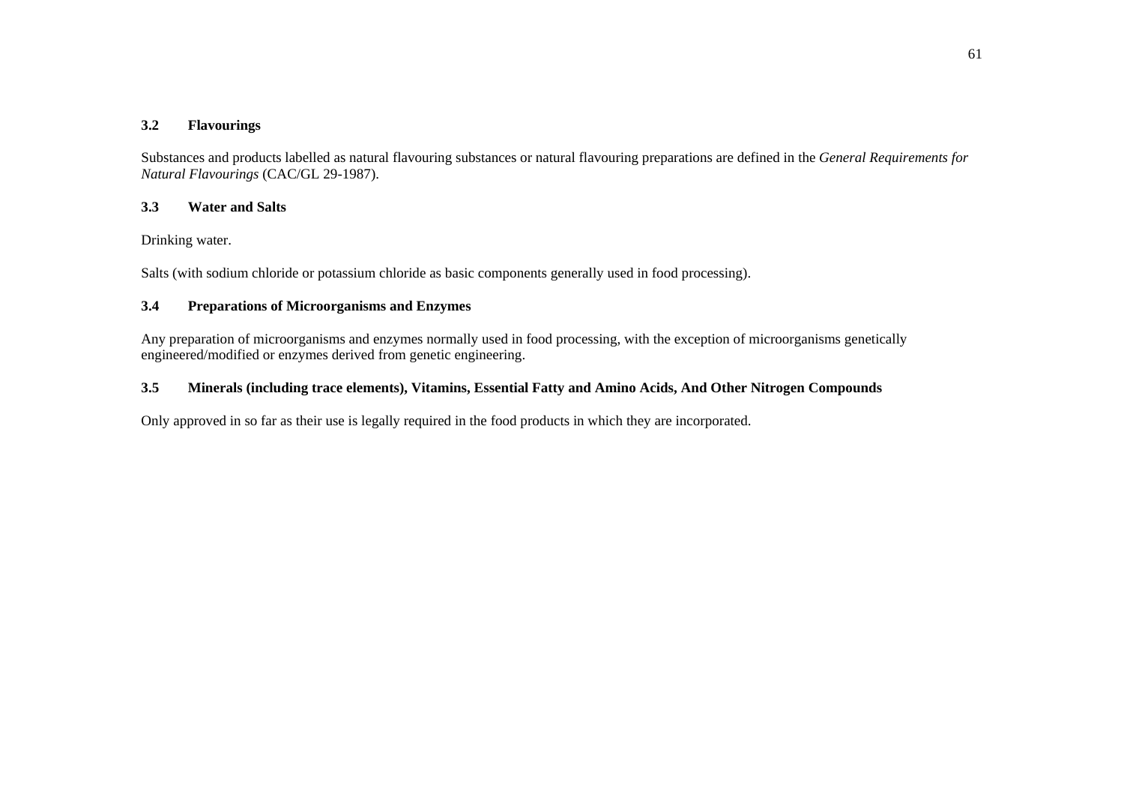# **3.2 Flavourings**

Substances and products labelled as natural flavouring substances or natural flavouring preparations are defined in the *General Requirements for Natural Flavourings* (CAC/GL 29-1987).

#### **3.3Water and Salts**

Drinking water.

Salts (with sodium chloride or potassium chloride as basic components generally used in food processing).

#### **3.4Preparations of Microorganisms and Enzymes**

Any preparation of microorganisms and enzymes normally used in food processing, with the exception of microorganisms genetically engineered/modified or enzymes derived from genetic engineering.

#### **3.5Minerals (including trace elements), Vitamins, Essential Fatty and Amino Acids, And Other Nitrogen Compounds**

Only approved in so far as their use is legally required in the food products in which they are incorporated.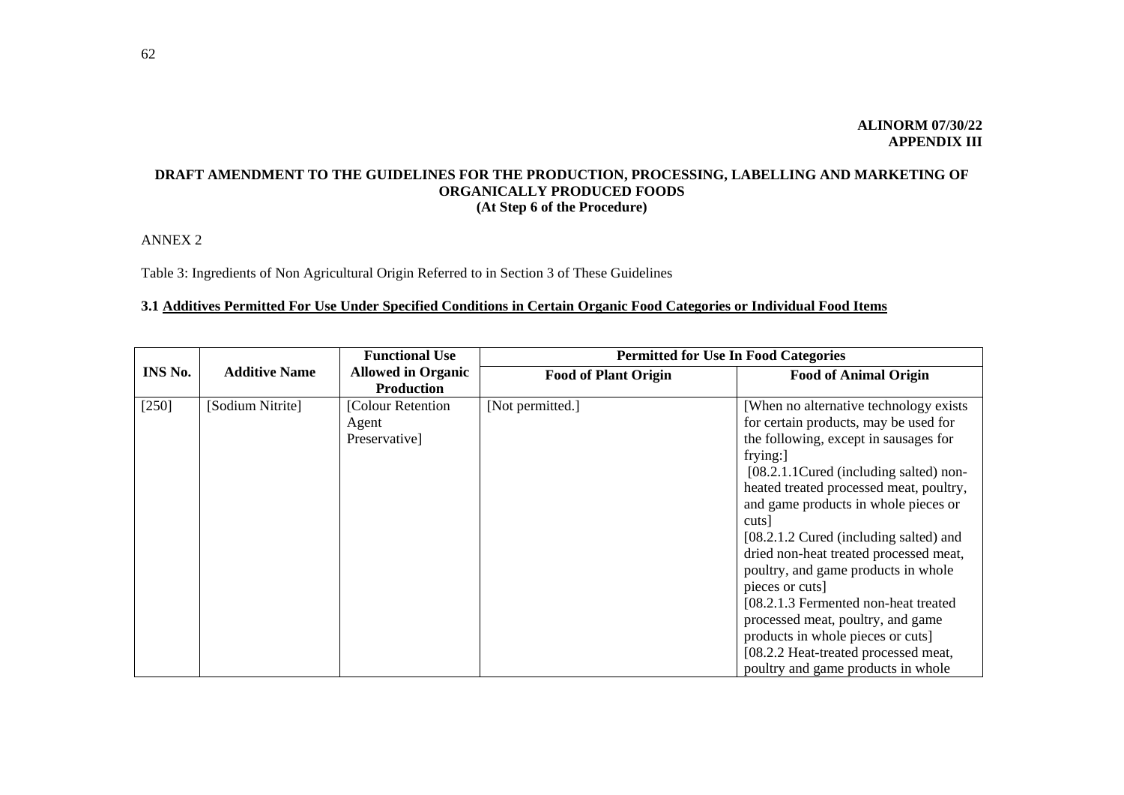# **DRAFT AMENDMENT TO THE GUIDELINES FOR THE PRODUCTION, PROCESSING, LABELLING AND MARKETING OF ORGANICALLY PRODUCED FOODS (At Step 6 of the Procedure)**

ANNEX 2

Table 3: Ingredients of Non Agricultural Origin Referred to in Section 3 of These Guidelines

# **3.1 Additives Permitted For Use Under Specified Conditions in Certain Organic Food Categories or Individual Food Items**

|         |                      | <b>Functional Use</b>                          | <b>Permitted for Use In Food Categories</b> |                                                                                                                                                                                                                                                                                                                                                                                                                                                                                                                                                                                                                            |
|---------|----------------------|------------------------------------------------|---------------------------------------------|----------------------------------------------------------------------------------------------------------------------------------------------------------------------------------------------------------------------------------------------------------------------------------------------------------------------------------------------------------------------------------------------------------------------------------------------------------------------------------------------------------------------------------------------------------------------------------------------------------------------------|
| INS No. | <b>Additive Name</b> | <b>Allowed in Organic</b><br><b>Production</b> | <b>Food of Plant Origin</b>                 | <b>Food of Animal Origin</b>                                                                                                                                                                                                                                                                                                                                                                                                                                                                                                                                                                                               |
| $[250]$ | [Sodium Nitrite]     | [Colour Retention]<br>Agent<br>Preservative]   | [Not permitted.]                            | [When no alternative technology exists]<br>for certain products, may be used for<br>the following, except in sausages for<br>frying:<br>[08.2.1.1 Cured (including salted) non-<br>heated treated processed meat, poultry,<br>and game products in whole pieces or<br>cuts  <br>[08.2.1.2 Cured (including salted) and<br>dried non-heat treated processed meat,<br>poultry, and game products in whole<br>pieces or cuts]<br>[08.2.1.3 Fermented non-heat treated<br>processed meat, poultry, and game<br>products in whole pieces or cuts]<br>[08.2.2 Heat-treated processed meat,<br>poultry and game products in whole |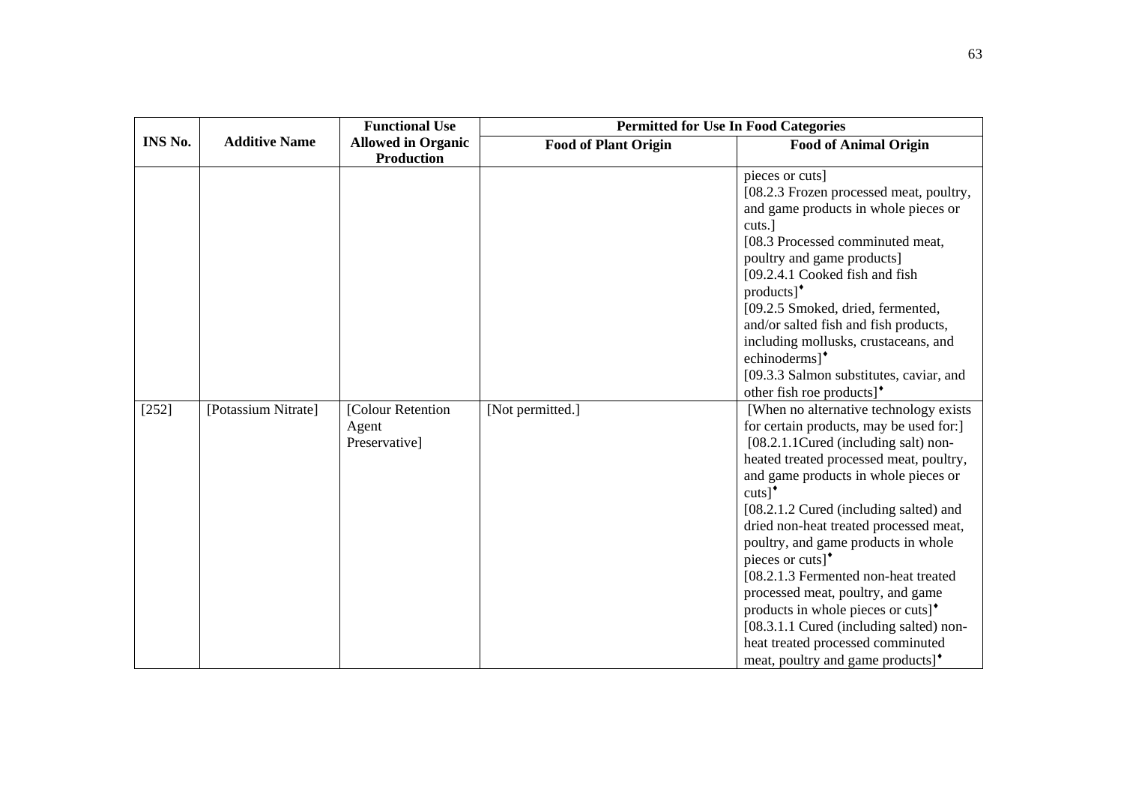|         |                      | <b>Functional Use</b>                          | <b>Permitted for Use In Food Categories</b> |                                                                                                                                                                                                                                                                                                                                                                                                                                                                                                                                                                                                                                                                                                                                                                                                                                                                                                                                                                                                                                                                                                                                                                         |
|---------|----------------------|------------------------------------------------|---------------------------------------------|-------------------------------------------------------------------------------------------------------------------------------------------------------------------------------------------------------------------------------------------------------------------------------------------------------------------------------------------------------------------------------------------------------------------------------------------------------------------------------------------------------------------------------------------------------------------------------------------------------------------------------------------------------------------------------------------------------------------------------------------------------------------------------------------------------------------------------------------------------------------------------------------------------------------------------------------------------------------------------------------------------------------------------------------------------------------------------------------------------------------------------------------------------------------------|
| INS No. | <b>Additive Name</b> | <b>Allowed in Organic</b><br><b>Production</b> | <b>Food of Plant Origin</b>                 | <b>Food of Animal Origin</b>                                                                                                                                                                                                                                                                                                                                                                                                                                                                                                                                                                                                                                                                                                                                                                                                                                                                                                                                                                                                                                                                                                                                            |
| $[252]$ | [Potassium Nitrate]  | [Colour Retention<br>Agent<br>Preservative]    | [Not permitted.]                            | pieces or cuts]<br>[08.2.3 Frozen processed meat, poultry,<br>and game products in whole pieces or<br>cuts.]<br>[08.3 Processed comminuted meat,<br>poultry and game products]<br>[09.2.4.1 Cooked fish and fish<br>$products$ <sup><math>\bullet</math></sup><br>[09.2.5 Smoked, dried, fermented,<br>and/or salted fish and fish products,<br>including mollusks, crustaceans, and<br>echinoderms] <sup>*</sup><br>[09.3.3 Salmon substitutes, caviar, and<br>other fish roe products] <sup>*</sup><br>[When no alternative technology exists<br>for certain products, may be used for:<br>[08.2.1.1 Cured (including salt) non-<br>heated treated processed meat, poultry,<br>and game products in whole pieces or<br>$cuts$ <sup>+</sup><br>[08.2.1.2 Cured (including salted) and<br>dried non-heat treated processed meat,<br>poultry, and game products in whole<br>pieces or cuts] <sup>*</sup><br>[08.2.1.3 Fermented non-heat treated<br>processed meat, poultry, and game<br>products in whole pieces or cuts] <sup>*</sup><br>[08.3.1.1 Cured (including salted) non-<br>heat treated processed comminuted<br>meat, poultry and game products] <sup>•</sup> |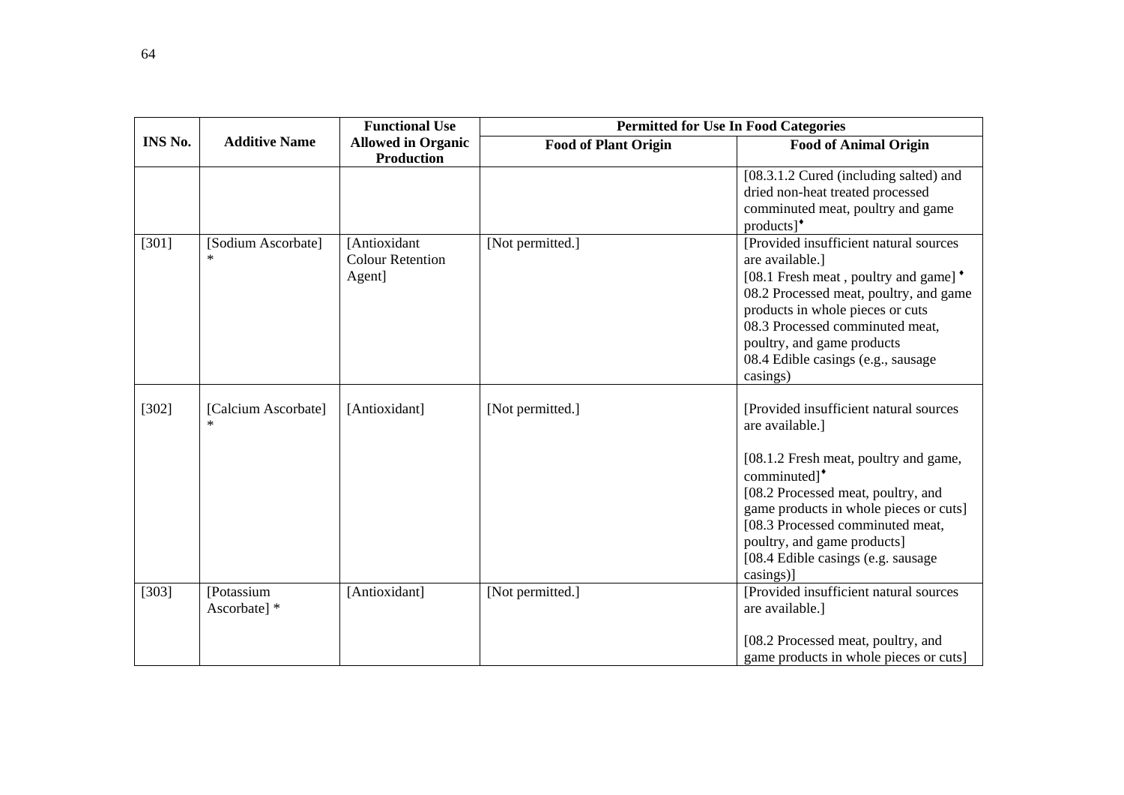|                |                               | <b>Functional Use</b>                             | <b>Permitted for Use In Food Categories</b> |                                                                                                                                                                                                                                                                                                                                       |
|----------------|-------------------------------|---------------------------------------------------|---------------------------------------------|---------------------------------------------------------------------------------------------------------------------------------------------------------------------------------------------------------------------------------------------------------------------------------------------------------------------------------------|
| <b>INS No.</b> | <b>Additive Name</b>          | <b>Allowed in Organic</b><br><b>Production</b>    | <b>Food of Plant Origin</b>                 | <b>Food of Animal Origin</b>                                                                                                                                                                                                                                                                                                          |
|                |                               |                                                   |                                             | [08.3.1.2 Cured (including salted) and<br>dried non-heat treated processed<br>comminuted meat, poultry and game<br>$products$ <sup>*</sup>                                                                                                                                                                                            |
| $[301]$        | [Sodium Ascorbate]<br>$\ast$  | [Antioxidant<br><b>Colour Retention</b><br>Agent] | [Not permitted.]                            | [Provided insufficient natural sources<br>are available.]<br>[08.1 Fresh meat, poultry and game] <sup>*</sup><br>08.2 Processed meat, poultry, and game<br>products in whole pieces or cuts<br>08.3 Processed comminuted meat,<br>poultry, and game products<br>08.4 Edible casings (e.g., sausage<br>casings)                        |
| $[302]$        | [Calcium Ascorbate]<br>$\ast$ | [Antioxidant]                                     | [Not permitted.]                            | [Provided insufficient natural sources]<br>are available.]<br>[08.1.2 Fresh meat, poultry and game,<br>comminuted] <sup>*</sup><br>[08.2 Processed meat, poultry, and<br>game products in whole pieces or cuts]<br>[08.3 Processed comminuted meat,<br>poultry, and game products]<br>[08.4 Edible casings (e.g. sausage<br>casings)] |
| [303]          | [Potassium<br>Ascorbate] *    | [Antioxidant]                                     | [Not permitted.]                            | [Provided insufficient natural sources]<br>are available.]<br>[08.2 Processed meat, poultry, and<br>game products in whole pieces or cuts]                                                                                                                                                                                            |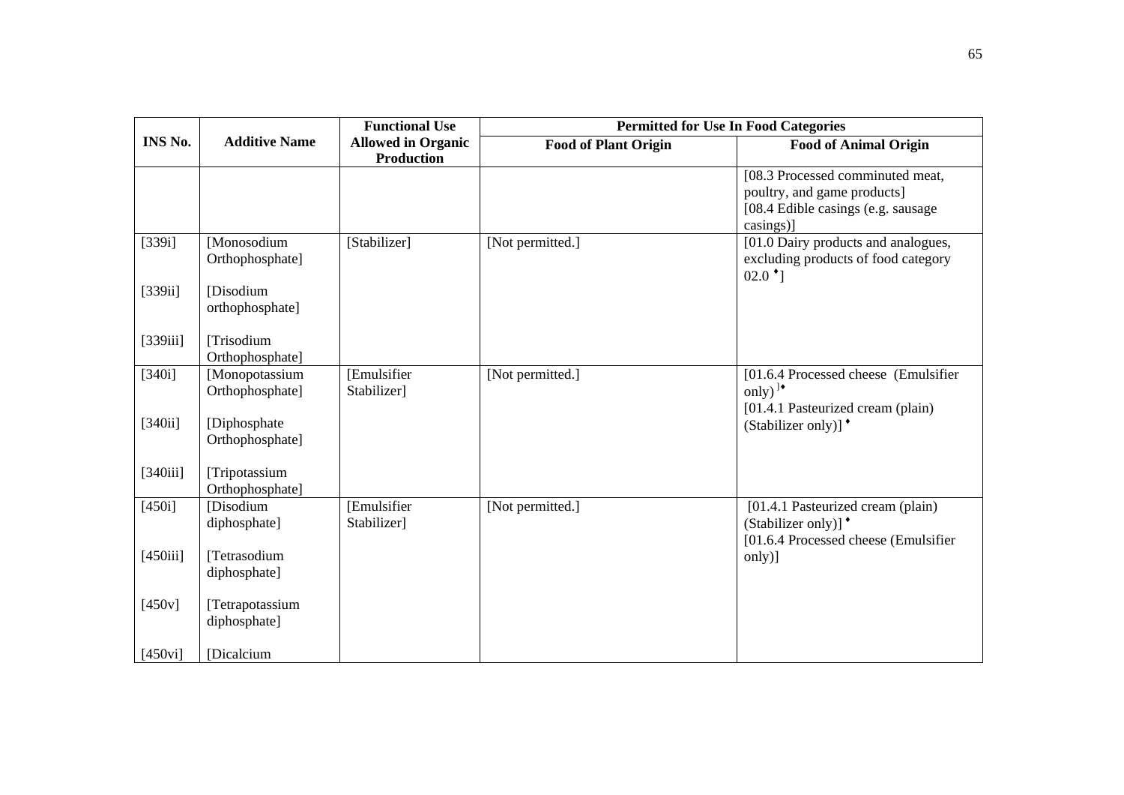|           |                                   | <b>Functional Use</b>                          | <b>Permitted for Use In Food Categories</b> |                                                                                                                    |
|-----------|-----------------------------------|------------------------------------------------|---------------------------------------------|--------------------------------------------------------------------------------------------------------------------|
| INS No.   | <b>Additive Name</b>              | <b>Allowed in Organic</b><br><b>Production</b> | <b>Food of Plant Origin</b>                 | <b>Food of Animal Origin</b>                                                                                       |
|           |                                   |                                                |                                             | [08.3 Processed comminuted meat,<br>poultry, and game products]<br>[08.4 Edible casings (e.g. sausage<br>casings)] |
| $[339i]$  | [Monosodium<br>Orthophosphate]    | [Stabilizer]                                   | [Not permitted.]                            | [01.0 Dairy products and analogues,<br>excluding products of food category<br>$02.0$ <sup>t</sup> ]                |
| [339ii]   | [Disodium<br>orthophosphate]      |                                                |                                             |                                                                                                                    |
| [339iii]  | [Trisodium<br>Orthophosphate]     |                                                |                                             |                                                                                                                    |
| $[340i]$  | [Monopotassium<br>Orthophosphate] | [Emulsifier<br>Stabilizer]                     | [Not permitted.]                            | [01.6.4 Processed cheese (Emulsifier<br>only) <sup><math>\cdot</math></sup><br>[01.4.1 Pasteurized cream (plain)   |
| $[340ii]$ | [Diphosphate]<br>Orthophosphate]  |                                                |                                             | (Stabilizer only)] <sup>*</sup>                                                                                    |
| [340iii]  | [Tripotassium<br>Orthophosphate]  |                                                |                                             |                                                                                                                    |
| $[450i]$  | [Disodium<br>diphosphate]         | [Emulsifier<br>Stabilizer]                     | [Not permitted.]                            | [01.4.1 Pasteurized cream (plain)<br>(Stabilizer only)] <sup>*</sup><br>[01.6.4 Processed cheese (Emulsifier       |
| [450iii]  | [Tetrasodium<br>diphosphate]      |                                                |                                             | only)]                                                                                                             |
| $[450v]$  | [Tetrapotassium<br>diphosphate]   |                                                |                                             |                                                                                                                    |
| [450vi]   | [Dicalcium                        |                                                |                                             |                                                                                                                    |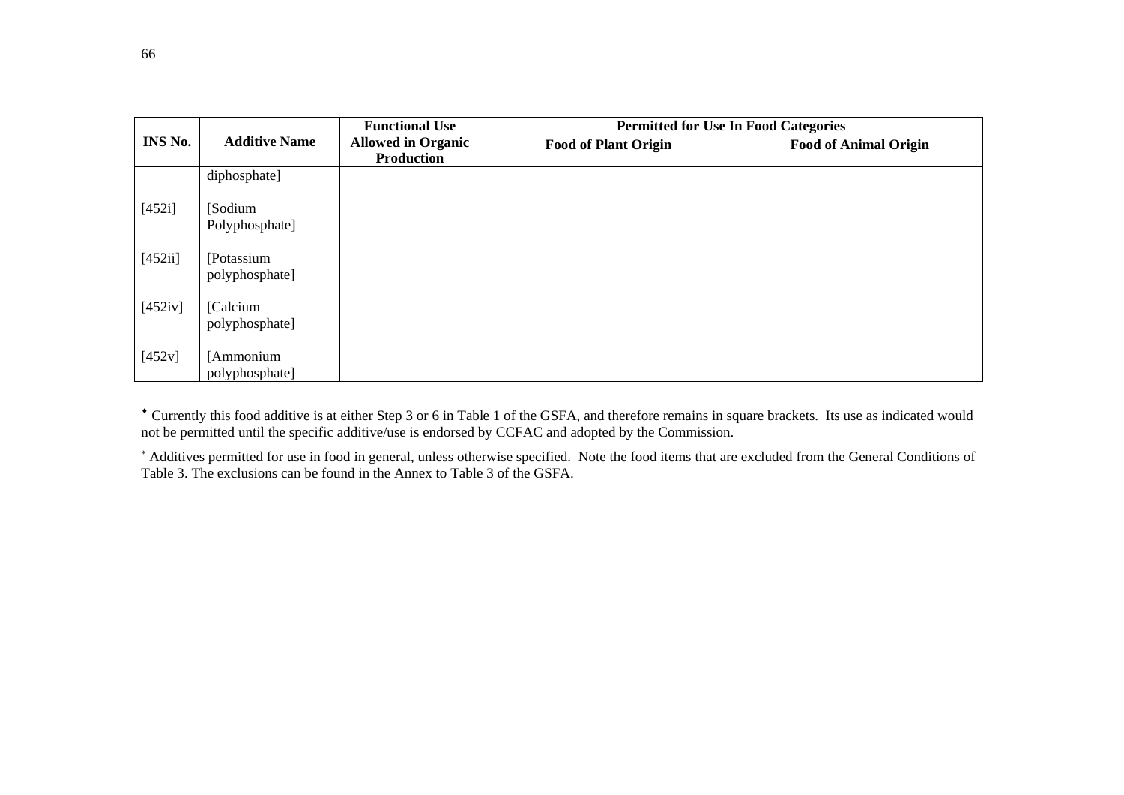|         |                      | <b>Functional Use</b>     | <b>Permitted for Use In Food Categories</b> |                              |
|---------|----------------------|---------------------------|---------------------------------------------|------------------------------|
| INS No. | <b>Additive Name</b> | <b>Allowed in Organic</b> | <b>Food of Plant Origin</b>                 | <b>Food of Animal Origin</b> |
|         |                      | <b>Production</b>         |                                             |                              |
|         | diphosphate]         |                           |                                             |                              |
| [452i]  | [Sodium]             |                           |                                             |                              |
|         | Polyphosphate]       |                           |                                             |                              |
| [452ii] | [Potassium           |                           |                                             |                              |
|         | polyphosphate]       |                           |                                             |                              |
| [452iv] | [Calcium]            |                           |                                             |                              |
|         | polyphosphate]       |                           |                                             |                              |
| [452v]  | [Ammonium            |                           |                                             |                              |
|         | polyphosphate]       |                           |                                             |                              |
|         |                      |                           |                                             |                              |

♦ Currently this food additive is at either Step 3 or 6 in Table 1 of the GSFA, and therefore remains in square brackets. Its use as indicated would not be permitted until the specific additive/use is endorsed by CCFAC and adopted by the Commission.

<sup>∗</sup> Additives permitted for use in food in general, unless otherwise specified. Note the food items that are excluded from the General Conditions of Table 3. The exclusions can be found in the Annex to Table 3 of the GSFA.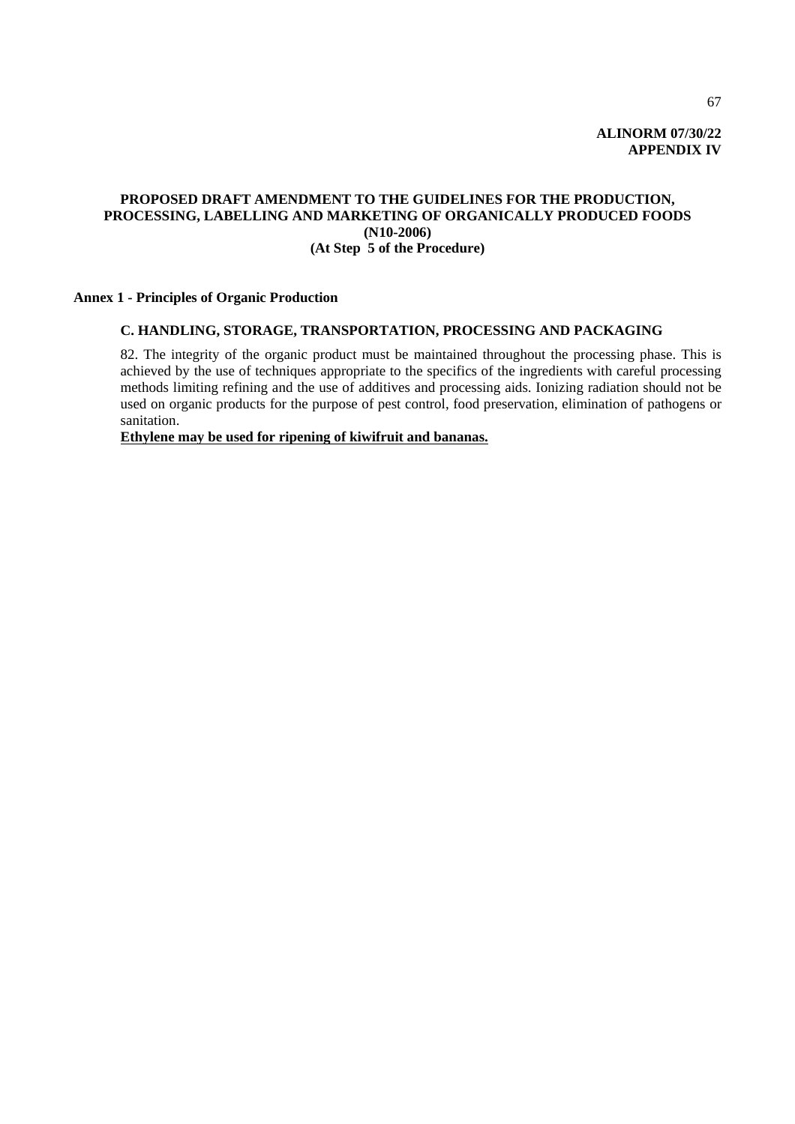# **PROPOSED DRAFT AMENDMENT TO THE GUIDELINES FOR THE PRODUCTION, PROCESSING, LABELLING AND MARKETING OF ORGANICALLY PRODUCED FOODS (N10-2006) (At Step 5 of the Procedure)**

# **Annex 1 - Principles of Organic Production**

# **C. HANDLING, STORAGE, TRANSPORTATION, PROCESSING AND PACKAGING**

82. The integrity of the organic product must be maintained throughout the processing phase. This is achieved by the use of techniques appropriate to the specifics of the ingredients with careful processing methods limiting refining and the use of additives and processing aids. Ionizing radiation should not be used on organic products for the purpose of pest control, food preservation, elimination of pathogens or sanitation.

**Ethylene may be used for ripening of kiwifruit and bananas.**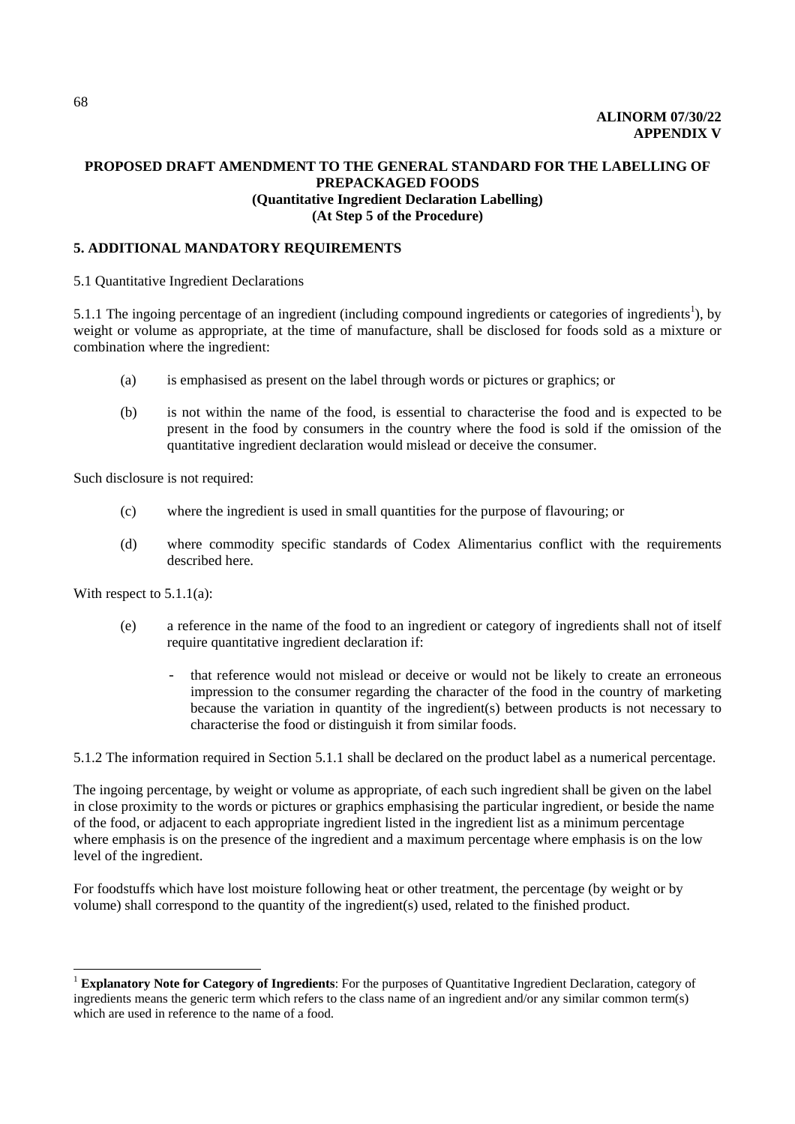## **PROPOSED DRAFT AMENDMENT TO THE GENERAL STANDARD FOR THE LABELLING OF PREPACKAGED FOODS (Quantitative Ingredient Declaration Labelling) (At Step 5 of the Procedure)**

## **5. ADDITIONAL MANDATORY REQUIREMENTS**

5.1 Quantitative Ingredient Declarations

5.1.1 The ingoing percentage of an ingredient (including compound ingredients or categories of ingredients<sup>1</sup>), by weight or volume as appropriate, at the time of manufacture, shall be disclosed for foods sold as a mixture or combination where the ingredient:

- (a) is emphasised as present on the label through words or pictures or graphics; or
- (b) is not within the name of the food, is essential to characterise the food and is expected to be present in the food by consumers in the country where the food is sold if the omission of the quantitative ingredient declaration would mislead or deceive the consumer.

Such disclosure is not required:

- (c) where the ingredient is used in small quantities for the purpose of flavouring; or
- (d) where commodity specific standards of Codex Alimentarius conflict with the requirements described here.

With respect to 5.1.1(a):

 $\overline{a}$ 

- (e) a reference in the name of the food to an ingredient or category of ingredients shall not of itself require quantitative ingredient declaration if:
	- that reference would not mislead or deceive or would not be likely to create an erroneous impression to the consumer regarding the character of the food in the country of marketing because the variation in quantity of the ingredient(s) between products is not necessary to characterise the food or distinguish it from similar foods.

5.1.2 The information required in Section 5.1.1 shall be declared on the product label as a numerical percentage.

The ingoing percentage, by weight or volume as appropriate, of each such ingredient shall be given on the label in close proximity to the words or pictures or graphics emphasising the particular ingredient, or beside the name of the food, or adjacent to each appropriate ingredient listed in the ingredient list as a minimum percentage where emphasis is on the presence of the ingredient and a maximum percentage where emphasis is on the low level of the ingredient.

For foodstuffs which have lost moisture following heat or other treatment, the percentage (by weight or by volume) shall correspond to the quantity of the ingredient(s) used, related to the finished product.

<sup>1</sup> **Explanatory Note for Category of Ingredients**: For the purposes of Quantitative Ingredient Declaration, category of ingredients means the generic term which refers to the class name of an ingredient and/or any similar common term(s) which are used in reference to the name of a food.